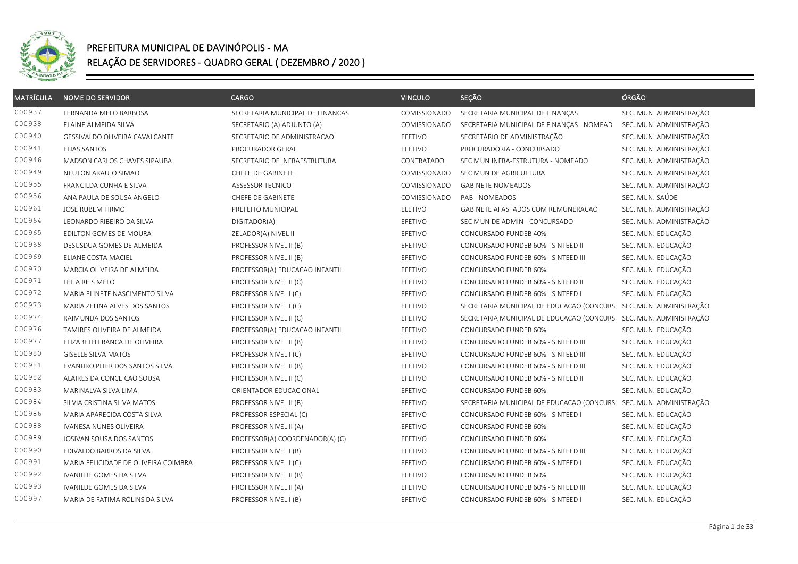

| <b>MATRÍCULA</b> | <b>NOME DO SERVIDOR</b>              | <b>CARGO</b>                     | <b>VINCULO</b>      | SEÇÃO                                                             | ÓRGÃO                   |
|------------------|--------------------------------------|----------------------------------|---------------------|-------------------------------------------------------------------|-------------------------|
| 000937           | FERNANDA MELO BARBOSA                | SECRETARIA MUNICIPAL DE FINANCAS | COMISSIONADO        | SECRETARIA MUNICIPAL DE FINANÇAS                                  | SEC. MUN. ADMINISTRAÇÃO |
| 000938           | ELAINE ALMEIDA SILVA                 | SECRETARIO (A) ADJUNTO (A)       | <b>COMISSIONADO</b> | SECRETARIA MUNICIPAL DE FINANÇAS - NOMEAD                         | SEC. MUN. ADMINISTRAÇÃO |
| 000940           | GESSIVALDO OLIVEIRA CAVALCANTE       | SECRETARIO DE ADMINISTRACAO      | EFETIVO             | SECRETÁRIO DE ADMINISTRAÇÃO                                       | SEC. MUN. ADMINISTRAÇÃO |
| 000941           | <b>ELIAS SANTOS</b>                  | PROCURADOR GERAL                 | EFETIVO             | PROCURADORIA - CONCURSADO                                         | SEC. MUN. ADMINISTRAÇÃO |
| 000946           | <b>MADSON CARLOS CHAVES SIPAUBA</b>  | SECRETARIO DE INFRAESTRUTURA     | CONTRATADO          | SEC MUN INFRA-ESTRUTURA - NOMEADO                                 | SEC. MUN. ADMINISTRAÇÃO |
| 000949           | NEUTON ARAUJO SIMAO                  | CHEFE DE GABINETE                | COMISSIONADO        | SEC MUN DE AGRICULTURA                                            | SEC. MUN. ADMINISTRAÇÃO |
| 000955           | FRANCILDA CUNHA E SILVA              | <b>ASSESSOR TECNICO</b>          | COMISSIONADO        | <b>GABINETE NOMEADOS</b>                                          | SEC. MUN. ADMINISTRAÇÃO |
| 000956           | ANA PAULA DE SOUSA ANGELO            | CHEFE DE GABINETE                | COMISSIONADO        | PAB - NOMEADOS                                                    | SEC. MUN. SAÚDE         |
| 000961           | JOSE RUBEM FIRMO                     | PREFEITO MUNICIPAL               | ELETIVO             | GABINETE AFASTADOS COM REMUNERACAO                                | SEC. MUN. ADMINISTRAÇÃO |
| 000964           | LEONARDO RIBEIRO DA SILVA            | DIGITADOR(A)                     | EFETIVO             | SEC MUN DE ADMIN - CONCURSADO                                     | SEC. MUN. ADMINISTRAÇÃO |
| 000965           | EDILTON GOMES DE MOURA               | ZELADOR(A) NIVEL II              | EFETIVO             | CONCURSADO FUNDEB 40%                                             | SEC. MUN. EDUCAÇÃO      |
| 000968           | DESUSDUA GOMES DE ALMEIDA            | PROFESSOR NIVEL II (B)           | EFETIVO             | CONCURSADO FUNDEB 60% - SINTEED II                                | SEC. MUN. EDUCAÇÃO      |
| 000969           | ELIANE COSTA MACIEL                  | PROFESSOR NIVEL II (B)           | EFETIVO             | CONCURSADO FUNDEB 60% - SINTEED III                               | SEC. MUN. EDUCAÇÃO      |
| 000970           | MARCIA OLIVEIRA DE ALMEIDA           | PROFESSOR(A) EDUCACAO INFANTIL   | EFETIVO             | CONCURSADO FUNDEB 60%                                             | SEC. MUN. EDUCAÇÃO      |
| 000971           | LEILA REIS MELO                      | PROFESSOR NIVEL II (C)           | EFETIVO             | CONCURSADO FUNDEB 60% - SINTEED II                                | SEC. MUN. EDUCAÇÃO      |
| 000972           | MARIA ELINETE NASCIMENTO SILVA       | PROFESSOR NIVEL I (C)            | EFETIVO             | CONCURSADO FUNDEB 60% - SINTEED I                                 | SEC. MUN. EDUCAÇÃO      |
| 000973           | MARIA ZELINA ALVES DOS SANTOS        | PROFESSOR NIVEL I (C)            | EFETIVO             | SECRETARIA MUNICIPAL DE EDUCACAO (CONCURS SEC. MUN. ADMINISTRAÇÃO |                         |
| 000974           | RAIMUNDA DOS SANTOS                  | PROFESSOR NIVEL II (C)           | EFETIVO             | SECRETARIA MUNICIPAL DE EDUCACAO (CONCURS SEC. MUN. ADMINISTRAÇÃO |                         |
| 000976           | TAMIRES OLIVEIRA DE ALMEIDA          | PROFESSOR(A) EDUCACAO INFANTIL   | EFETIVO             | CONCURSADO FUNDEB 60%                                             | SEC. MUN. EDUCAÇÃO      |
| 000977           | ELIZABETH FRANCA DE OLIVEIRA         | PROFESSOR NIVEL II (B)           | EFETIVO             | CONCURSADO FUNDEB 60% - SINTEED III                               | SEC. MUN. EDUCAÇÃO      |
| 000980           | <b>GISELLE SILVA MATOS</b>           | PROFESSOR NIVEL I (C)            | EFETIVO             | CONCURSADO FUNDEB 60% - SINTEED III                               | SEC. MUN. EDUCAÇÃO      |
| 000981           | EVANDRO PITER DOS SANTOS SILVA       | PROFESSOR NIVEL II (B)           | EFETIVO             | CONCURSADO FUNDEB 60% - SINTEED III                               | SEC. MUN. EDUCAÇÃO      |
| 000982           | ALAIRES DA CONCEICAO SOUSA           | PROFESSOR NIVEL II (C)           | EFETIVO             | CONCURSADO FUNDEB 60% - SINTEED II                                | SEC. MUN. EDUCAÇÃO      |
| 000983           | MARINALVA SILVA LIMA                 | ORIENTADOR EDUCACIONAL           | EFETIVO             | CONCURSADO FUNDEB 60%                                             | SEC. MUN. EDUCAÇÃO      |
| 000984           | SILVIA CRISTINA SILVA MATOS          | PROFESSOR NIVEL II (B)           | EFETIVO             | SECRETARIA MUNICIPAL DE EDUCACAO (CONCURS                         | SEC. MUN. ADMINISTRAÇÃO |
| 000986           | MARIA APARECIDA COSTA SILVA          | PROFESSOR ESPECIAL (C)           | EFETIVO             | CONCURSADO FUNDEB 60% - SINTEED I                                 | SEC. MUN. EDUCAÇÃO      |
| 000988           | IVANESA NUNES OLIVEIRA               | PROFESSOR NIVEL II (A)           | EFETIVO             | CONCURSADO FUNDEB 60%                                             | SEC. MUN. EDUCAÇÃO      |
| 000989           | JOSIVAN SOUSA DOS SANTOS             | PROFESSOR(A) COORDENADOR(A) (C)  | EFETIVO             | CONCURSADO FUNDEB 60%                                             | SEC. MUN. EDUCAÇÃO      |
| 000990           | EDIVALDO BARROS DA SILVA             | PROFESSOR NIVEL I (B)            | EFETIVO             | CONCURSADO FUNDEB 60% - SINTEED III                               | SEC. MUN. EDUCAÇÃO      |
| 000991           | MARIA FELICIDADE DE OLIVEIRA COIMBRA | PROFESSOR NIVEL I (C)            | EFETIVO             | CONCURSADO FUNDEB 60% - SINTEED I                                 | SEC. MUN. EDUCAÇÃO      |
| 000992           | IVANILDE GOMES DA SILVA              | PROFESSOR NIVEL II (B)           | EFETIVO             | CONCURSADO FUNDEB 60%                                             | SEC. MUN. EDUCAÇÃO      |
| 000993           | IVANILDE GOMES DA SILVA              | PROFESSOR NIVEL II (A)           | EFETIVO             | CONCURSADO FUNDEB 60% - SINTEED III                               | SEC. MUN. EDUCAÇÃO      |
| 000997           | MARIA DE FATIMA ROLINS DA SILVA      | PROFESSOR NIVEL I (B)            | EFETIVO             | CONCURSADO FUNDEB 60% - SINTEED I                                 | SEC. MUN. EDUCAÇÃO      |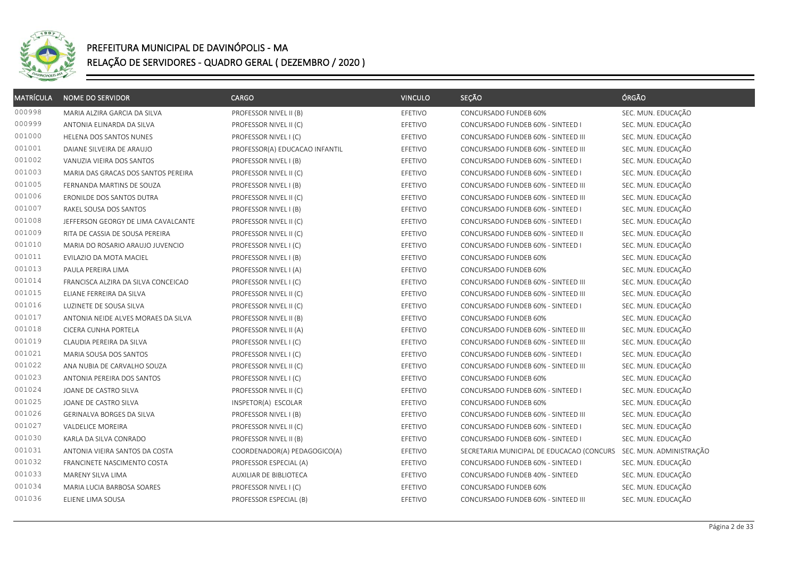

| <b>MATRÍCULA</b> | <b>NOME DO SERVIDOR</b>             | <b>CARGO</b>                   | <b>VINCULO</b> | SEÇÃO                                     | ÓRGÃO                   |
|------------------|-------------------------------------|--------------------------------|----------------|-------------------------------------------|-------------------------|
| 000998           | MARIA ALZIRA GARCIA DA SILVA        | PROFESSOR NIVEL II (B)         | EFETIVO        | CONCURSADO FUNDEB 60%                     | SEC. MUN. EDUCAÇÃO      |
| 000999           | ANTONIA ELINARDA DA SILVA           | PROFESSOR NIVEL II (C)         | EFETIVO        | CONCURSADO FUNDEB 60% - SINTEED I         | SEC. MUN. EDUCAÇÃO      |
| 001000           | HELENA DOS SANTOS NUNES             | PROFESSOR NIVEL I (C)          | EFETIVO        | CONCURSADO FUNDEB 60% - SINTEED III       | SEC. MUN. EDUCAÇÃO      |
| 001001           | DAIANE SILVEIRA DE ARAUJO           | PROFESSOR(A) EDUCACAO INFANTIL | EFETIVO        | CONCURSADO FUNDEB 60% - SINTEED III       | SEC. MUN. EDUCAÇÃO      |
| 001002           | VANUZIA VIEIRA DOS SANTOS           | PROFESSOR NIVEL I (B)          | EFETIVO        | CONCURSADO FUNDEB 60% - SINTEED I         | SEC. MUN. EDUCAÇÃO      |
| 001003           | MARIA DAS GRACAS DOS SANTOS PEREIRA | PROFESSOR NIVEL II (C)         | EFETIVO        | CONCURSADO FUNDEB 60% - SINTEED I         | SEC. MUN. EDUCAÇÃO      |
| 001005           | FERNANDA MARTINS DE SOUZA           | PROFESSOR NIVEL I (B)          | EFETIVO        | CONCURSADO FUNDEB 60% - SINTEED III       | SEC. MUN. EDUCAÇÃO      |
| 001006           | ERONILDE DOS SANTOS DUTRA           | PROFESSOR NIVEL II (C)         | EFETIVO        | CONCURSADO FUNDEB 60% - SINTEED III       | SEC. MUN. EDUCAÇÃO      |
| 001007           | RAKEL SOUSA DOS SANTOS              | PROFESSOR NIVEL I (B)          | EFETIVO        | CONCURSADO FUNDEB 60% - SINTEED I         | SEC. MUN. EDUCAÇÃO      |
| 001008           | JEFFERSON GEORGY DE LIMA CAVALCANTE | PROFESSOR NIVEL II (C)         | EFETIVO        | CONCURSADO FUNDEB 60% - SINTEED I         | SEC. MUN. EDUCAÇÃO      |
| 001009           | RITA DE CASSIA DE SOUSA PEREIRA     | PROFESSOR NIVEL II (C)         | EFETIVO        | CONCURSADO FUNDEB 60% - SINTEED II        | SEC. MUN. EDUCAÇÃO      |
| 001010           | MARIA DO ROSARIO ARAUJO JUVENCIO    | PROFESSOR NIVEL I (C)          | EFETIVO        | CONCURSADO FUNDEB 60% - SINTEED I         | SEC. MUN. EDUCAÇÃO      |
| 001011           | EVILAZIO DA MOTA MACIEL             | PROFESSOR NIVEL I (B)          | EFETIVO        | CONCURSADO FUNDEB 60%                     | SEC. MUN. EDUCAÇÃO      |
| 001013           | PAULA PEREIRA LIMA                  | PROFESSOR NIVEL I (A)          | EFETIVO        | CONCURSADO FUNDEB 60%                     | SEC. MUN. EDUCAÇÃO      |
| 001014           | FRANCISCA ALZIRA DA SILVA CONCEICAO | PROFESSOR NIVEL I (C)          | EFETIVO        | CONCURSADO FUNDEB 60% - SINTEED III       | SEC. MUN. EDUCAÇÃO      |
| 001015           | ELIANE FERREIRA DA SILVA            | PROFESSOR NIVEL II (C)         | EFETIVO        | CONCURSADO FUNDEB 60% - SINTEED III       | SEC. MUN. EDUCAÇÃO      |
| 001016           | LUZINETE DE SOUSA SILVA             | PROFESSOR NIVEL II (C)         | EFETIVO        | CONCURSADO FUNDEB 60% - SINTEED I         | SEC. MUN. EDUCAÇÃO      |
| 001017           | ANTONIA NEIDE ALVES MORAES DA SILVA | PROFESSOR NIVEL II (B)         | EFETIVO        | CONCURSADO FUNDEB 60%                     | SEC. MUN. EDUCAÇÃO      |
| 001018           | CICERA CUNHA PORTELA                | PROFESSOR NIVEL II (A)         | EFETIVO        | CONCURSADO FUNDEB 60% - SINTEED III       | SEC. MUN. EDUCAÇÃO      |
| 001019           | CLAUDIA PEREIRA DA SILVA            | PROFESSOR NIVEL I (C)          | EFETIVO        | CONCURSADO FUNDEB 60% - SINTEED III       | SEC. MUN. EDUCAÇÃO      |
| 001021           | MARIA SOUSA DOS SANTOS              | PROFESSOR NIVEL I (C)          | EFETIVO        | CONCURSADO FUNDEB 60% - SINTEED I         | SEC. MUN. EDUCAÇÃO      |
| 001022           | ANA NUBIA DE CARVALHO SOUZA         | PROFESSOR NIVEL II (C)         | EFETIVO        | CONCURSADO FUNDEB 60% - SINTEED III       | SEC. MUN. EDUCAÇÃO      |
| 001023           | ANTONIA PEREIRA DOS SANTOS          | PROFESSOR NIVEL I (C)          | EFETIVO        | <b>CONCURSADO FUNDEB 60%</b>              | SEC. MUN. EDUCAÇÃO      |
| 001024           | JOANE DE CASTRO SILVA               | PROFESSOR NIVEL II (C)         | EFETIVO        | CONCURSADO FUNDEB 60% - SINTEED I         | SEC. MUN. EDUCAÇÃO      |
| 001025           | JOANE DE CASTRO SILVA               | INSPETOR(A) ESCOLAR            | EFETIVO        | CONCURSADO FUNDEB 60%                     | SEC. MUN. EDUCAÇÃO      |
| 001026           | GERINALVA BORGES DA SILVA           | PROFESSOR NIVEL I (B)          | EFETIVO        | CONCURSADO FUNDEB 60% - SINTEED III       | SEC. MUN. EDUCAÇÃO      |
| 001027           | VALDELICE MOREIRA                   | PROFESSOR NIVEL II (C)         | EFETIVO        | CONCURSADO FUNDEB 60% - SINTEED I         | SEC. MUN. EDUCAÇÃO      |
| 001030           | KARLA DA SILVA CONRADO              | PROFESSOR NIVEL II (B)         | EFETIVO        | CONCURSADO FUNDEB 60% - SINTEED I         | SEC. MUN. EDUCAÇÃO      |
| 001031           | ANTONIA VIEIRA SANTOS DA COSTA      | COORDENADOR(A) PEDAGOGICO(A)   | EFETIVO        | SECRETARIA MUNICIPAL DE EDUCACAO (CONCURS | SEC. MUN. ADMINISTRAÇÃO |
| 001032           | FRANCINETE NASCIMENTO COSTA         | PROFESSOR ESPECIAL (A)         | EFETIVO        | CONCURSADO FUNDEB 60% - SINTEED I         | SEC. MUN. EDUCAÇÃO      |
| 001033           | MARENY SILVA LIMA                   | AUXILIAR DE BIBLIOTECA         | EFETIVO        | CONCURSADO FUNDEB 40% - SINTEED           | SEC. MUN. EDUCAÇÃO      |
| 001034           | MARIA LUCIA BARBOSA SOARES          | PROFESSOR NIVEL I (C)          | EFETIVO        | CONCURSADO FUNDEB 60%                     | SEC. MUN. EDUCAÇÃO      |
| 001036           | ELIENE LIMA SOUSA                   | PROFESSOR ESPECIAL (B)         | EFETIVO        | CONCURSADO FUNDEB 60% - SINTEED III       | SEC. MUN. EDUCAÇÃO      |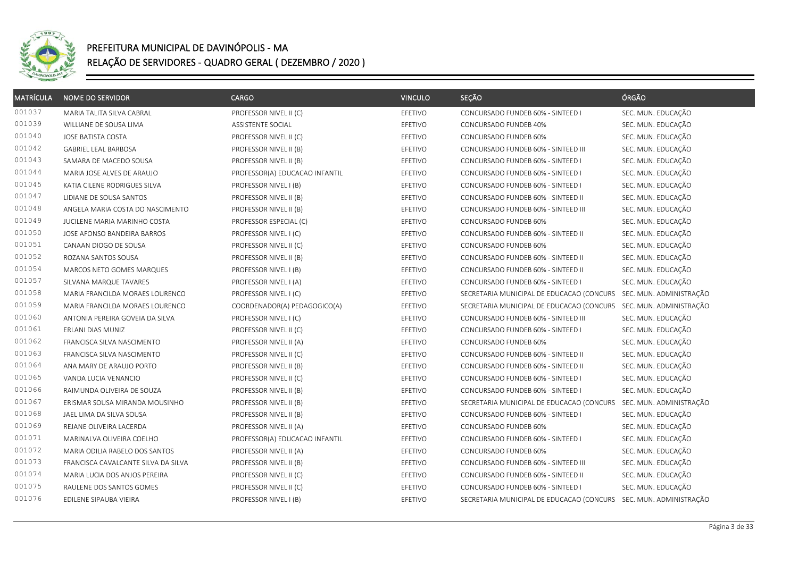

| <b>MATRÍCULA</b> | <b>NOME DO SERVIDOR</b>             | CARGO                          | <b>VINCULO</b> | SEÇÃO                                                             | ÓRGÃO                   |
|------------------|-------------------------------------|--------------------------------|----------------|-------------------------------------------------------------------|-------------------------|
| 001037           | MARIA TALITA SILVA CABRAL           | PROFESSOR NIVEL II (C)         | EFETIVO        | CONCURSADO FUNDEB 60% - SINTEED I                                 | SEC. MUN. EDUCAÇÃO      |
| 001039           | WILLIANE DE SOUSA LIMA              | ASSISTENTE SOCIAL              | EFETIVO        | CONCURSADO FUNDEB 40%                                             | SEC. MUN. EDUCAÇÃO      |
| 001040           | JOSE BATISTA COSTA                  | PROFESSOR NIVEL II (C)         | EFETIVO        | CONCURSADO FUNDEB 60%                                             | SEC. MUN. EDUCAÇÃO      |
| 001042           | <b>GABRIEL LEAL BARBOSA</b>         | PROFESSOR NIVEL II (B)         | EFETIVO        | CONCURSADO FUNDEB 60% - SINTEED III                               | SEC. MUN. EDUCAÇÃO      |
| 001043           | SAMARA DE MACEDO SOUSA              | PROFESSOR NIVEL II (B)         | EFETIVO        | CONCURSADO FUNDEB 60% - SINTEED I                                 | SEC. MUN. EDUCAÇÃO      |
| 001044           | MARIA JOSE ALVES DE ARAUJO          | PROFESSOR(A) EDUCACAO INFANTIL | EFETIVO        | CONCURSADO FUNDEB 60% - SINTEED I                                 | SEC. MUN. EDUCAÇÃO      |
| 001045           | KATIA CILENE RODRIGUES SILVA        | PROFESSOR NIVEL I (B)          | EFETIVO        | CONCURSADO FUNDEB 60% - SINTEED I                                 | SEC. MUN. EDUCAÇÃO      |
| 001047           | LIDIANE DE SOUSA SANTOS             | PROFESSOR NIVEL II (B)         | EFETIVO        | CONCURSADO FUNDEB 60% - SINTEED II                                | SEC. MUN. EDUCAÇÃO      |
| 001048           | ANGELA MARIA COSTA DO NASCIMENTO    | PROFESSOR NIVEL II (B)         | EFETIVO        | CONCURSADO FUNDEB 60% - SINTEED III                               | SEC. MUN. EDUCAÇÃO      |
| 001049           | JUCILENE MARIA MARINHO COSTA        | PROFESSOR ESPECIAL (C)         | EFETIVO        | CONCURSADO FUNDEB 60%                                             | SEC. MUN. EDUCAÇÃO      |
| 001050           | JOSE AFONSO BANDEIRA BARROS         | PROFESSOR NIVEL I (C)          | EFETIVO        | CONCURSADO FUNDEB 60% - SINTEED II                                | SEC. MUN. EDUCAÇÃO      |
| 001051           | CANAAN DIOGO DE SOUSA               | PROFESSOR NIVEL II (C)         | EFETIVO        | CONCURSADO FUNDEB 60%                                             | SEC. MUN. EDUCAÇÃO      |
| 001052           | ROZANA SANTOS SOUSA                 | PROFESSOR NIVEL II (B)         | EFETIVO        | CONCURSADO FUNDEB 60% - SINTEED II                                | SEC. MUN. EDUCAÇÃO      |
| 001054           | MARCOS NETO GOMES MARQUES           | PROFESSOR NIVEL I (B)          | EFETIVO        | CONCURSADO FUNDEB 60% - SINTEED II                                | SEC. MUN. EDUCAÇÃO      |
| 001057           | SILVANA MARQUE TAVARES              | PROFESSOR NIVEL I (A)          | EFETIVO        | CONCURSADO FUNDEB 60% - SINTEED I                                 | SEC. MUN. EDUCAÇÃO      |
| 001058           | MARIA FRANCILDA MORAES LOURENCO     | PROFESSOR NIVEL I (C)          | EFETIVO        | SECRETARIA MUNICIPAL DE EDUCACAO (CONCURS                         | SEC. MUN. ADMINISTRAÇÃO |
| 001059           | MARIA FRANCILDA MORAES LOURENCO     | COORDENADOR(A) PEDAGOGICO(A)   | EFETIVO        | SECRETARIA MUNICIPAL DE EDUCACAO (CONCURS SEC. MUN. ADMINISTRAÇÃO |                         |
| 001060           | ANTONIA PEREIRA GOVEIA DA SILVA     | PROFESSOR NIVEL I (C)          | EFETIVO        | CONCURSADO FUNDEB 60% - SINTEED III                               | SEC. MUN. EDUCAÇÃO      |
| 001061           | ERLANI DIAS MUNIZ                   | PROFESSOR NIVEL II (C)         | EFETIVO        | CONCURSADO FUNDEB 60% - SINTEED I                                 | SEC. MUN. EDUCAÇÃO      |
| 001062           | FRANCISCA SILVA NASCIMENTO          | PROFESSOR NIVEL II (A)         | EFETIVO        | CONCURSADO FUNDEB 60%                                             | SEC. MUN. EDUCAÇÃO      |
| 001063           | FRANCISCA SILVA NASCIMENTO          | PROFESSOR NIVEL II (C)         | EFETIVO        | CONCURSADO FUNDEB 60% - SINTEED II                                | SEC. MUN. EDUCAÇÃO      |
| 001064           | ANA MARY DE ARAUJO PORTO            | PROFESSOR NIVEL II (B)         | EFETIVO        | CONCURSADO FUNDEB 60% - SINTEED II                                | SEC. MUN. EDUCAÇÃO      |
| 001065           | VANDA LUCIA VENANCIO                | PROFESSOR NIVEL II (C)         | EFETIVO        | CONCURSADO FUNDEB 60% - SINTEED I                                 | SEC. MUN. EDUCAÇÃO      |
| 001066           | RAIMUNDA OLIVEIRA DE SOUZA          | PROFESSOR NIVEL II (B)         | EFETIVO        | CONCURSADO FUNDEB 60% - SINTEED I                                 | SEC. MUN. EDUCAÇÃO      |
| 001067           | ERISMAR SOUSA MIRANDA MOUSINHO      | PROFESSOR NIVEL II (B)         | EFETIVO        | SECRETARIA MUNICIPAL DE EDUCACAO (CONCURS                         | SEC. MUN. ADMINISTRAÇÃO |
| 001068           | JAEL LIMA DA SILVA SOUSA            | PROFESSOR NIVEL II (B)         | EFETIVO        | CONCURSADO FUNDEB 60% - SINTEED I                                 | SEC. MUN. EDUCAÇÃO      |
| 001069           | REJANE OLIVEIRA LACERDA             | PROFESSOR NIVEL II (A)         | EFETIVO        | CONCURSADO FUNDEB 60%                                             | SEC. MUN. EDUCAÇÃO      |
| 001071           | MARINALVA OLIVEIRA COELHO           | PROFESSOR(A) EDUCACAO INFANTIL | EFETIVO        | CONCURSADO FUNDEB 60% - SINTEED I                                 | SEC. MUN. EDUCAÇÃO      |
| 001072           | MARIA ODILIA RABELO DOS SANTOS      | PROFESSOR NIVEL II (A)         | EFETIVO        | CONCURSADO FUNDEB 60%                                             | SEC. MUN. EDUCAÇÃO      |
| 001073           | FRANCISCA CAVALCANTE SILVA DA SILVA | PROFESSOR NIVEL II (B)         | EFETIVO        | CONCURSADO FUNDEB 60% - SINTEED III                               | SEC. MUN. EDUCAÇÃO      |
| 001074           | MARIA LUCIA DOS ANJOS PEREIRA       | PROFESSOR NIVEL II (C)         | EFETIVO        | CONCURSADO FUNDEB 60% - SINTEED II                                | SEC. MUN. EDUCAÇÃO      |
| 001075           | RAULENE DOS SANTOS GOMES            | PROFESSOR NIVEL II (C)         | EFETIVO        | CONCURSADO FUNDEB 60% - SINTEED I                                 | SEC. MUN. EDUCAÇÃO      |
| 001076           | EDILENE SIPAUBA VIEIRA              | PROFESSOR NIVEL I (B)          | EFETIVO        | SECRETARIA MUNICIPAL DE EDUCACAO (CONCURS SEC. MUN. ADMINISTRAÇÃO |                         |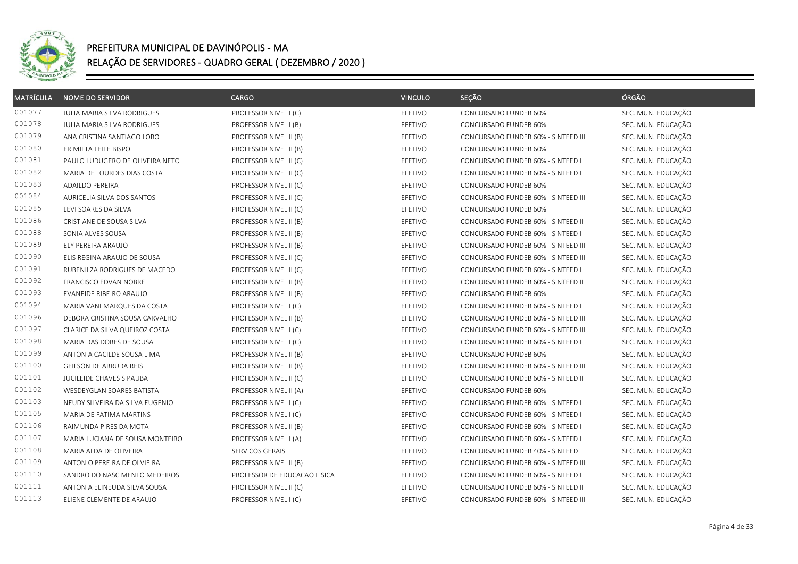

| <b>MATRÍCULA</b> | <b>NOME DO SERVIDOR</b>         | <b>CARGO</b>                 | <b>VINCULO</b> | SEÇÃO                               | ÓRGÃO              |
|------------------|---------------------------------|------------------------------|----------------|-------------------------------------|--------------------|
| 001077           | JULIA MARIA SILVA RODRIGUES     | PROFESSOR NIVEL I (C)        | EFETIVO        | CONCURSADO FUNDEB 60%               | SEC. MUN. EDUCAÇÃO |
| 001078           | JULIA MARIA SILVA RODRIGUES     | PROFESSOR NIVEL I (B)        | EFETIVO        | CONCURSADO FUNDEB 60%               | SEC. MUN. EDUCAÇÃO |
| 001079           | ANA CRISTINA SANTIAGO LOBO      | PROFESSOR NIVEL II (B)       | EFETIVO        | CONCURSADO FUNDEB 60% - SINTEED III | SEC. MUN. EDUCAÇÃO |
| 001080           | ERIMILTA LEITE BISPO            | PROFESSOR NIVEL II (B)       | EFETIVO        | CONCURSADO FUNDEB 60%               | SEC. MUN. EDUCAÇÃO |
| 001081           | PAULO LUDUGERO DE OLIVEIRA NETO | PROFESSOR NIVEL II (C)       | EFETIVO        | CONCURSADO FUNDEB 60% - SINTEED I   | SEC. MUN. EDUCAÇÃO |
| 001082           | MARIA DE LOURDES DIAS COSTA     | PROFESSOR NIVEL II (C)       | EFETIVO        | CONCURSADO FUNDEB 60% - SINTEED I   | SEC. MUN. EDUCAÇÃO |
| 001083           | <b>ADAILDO PEREIRA</b>          | PROFESSOR NIVEL II (C)       | EFETIVO        | CONCURSADO FUNDEB 60%               | SEC. MUN. EDUCAÇÃO |
| 001084           | AURICELIA SILVA DOS SANTOS      | PROFESSOR NIVEL II (C)       | EFETIVO        | CONCURSADO FUNDEB 60% - SINTEED III | SEC. MUN. EDUCAÇÃO |
| 001085           | LEVI SOARES DA SILVA            | PROFESSOR NIVEL II (C)       | EFETIVO        | CONCURSADO FUNDEB 60%               | SEC. MUN. EDUCAÇÃO |
| 001086           | CRISTIANE DE SOUSA SILVA        | PROFESSOR NIVEL II (B)       | EFETIVO        | CONCURSADO FUNDEB 60% - SINTEED II  | SEC. MUN. EDUCAÇÃO |
| 001088           | SONIA ALVES SOUSA               | PROFESSOR NIVEL II (B)       | EFETIVO        | CONCURSADO FUNDEB 60% - SINTEED I   | SEC. MUN. EDUCAÇÃO |
| 001089           | ELY PEREIRA ARAUJO              | PROFESSOR NIVEL II (B)       | EFETIVO        | CONCURSADO FUNDEB 60% - SINTEED III | SEC. MUN. EDUCAÇÃO |
| 001090           | ELIS REGINA ARAUJO DE SOUSA     | PROFESSOR NIVEL II (C)       | EFETIVO        | CONCURSADO FUNDEB 60% - SINTEED III | SEC. MUN. EDUCAÇÃO |
| 001091           | RUBENILZA RODRIGUES DE MACEDO   | PROFESSOR NIVEL II (C)       | EFETIVO        | CONCURSADO FUNDEB 60% - SINTEED I   | SEC. MUN. EDUCAÇÃO |
| 001092           | FRANCISCO EDVAN NOBRE           | PROFESSOR NIVEL II (B)       | EFETIVO        | CONCURSADO FUNDEB 60% - SINTEED II  | SEC. MUN. EDUCAÇÃO |
| 001093           | EVANEIDE RIBEIRO ARAUJO         | PROFESSOR NIVEL II (B)       | EFETIVO        | CONCURSADO FUNDEB 60%               | SEC. MUN. EDUCAÇÃO |
| 001094           | MARIA VANI MARQUES DA COSTA     | PROFESSOR NIVEL I (C)        | EFETIVO        | CONCURSADO FUNDEB 60% - SINTEED I   | SEC. MUN. EDUCAÇÃO |
| 001096           | DEBORA CRISTINA SOUSA CARVALHO  | PROFESSOR NIVEL II (B)       | EFETIVO        | CONCURSADO FUNDEB 60% - SINTEED III | SEC. MUN. EDUCAÇÃO |
| 001097           | CLARICE DA SILVA QUEIROZ COSTA  | PROFESSOR NIVEL I (C)        | EFETIVO        | CONCURSADO FUNDEB 60% - SINTEED III | SEC. MUN. EDUCAÇÃO |
| 001098           | MARIA DAS DORES DE SOUSA        | PROFESSOR NIVEL I (C)        | EFETIVO        | CONCURSADO FUNDEB 60% - SINTEED I   | SEC. MUN. EDUCAÇÃO |
| 001099           | ANTONIA CACILDE SOUSA LIMA      | PROFESSOR NIVEL II (B)       | EFETIVO        | CONCURSADO FUNDEB 60%               | SEC. MUN. EDUCAÇÃO |
| 001100           | GEILSON DE ARRUDA REIS          | PROFESSOR NIVEL II (B)       | EFETIVO        | CONCURSADO FUNDEB 60% - SINTEED III | SEC. MUN. EDUCAÇÃO |
| 001101           | JUCILEIDE CHAVES SIPAUBA        | PROFESSOR NIVEL II (C)       | EFETIVO        | CONCURSADO FUNDEB 60% - SINTEED II  | SEC. MUN. EDUCAÇÃO |
| 001102           | WESDEYGLAN SOARES BATISTA       | PROFESSOR NIVEL II (A)       | EFETIVO        | CONCURSADO FUNDEB 60%               | SEC. MUN. EDUCAÇÃO |
| 001103           | NEUDY SILVEIRA DA SILVA EUGENIO | PROFESSOR NIVEL I (C)        | EFETIVO        | CONCURSADO FUNDEB 60% - SINTEED I   | SEC. MUN. EDUCAÇÃO |
| 001105           | MARIA DE FATIMA MARTINS         | PROFESSOR NIVEL I (C)        | EFETIVO        | CONCURSADO FUNDEB 60% - SINTEED I   | SEC. MUN. EDUCAÇÃO |
| 001106           | RAIMUNDA PIRES DA MOTA          | PROFESSOR NIVEL II (B)       | EFETIVO        | CONCURSADO FUNDEB 60% - SINTEED I   | SEC. MUN. EDUCAÇÃO |
| 001107           | MARIA LUCIANA DE SOUSA MONTEIRO | PROFESSOR NIVEL I (A)        | EFETIVO        | CONCURSADO FUNDEB 60% - SINTEED I   | SEC. MUN. EDUCAÇÃO |
| 001108           | MARIA ALDA DE OLIVEIRA          | SERVICOS GERAIS              | EFETIVO        | CONCURSADO FUNDEB 40% - SINTEED     | SEC. MUN. EDUCAÇÃO |
| 001109           | ANTONIO PEREIRA DE OLVIEIRA     | PROFESSOR NIVEL II (B)       | EFETIVO        | CONCURSADO FUNDEB 60% - SINTEED III | SEC. MUN. EDUCAÇÃO |
| 001110           | SANDRO DO NASCIMENTO MEDEIROS   | PROFESSOR DE EDUCACAO FISICA | EFETIVO        | CONCURSADO FUNDEB 60% - SINTEED I   | SEC. MUN. EDUCAÇÃO |
| 001111           | ANTONIA ELINEUDA SILVA SOUSA    | PROFESSOR NIVEL II (C)       | EFETIVO        | CONCURSADO FUNDEB 60% - SINTEED II  | SEC. MUN. EDUCAÇÃO |
| 001113           | ELIENE CLEMENTE DE ARAUJO       | PROFESSOR NIVEL I (C)        | EFETIVO        | CONCURSADO FUNDEB 60% - SINTEED III | SEC. MUN. EDUCAÇÃO |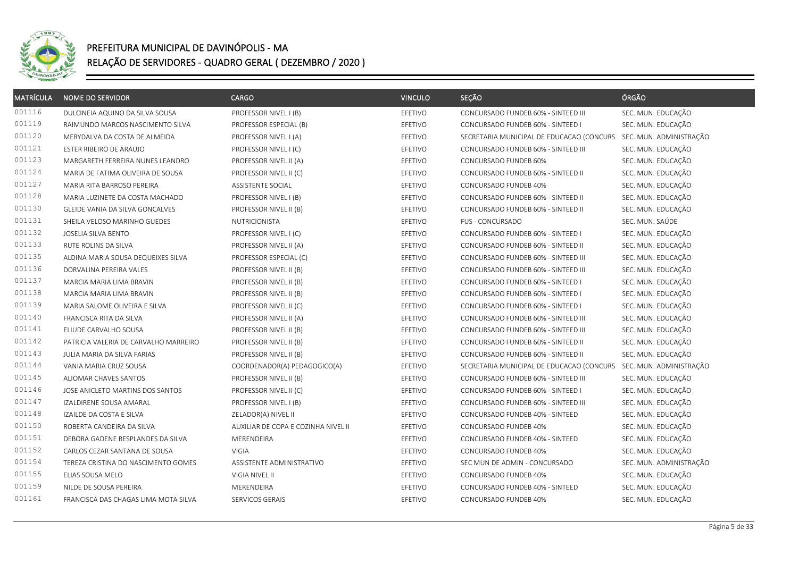

| <b>MATRÍCULA</b> | <b>NOME DO SERVIDOR</b>               | <b>CARGO</b>                        | <b>VINCULO</b> | SEÇÃO                                     | ÓRGÃO                   |
|------------------|---------------------------------------|-------------------------------------|----------------|-------------------------------------------|-------------------------|
| 001116           | DULCINEIA AQUINO DA SILVA SOUSA       | PROFESSOR NIVEL I (B)               | EFETIVO        | CONCURSADO FUNDEB 60% - SINTEED III       | SEC. MUN. EDUCAÇÃO      |
| 001119           | RAIMUNDO MARCOS NASCIMENTO SILVA      | PROFESSOR ESPECIAL (B)              | EFETIVO        | CONCURSADO FUNDEB 60% - SINTEED I         | SEC. MUN. EDUCAÇÃO      |
| 001120           | MERYDALVA DA COSTA DE ALMEIDA         | PROFESSOR NIVEL I (A)               | EFETIVO        | SECRETARIA MUNICIPAL DE EDUCACAO (CONCURS | SEC. MUN. ADMINISTRAÇÃO |
| 001121           | ESTER RIBEIRO DE ARAUJO               | PROFESSOR NIVEL I (C)               | EFETIVO        | CONCURSADO FUNDEB 60% - SINTEED III       | SEC. MUN. EDUCAÇÃO      |
| 001123           | MARGARETH FERREIRA NUNES LEANDRO      | PROFESSOR NIVEL II (A)              | EFETIVO        | CONCURSADO FUNDEB 60%                     | SEC. MUN. EDUCAÇÃO      |
| 001124           | MARIA DE FATIMA OLIVEIRA DE SOUSA     | PROFESSOR NIVEL II (C)              | EFETIVO        | CONCURSADO FUNDEB 60% - SINTEED II        | SEC. MUN. EDUCAÇÃO      |
| 001127           | MARIA RITA BARROSO PEREIRA            | <b>ASSISTENTE SOCIAL</b>            | EFETIVO        | CONCURSADO FUNDEB 40%                     | SEC. MUN. EDUCAÇÃO      |
| 001128           | MARIA LUZINETE DA COSTA MACHADO       | PROFESSOR NIVEL I (B)               | EFETIVO        | CONCURSADO FUNDEB 60% - SINTEED II        | SEC. MUN. EDUCAÇÃO      |
| 001130           | GLEIDE VANIA DA SILVA GONCALVES       | PROFESSOR NIVEL II (B)              | EFETIVO        | CONCURSADO FUNDEB 60% - SINTEED II        | SEC. MUN. EDUCAÇÃO      |
| 001131           | SHEILA VELOSO MARINHO GUEDES          | NUTRICIONISTA                       | EFETIVO        | <b>FUS - CONCURSADO</b>                   | SEC. MUN. SAÚDE         |
| 001132           | JOSELIA SILVA BENTO                   | PROFESSOR NIVEL I (C)               | EFETIVO        | CONCURSADO FUNDEB 60% - SINTEED I         | SEC. MUN. EDUCAÇÃO      |
| 001133           | RUTE ROLINS DA SILVA                  | PROFESSOR NIVEL II (A)              | EFETIVO        | CONCURSADO FUNDEB 60% - SINTEED II        | SEC. MUN. EDUCAÇÃO      |
| 001135           | ALDINA MARIA SOUSA DEQUEIXES SILVA    | PROFESSOR ESPECIAL (C)              | EFETIVO        | CONCURSADO FUNDEB 60% - SINTEED III       | SEC. MUN. EDUCAÇÃO      |
| 001136           | DORVALINA PEREIRA VALES               | PROFESSOR NIVEL II (B)              | EFETIVO        | CONCURSADO FUNDEB 60% - SINTEED III       | SEC. MUN. EDUCAÇÃO      |
| 001137           | MARCIA MARIA LIMA BRAVIN              | PROFESSOR NIVEL II (B)              | EFETIVO        | CONCURSADO FUNDEB 60% - SINTEED I         | SEC. MUN. EDUCAÇÃO      |
| 001138           | MARCIA MARIA LIMA BRAVIN              | PROFESSOR NIVEL II (B)              | EFETIVO        | CONCURSADO FUNDEB 60% - SINTEED I         | SEC. MUN. EDUCAÇÃO      |
| 001139           | MARIA SALOME OLIVEIRA E SILVA         | PROFESSOR NIVEL II (C)              | EFETIVO        | CONCURSADO FUNDEB 60% - SINTEED I         | SEC. MUN. EDUCAÇÃO      |
| 001140           | FRANCISCA RITA DA SILVA               | PROFESSOR NIVEL II (A)              | EFETIVO        | CONCURSADO FUNDEB 60% - SINTEED III       | SEC. MUN. EDUCAÇÃO      |
| 001141           | ELIUDE CARVALHO SOUSA                 | PROFESSOR NIVEL II (B)              | EFETIVO        | CONCURSADO FUNDEB 60% - SINTEED III       | SEC. MUN. EDUCAÇÃO      |
| 001142           | PATRICIA VALERIA DE CARVALHO MARREIRO | PROFESSOR NIVEL II (B)              | EFETIVO        | CONCURSADO FUNDEB 60% - SINTEED II        | SEC. MUN. EDUCAÇÃO      |
| 001143           | JULIA MARIA DA SILVA FARIAS           | PROFESSOR NIVEL II (B)              | EFETIVO        | CONCURSADO FUNDEB 60% - SINTEED II        | SEC. MUN. EDUCAÇÃO      |
| 001144           | VANIA MARIA CRUZ SOUSA                | COORDENADOR(A) PEDAGOGICO(A)        | EFETIVO        | SECRETARIA MUNICIPAL DE EDUCACAO (CONCURS | SEC. MUN. ADMINISTRAÇÃO |
| 001145           | ALIOMAR CHAVES SANTOS                 | PROFESSOR NIVEL II (B)              | EFETIVO        | CONCURSADO FUNDEB 60% - SINTEED III       | SEC. MUN. EDUCAÇÃO      |
| 001146           | JOSE ANICLETO MARTINS DOS SANTOS      | PROFESSOR NIVEL II (C)              | EFETIVO        | CONCURSADO FUNDEB 60% - SINTEED I         | SEC. MUN. EDUCAÇÃO      |
| 001147           | IZALDIRENE SOUSA AMARAL               | PROFESSOR NIVEL I (B)               | EFETIVO        | CONCURSADO FUNDEB 60% - SINTEED III       | SEC. MUN. EDUCAÇÃO      |
| 001148           | IZAILDE DA COSTA E SILVA              | ZELADOR(A) NIVEL II                 | EFETIVO        | CONCURSADO FUNDEB 40% - SINTEED           | SEC. MUN. EDUCAÇÃO      |
| 001150           | ROBERTA CANDEIRA DA SILVA             | AUXILIAR DE COPA E COZINHA NIVEL II | EFETIVO        | CONCURSADO FUNDEB 40%                     | SEC. MUN. EDUCAÇÃO      |
| 001151           | DEBORA GADENE RESPLANDES DA SILVA     | MERENDEIRA                          | EFETIVO        | CONCURSADO FUNDEB 40% - SINTEED           | SEC. MUN. EDUCAÇÃO      |
| 001152           | CARLOS CEZAR SANTANA DE SOUSA         | VIGIA                               | EFETIVO        | CONCURSADO FUNDEB 40%                     | SEC. MUN. EDUCAÇÃO      |
| 001154           | TEREZA CRISTINA DO NASCIMENTO GOMES   | ASSISTENTE ADMINISTRATIVO           | EFETIVO        | SEC MUN DE ADMIN - CONCURSADO             | SEC. MUN. ADMINISTRAÇÃO |
| 001155           | ELIAS SOUSA MELO                      | VIGIA NIVEL II                      | EFETIVO        | CONCURSADO FUNDEB 40%                     | SEC. MUN. EDUCAÇÃO      |
| 001159           | NILDE DE SOUSA PEREIRA                | MERENDEIRA                          | EFETIVO        | CONCURSADO FUNDEB 40% - SINTEED           | SEC. MUN. EDUCAÇÃO      |
| 001161           | FRANCISCA DAS CHAGAS LIMA MOTA SILVA  | SERVICOS GERAIS                     | EFETIVO        | CONCURSADO FUNDEB 40%                     | SEC. MUN. EDUCAÇÃO      |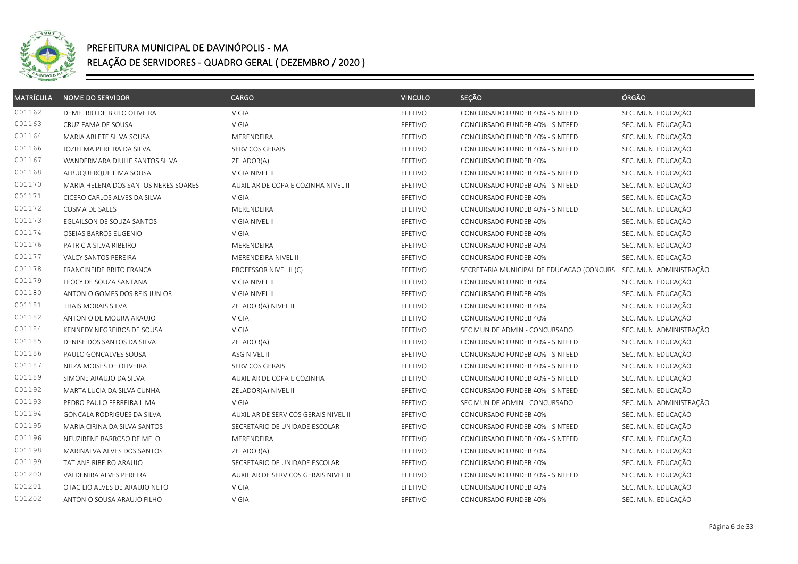

| <b>MATRÍCULA</b> | <b>NOME DO SERVIDOR</b>              | <b>CARGO</b>                         | <b>VINCULO</b> | SEÇÃO                                     | ÓRGÃO                   |
|------------------|--------------------------------------|--------------------------------------|----------------|-------------------------------------------|-------------------------|
| 001162           | DEMETRIO DE BRITO OLIVEIRA           | VIGIA                                | EFETIVO        | CONCURSADO FUNDEB 40% - SINTEED           | SEC. MUN. EDUCAÇÃO      |
| 001163           | CRUZ FAMA DE SOUSA                   | <b>VIGIA</b>                         | EFETIVO        | CONCURSADO FUNDEB 40% - SINTEED           | SEC. MUN. EDUCAÇÃO      |
| 001164           | MARIA ARLETE SILVA SOUSA             | MERENDEIRA                           | EFETIVO        | CONCURSADO FUNDEB 40% - SINTEED           | SEC. MUN. EDUCAÇÃO      |
| 001166           | JOZIELMA PEREIRA DA SILVA            | SERVICOS GERAIS                      | EFETIVO        | CONCURSADO FUNDEB 40% - SINTEED           | SEC. MUN. EDUCAÇÃO      |
| 001167           | WANDERMARA DIULIE SANTOS SILVA       | ZELADOR(A)                           | EFETIVO        | CONCURSADO FUNDEB 40%                     | SEC. MUN. EDUCAÇÃO      |
| 001168           | ALBUQUERQUE LIMA SOUSA               | VIGIA NIVEL II                       | EFETIVO        | CONCURSADO FUNDEB 40% - SINTEED           | SEC. MUN. EDUCAÇÃO      |
| 001170           | MARIA HELENA DOS SANTOS NERES SOARES | AUXILIAR DE COPA E COZINHA NIVEL II  | EFETIVO        | CONCURSADO FUNDEB 40% - SINTEED           | SEC. MUN. EDUCAÇÃO      |
| 001171           | CICERO CARLOS ALVES DA SILVA         | VIGIA                                | EFETIVO        | CONCURSADO FUNDEB 40%                     | SEC. MUN. EDUCAÇÃO      |
| 001172           | COSMA DE SALES                       | MERENDEIRA                           | EFETIVO        | CONCURSADO FUNDEB 40% - SINTEED           | SEC. MUN. EDUCAÇÃO      |
| 001173           | EGLAILSON DE SOUZA SANTOS            | VIGIA NIVEL II                       | EFETIVO        | CONCURSADO FUNDEB 40%                     | SEC. MUN. EDUCAÇÃO      |
| 001174           | OSEIAS BARROS EUGENIO                | VIGIA                                | EFETIVO        | CONCURSADO FUNDEB 40%                     | SEC. MUN. EDUCAÇÃO      |
| 001176           | PATRICIA SILVA RIBEIRO               | MERENDEIRA                           | EFETIVO        | CONCURSADO FUNDEB 40%                     | SEC. MUN. EDUCAÇÃO      |
| 001177           | VALCY SANTOS PEREIRA                 | MERENDEIRA NIVEL II                  | EFETIVO        | CONCURSADO FUNDEB 40%                     | SEC. MUN. EDUCAÇÃO      |
| 001178           | FRANCINEIDE BRITO FRANCA             | PROFESSOR NIVEL II (C)               | EFETIVO        | SECRETARIA MUNICIPAL DE EDUCACAO (CONCURS | SEC. MUN. ADMINISTRAÇÃO |
| 001179           | LEOCY DE SOUZA SANTANA               | VIGIA NIVEL II                       | EFETIVO        | CONCURSADO FUNDEB 40%                     | SEC. MUN. EDUCAÇÃO      |
| 001180           | ANTONIO GOMES DOS REIS JUNIOR        | VIGIA NIVEL II                       | EFETIVO        | CONCURSADO FUNDEB 40%                     | SEC. MUN. EDUCAÇÃO      |
| 001181           | THAIS MORAIS SILVA                   | ZELADOR(A) NIVEL II                  | EFETIVO        | CONCURSADO FUNDEB 40%                     | SEC. MUN. EDUCAÇÃO      |
| 001182           | ANTONIO DE MOURA ARAUJO              | VIGIA                                | EFETIVO        | CONCURSADO FUNDEB 40%                     | SEC. MUN. EDUCAÇÃO      |
| 001184           | KENNEDY NEGREIROS DE SOUSA           | <b>VIGIA</b>                         | EFETIVO        | SEC MUN DE ADMIN - CONCURSADO             | SEC. MUN. ADMINISTRAÇÃO |
| 001185           | DENISE DOS SANTOS DA SILVA           | ZELADOR(A)                           | EFETIVO        | CONCURSADO FUNDEB 40% - SINTEED           | SEC. MUN. EDUCAÇÃO      |
| 001186           | PAULO GONCALVES SOUSA                | ASG NIVEL II                         | EFETIVO        | CONCURSADO FUNDEB 40% - SINTEED           | SEC. MUN. EDUCAÇÃO      |
| 001187           | NILZA MOISES DE OLIVEIRA             | SERVICOS GERAIS                      | EFETIVO        | CONCURSADO FUNDEB 40% - SINTEED           | SEC. MUN. EDUCAÇÃO      |
| 001189           | SIMONE ARAUJO DA SILVA               | AUXILIAR DE COPA E COZINHA           | EFETIVO        | CONCURSADO FUNDEB 40% - SINTEED           | SEC. MUN. EDUCAÇÃO      |
| 001192           | MARTA LUCIA DA SILVA CUNHA           | ZELADOR(A) NIVEL II                  | EFETIVO        | CONCURSADO FUNDEB 40% - SINTEED           | SEC. MUN. EDUCAÇÃO      |
| 001193           | PEDRO PAULO FERREIRA LIMA            | <b>VIGIA</b>                         | EFETIVO        | SEC MUN DE ADMIN - CONCURSADO             | SEC. MUN. ADMINISTRAÇÃO |
| 001194           | GONCALA RODRIGUES DA SILVA           | AUXILIAR DE SERVICOS GERAIS NIVEL II | EFETIVO        | CONCURSADO FUNDEB 40%                     | SEC. MUN. EDUCAÇÃO      |
| 001195           | MARIA CIRINA DA SILVA SANTOS         | SECRETARIO DE UNIDADE ESCOLAR        | EFETIVO        | CONCURSADO FUNDEB 40% - SINTEED           | SEC. MUN. EDUCAÇÃO      |
| 001196           | NEUZIRENE BARROSO DE MELO            | MERENDEIRA                           | EFETIVO        | CONCURSADO FUNDEB 40% - SINTEED           | SEC. MUN. EDUCAÇÃO      |
| 001198           | MARINALVA ALVES DOS SANTOS           | ZELADOR(A)                           | EFETIVO        | CONCURSADO FUNDEB 40%                     | SEC. MUN. EDUCAÇÃO      |
| 001199           | TATIANE RIBEIRO ARAUJO               | SECRETARIO DE UNIDADE ESCOLAR        | EFETIVO        | CONCURSADO FUNDEB 40%                     | SEC. MUN. EDUCAÇÃO      |
| 001200           | VALDENIRA ALVES PEREIRA              | AUXILIAR DE SERVICOS GERAIS NIVEL II | EFETIVO        | CONCURSADO FUNDEB 40% - SINTEED           | SEC. MUN. EDUCAÇÃO      |
| 001201           | OTACILIO ALVES DE ARAUJO NETO        | VIGIA                                | EFETIVO        | CONCURSADO FUNDEB 40%                     | SEC. MUN. EDUCAÇÃO      |
| 001202           | ANTONIO SOUSA ARAUJO FILHO           | VIGIA                                | EFETIVO        | CONCURSADO FUNDEB 40%                     | SEC. MUN. EDUCAÇÃO      |
|                  |                                      |                                      |                |                                           |                         |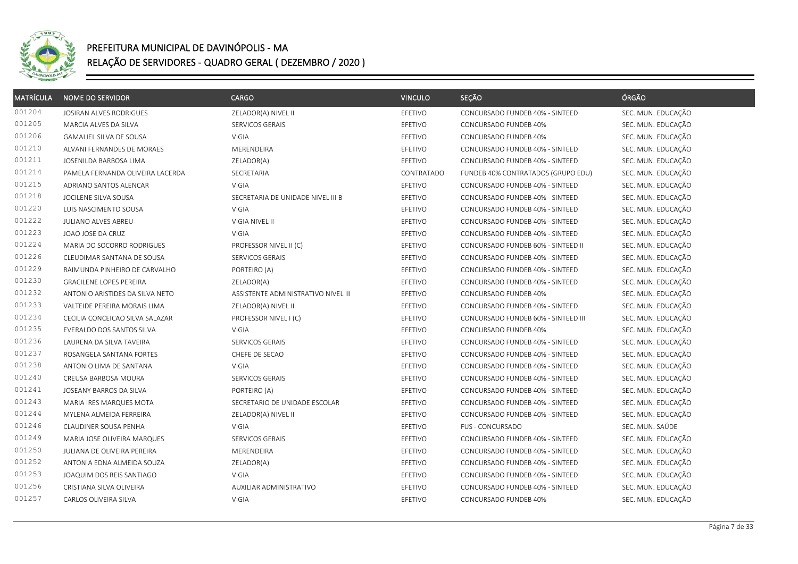

| <b>MATRÍCULA</b> | <b>NOME DO SERVIDOR</b>          | <b>CARGO</b>                        | <b>VINCULO</b> | SEÇÃO                               | ÓRGÃO              |
|------------------|----------------------------------|-------------------------------------|----------------|-------------------------------------|--------------------|
| 001204           | JOSIRAN ALVES RODRIGUES          | ZELADOR(A) NIVEL II                 | EFETIVO        | CONCURSADO FUNDEB 40% - SINTEED     | SEC. MUN. EDUCAÇÃO |
| 001205           | MARCIA ALVES DA SILVA            | SERVICOS GERAIS                     | EFETIVO        | CONCURSADO FUNDEB 40%               | SEC. MUN. EDUCAÇÃO |
| 001206           | GAMALIEL SILVA DE SOUSA          | VIGIA                               | EFETIVO        | CONCURSADO FUNDEB 40%               | SEC. MUN. EDUCAÇÃO |
| 001210           | ALVANI FERNANDES DE MORAES       | MERENDEIRA                          | EFETIVO        | CONCURSADO FUNDEB 40% - SINTEED     | SEC. MUN. EDUCAÇÃO |
| 001211           | JOSENILDA BARBOSA LIMA           | ZELADOR(A)                          | EFETIVO        | CONCURSADO FUNDEB 40% - SINTEED     | SEC. MUN. EDUCAÇÃO |
| 001214           | PAMELA FERNANDA OLIVEIRA LACERDA | SECRETARIA                          | CONTRATADO     | FUNDEB 40% CONTRATADOS (GRUPO EDU)  | SEC. MUN. EDUCAÇÃO |
| 001215           | ADRIANO SANTOS ALENCAR           | <b>VIGIA</b>                        | EFETIVO        | CONCURSADO FUNDEB 40% - SINTEED     | SEC. MUN. EDUCAÇÃO |
| 001218           | JOCILENE SILVA SOUSA             | SECRETARIA DE UNIDADE NIVEL III B   | EFETIVO        | CONCURSADO FUNDEB 40% - SINTEED     | SEC. MUN. EDUCAÇÃO |
| 001220           | LUIS NASCIMENTO SOUSA            | VIGIA                               | EFETIVO        | CONCURSADO FUNDEB 40% - SINTEED     | SEC. MUN. EDUCAÇÃO |
| 001222           | JULIANO ALVES ABREU              | VIGIA NIVEL II                      | EFETIVO        | CONCURSADO FUNDEB 40% - SINTEED     | SEC. MUN. EDUCAÇÃO |
| 001223           | JOAO JOSE DA CRUZ                | <b>VIGIA</b>                        | EFETIVO        | CONCURSADO FUNDEB 40% - SINTEED     | SEC. MUN. EDUCAÇÃO |
| 001224           | MARIA DO SOCORRO RODRIGUES       | PROFESSOR NIVEL II (C)              | EFETIVO        | CONCURSADO FUNDEB 60% - SINTEED II  | SEC. MUN. EDUCAÇÃO |
| 001226           | CLEUDIMAR SANTANA DE SOUSA       | SERVICOS GERAIS                     | EFETIVO        | CONCURSADO FUNDEB 40% - SINTEED     | SEC. MUN. EDUCAÇÃO |
| 001229           | RAIMUNDA PINHEIRO DE CARVALHO    | PORTEIRO (A)                        | EFETIVO        | CONCURSADO FUNDEB 40% - SINTEED     | SEC. MUN. EDUCAÇÃO |
| 001230           | <b>GRACILENE LOPES PEREIRA</b>   | ZELADOR(A)                          | EFETIVO        | CONCURSADO FUNDEB 40% - SINTEED     | SEC. MUN. EDUCAÇÃO |
| 001232           | ANTONIO ARISTIDES DA SILVA NETO  | ASSISTENTE ADMINISTRATIVO NIVEL III | EFETIVO        | CONCURSADO FUNDEB 40%               | SEC. MUN. EDUCAÇÃO |
| 001233           | VALTEIDE PEREIRA MORAIS LIMA     | ZELADOR(A) NIVEL II                 | EFETIVO        | CONCURSADO FUNDEB 40% - SINTEED     | SEC. MUN. EDUCAÇÃO |
| 001234           | CECILIA CONCEICAO SILVA SALAZAR  | PROFESSOR NIVEL I (C)               | EFETIVO        | CONCURSADO FUNDEB 60% - SINTEED III | SEC. MUN. EDUCAÇÃO |
| 001235           | EVERALDO DOS SANTOS SILVA        | <b>VIGIA</b>                        | EFETIVO        | CONCURSADO FUNDEB 40%               | SEC. MUN. EDUCAÇÃO |
| 001236           | LAURENA DA SILVA TAVEIRA         | SERVICOS GERAIS                     | EFETIVO        | CONCURSADO FUNDEB 40% - SINTEED     | SEC. MUN. EDUCAÇÃO |
| 001237           | ROSANGELA SANTANA FORTES         | CHEFE DE SECAO                      | EFETIVO        | CONCURSADO FUNDEB 40% - SINTEED     | SEC. MUN. EDUCAÇÃO |
| 001238           | ANTONIO LIMA DE SANTANA          | <b>VIGIA</b>                        | EFETIVO        | CONCURSADO FUNDEB 40% - SINTEED     | SEC. MUN. EDUCAÇÃO |
| 001240           | CREUSA BARBOSA MOURA             | SERVICOS GERAIS                     | EFETIVO        | CONCURSADO FUNDEB 40% - SINTEED     | SEC. MUN. EDUCAÇÃO |
| 001241           | JOSEANY BARROS DA SILVA          | PORTEIRO (A)                        | EFETIVO        | CONCURSADO FUNDEB 40% - SINTEED     | SEC. MUN. EDUCAÇÃO |
| 001243           | MARIA IRES MARQUES MOTA          | SECRETARIO DE UNIDADE ESCOLAR       | EFETIVO        | CONCURSADO FUNDEB 40% - SINTEED     | SEC. MUN. EDUCAÇÃO |
| 001244           | MYLENA ALMEIDA FERREIRA          | ZELADOR(A) NIVEL II                 | EFETIVO        | CONCURSADO FUNDEB 40% - SINTEED     | SEC. MUN. EDUCAÇÃO |
| 001246           | CLAUDINER SOUSA PENHA            | VIGIA                               | EFETIVO        | FUS - CONCURSADO                    | SEC. MUN. SAÚDE    |
| 001249           | MARIA JOSE OLIVEIRA MARQUES      | SERVICOS GERAIS                     | EFETIVO        | CONCURSADO FUNDEB 40% - SINTEED     | SEC. MUN. EDUCAÇÃO |
| 001250           | JULIANA DE OLIVEIRA PEREIRA      | MERENDEIRA                          | EFETIVO        | CONCURSADO FUNDEB 40% - SINTEED     | SEC. MUN. EDUCAÇÃO |
| 001252           | ANTONIA EDNA ALMEIDA SOUZA       | ZELADOR(A)                          | EFETIVO        | CONCURSADO FUNDEB 40% - SINTEED     | SEC. MUN. EDUCAÇÃO |
| 001253           | JOAQUIM DOS REIS SANTIAGO        | VIGIA                               | EFETIVO        | CONCURSADO FUNDEB 40% - SINTEED     | SEC. MUN. EDUCAÇÃO |
| 001256           | CRISTIANA SILVA OLIVEIRA         | AUXILIAR ADMINISTRATIVO             | EFETIVO        | CONCURSADO FUNDEB 40% - SINTEED     | SEC. MUN. EDUCAÇÃO |
| 001257           | CARLOS OLIVEIRA SILVA            | VIGIA                               | EFETIVO        | CONCURSADO FUNDEB 40%               | SEC. MUN. EDUCAÇÃO |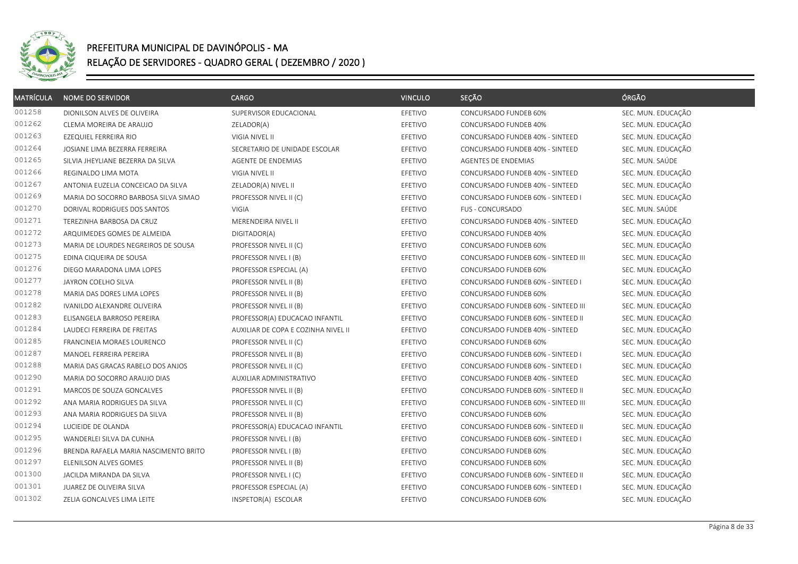

| <b>MATRÍCULA</b> | <b>NOME DO SERVIDOR</b>               | CARGO                               | <b>VINCULO</b> | SEÇÃO                               | ÓRGÃO              |
|------------------|---------------------------------------|-------------------------------------|----------------|-------------------------------------|--------------------|
| 001258           | DIONILSON ALVES DE OLIVEIRA           | SUPERVISOR EDUCACIONAL              | EFETIVO        | CONCURSADO FUNDEB 60%               | SEC. MUN. EDUCAÇÃO |
| 001262           | CLEMA MOREIRA DE ARAUJO               | ZELADOR(A)                          | EFETIVO        | CONCURSADO FUNDEB 40%               | SEC. MUN. EDUCAÇÃO |
| 001263           | EZEQUIEL FERREIRA RIO                 | VIGIA NIVEL II                      | EFETIVO        | CONCURSADO FUNDEB 40% - SINTEED     | SEC. MUN. EDUCAÇÃO |
| 001264           | JOSIANE LIMA BEZERRA FERREIRA         | SECRETARIO DE UNIDADE ESCOLAR       | EFETIVO        | CONCURSADO FUNDEB 40% - SINTEED     | SEC. MUN. EDUCAÇÃO |
| 001265           | SILVIA JHEYLIANE BEZERRA DA SILVA     | AGENTE DE ENDEMIAS                  | EFETIVO        | AGENTES DE ENDEMIAS                 | SEC. MUN. SAÚDE    |
| 001266           | REGINALDO LIMA MOTA                   | VIGIA NIVEL II                      | EFETIVO        | CONCURSADO FUNDEB 40% - SINTEED     | SEC. MUN. EDUCAÇÃO |
| 001267           | ANTONIA EUZELIA CONCEICAO DA SILVA    | ZELADOR(A) NIVEL II                 | EFETIVO        | CONCURSADO FUNDEB 40% - SINTEED     | SEC. MUN. EDUCAÇÃO |
| 001269           | MARIA DO SOCORRO BARBOSA SILVA SIMAO  | PROFESSOR NIVEL II (C)              | EFETIVO        | CONCURSADO FUNDEB 60% - SINTEED I   | SEC. MUN. EDUCAÇÃO |
| 001270           | DORIVAL RODRIGUES DOS SANTOS          | VIGIA                               | EFETIVO        | FUS - CONCURSADO                    | SEC. MUN. SAÚDE    |
| 001271           | TEREZINHA BARBOSA DA CRUZ             | MERENDEIRA NIVEL II                 | EFETIVO        | CONCURSADO FUNDEB 40% - SINTEED     | SEC. MUN. EDUCAÇÃO |
| 001272           | ARQUIMEDES GOMES DE ALMEIDA           | DIGITADOR(A)                        | EFETIVO        | CONCURSADO FUNDEB 40%               | SEC. MUN. EDUCAÇÃO |
| 001273           | MARIA DE LOURDES NEGREIROS DE SOUSA   | PROFESSOR NIVEL II (C)              | EFETIVO        | CONCURSADO FUNDEB 60%               | SEC. MUN. EDUCAÇÃO |
| 001275           | EDINA CIQUEIRA DE SOUSA               | PROFESSOR NIVEL I (B)               | EFETIVO        | CONCURSADO FUNDEB 60% - SINTEED III | SEC. MUN. EDUCAÇÃO |
| 001276           | DIEGO MARADONA LIMA LOPES             | PROFESSOR ESPECIAL (A)              | EFETIVO        | CONCURSADO FUNDEB 60%               | SEC. MUN. EDUCAÇÃO |
| 001277           | JAYRON COELHO SILVA                   | PROFESSOR NIVEL II (B)              | EFETIVO        | CONCURSADO FUNDEB 60% - SINTEED I   | SEC. MUN. EDUCAÇÃO |
| 001278           | MARIA DAS DORES LIMA LOPES            | PROFESSOR NIVEL II (B)              | EFETIVO        | CONCURSADO FUNDEB 60%               | SEC. MUN. EDUCAÇÃO |
| 001282           | IVANILDO ALEXANDRE OLIVEIRA           | PROFESSOR NIVEL II (B)              | EFETIVO        | CONCURSADO FUNDEB 60% - SINTEED III | SEC. MUN. EDUCAÇÃO |
| 001283           | ELISANGELA BARROSO PEREIRA            | PROFESSOR(A) EDUCACAO INFANTIL      | EFETIVO        | CONCURSADO FUNDEB 60% - SINTEED II  | SEC. MUN. EDUCAÇÃO |
| 001284           | LAUDECI FERREIRA DE FREITAS           | AUXILIAR DE COPA E COZINHA NIVEL II | EFETIVO        | CONCURSADO FUNDEB 40% - SINTEED     | SEC. MUN. EDUCAÇÃO |
| 001285           | FRANCINEIA MORAES LOURENCO            | PROFESSOR NIVEL II (C)              | EFETIVO        | CONCURSADO FUNDEB 60%               | SEC. MUN. EDUCAÇÃO |
| 001287           | MANOEL FERREIRA PEREIRA               | PROFESSOR NIVEL II (B)              | EFETIVO        | CONCURSADO FUNDEB 60% - SINTEED I   | SEC. MUN. EDUCAÇÃO |
| 001288           | MARIA DAS GRACAS RABELO DOS ANJOS     | PROFESSOR NIVEL II (C)              | EFETIVO        | CONCURSADO FUNDEB 60% - SINTEED I   | SEC. MUN. EDUCAÇÃO |
| 001290           | MARIA DO SOCORRO ARAUJO DIAS          | AUXILIAR ADMINISTRATIVO             | EFETIVO        | CONCURSADO FUNDEB 40% - SINTEED     | SEC. MUN. EDUCAÇÃO |
| 001291           | MARCOS DE SOUZA GONCALVES             | PROFESSOR NIVEL II (B)              | EFETIVO        | CONCURSADO FUNDEB 60% - SINTEED II  | SEC. MUN. EDUCAÇÃO |
| 001292           | ANA MARIA RODRIGUES DA SILVA          | PROFESSOR NIVEL II (C)              | EFETIVO        | CONCURSADO FUNDEB 60% - SINTEED III | SEC. MUN. EDUCAÇÃO |
| 001293           | ANA MARIA RODRIGUES DA SILVA          | PROFESSOR NIVEL II (B)              | EFETIVO        | CONCURSADO FUNDEB 60%               | SEC. MUN. EDUCAÇÃO |
| 001294           | LUCIEIDE DE OLANDA                    | PROFESSOR(A) EDUCACAO INFANTIL      | EFETIVO        | CONCURSADO FUNDEB 60% - SINTEED II  | SEC. MUN. EDUCAÇÃO |
| 001295           | WANDERLEI SILVA DA CUNHA              | PROFESSOR NIVEL I (B)               | EFETIVO        | CONCURSADO FUNDEB 60% - SINTEED I   | SEC. MUN. EDUCAÇÃO |
| 001296           | BRENDA RAFAELA MARIA NASCIMENTO BRITO | PROFESSOR NIVEL I (B)               | EFETIVO        | CONCURSADO FUNDEB 60%               | SEC. MUN. EDUCAÇÃO |
| 001297           | ELENILSON ALVES GOMES                 | PROFESSOR NIVEL II (B)              | EFETIVO        | CONCURSADO FUNDEB 60%               | SEC. MUN. EDUCAÇÃO |
| 001300           | JACILDA MIRANDA DA SILVA              | PROFESSOR NIVEL I (C)               | EFETIVO        | CONCURSADO FUNDEB 60% - SINTEED II  | SEC. MUN. EDUCAÇÃO |
| 001301           | JUAREZ DE OLIVEIRA SILVA              | PROFESSOR ESPECIAL (A)              | EFETIVO        | CONCURSADO FUNDEB 60% - SINTEED I   | SEC. MUN. EDUCAÇÃO |
| 001302           | ZELIA GONCALVES LIMA LEITE            | INSPETOR(A) ESCOLAR                 | EFETIVO        | CONCURSADO FUNDEB 60%               | SEC. MUN. EDUCAÇÃO |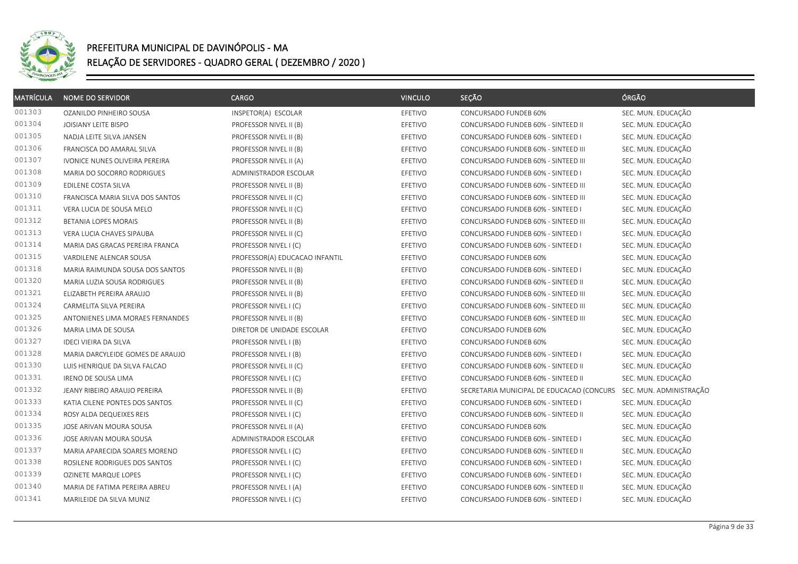

| <b>MATRÍCULA</b> | <b>NOME DO SERVIDOR</b>          | CARGO                          | <b>VINCULO</b> | SEÇÃO                                     | ÓRGÃO                   |
|------------------|----------------------------------|--------------------------------|----------------|-------------------------------------------|-------------------------|
| 001303           | OZANILDO PINHEIRO SOUSA          | INSPETOR(A) ESCOLAR            | EFETIVO        | CONCURSADO FUNDEB 60%                     | SEC. MUN. EDUCAÇÃO      |
| 001304           | JOISIANY LEITE BISPO             | PROFESSOR NIVEL II (B)         | EFETIVO        | CONCURSADO FUNDEB 60% - SINTEED II        | SEC. MUN. EDUCAÇÃO      |
| 001305           | NADJA LEITE SILVA JANSEN         | PROFESSOR NIVEL II (B)         | EFETIVO        | CONCURSADO FUNDEB 60% - SINTEED I         | SEC. MUN. EDUCAÇÃO      |
| 001306           | FRANCISCA DO AMARAL SILVA        | PROFESSOR NIVEL II (B)         | EFETIVO        | CONCURSADO FUNDEB 60% - SINTEED III       | SEC. MUN. EDUCAÇÃO      |
| 001307           | IVONICE NUNES OLIVEIRA PEREIRA   | PROFESSOR NIVEL II (A)         | EFETIVO        | CONCURSADO FUNDEB 60% - SINTEED III       | SEC. MUN. EDUCAÇÃO      |
| 001308           | MARIA DO SOCORRO RODRIGUES       | ADMINISTRADOR ESCOLAR          | EFETIVO        | CONCURSADO FUNDEB 60% - SINTEED I         | SEC. MUN. EDUCAÇÃO      |
| 001309           | EDILENE COSTA SILVA              | PROFESSOR NIVEL II (B)         | EFETIVO        | CONCURSADO FUNDEB 60% - SINTEED III       | SEC. MUN. EDUCAÇÃO      |
| 001310           | FRANCISCA MARIA SILVA DOS SANTOS | PROFESSOR NIVEL II (C)         | EFETIVO        | CONCURSADO FUNDEB 60% - SINTEED III       | SEC. MUN. EDUCAÇÃO      |
| 001311           | VERA LUCIA DE SOUSA MELO         | PROFESSOR NIVEL II (C)         | EFETIVO        | CONCURSADO FUNDEB 60% - SINTEED I         | SEC. MUN. EDUCAÇÃO      |
| 001312           | BETANIA LOPES MORAIS             | PROFESSOR NIVEL II (B)         | EFETIVO        | CONCURSADO FUNDEB 60% - SINTEED III       | SEC. MUN. EDUCAÇÃO      |
| 001313           | VERA LUCIA CHAVES SIPAUBA        | PROFESSOR NIVEL II (C)         | EFETIVO        | CONCURSADO FUNDEB 60% - SINTEED I         | SEC. MUN. EDUCAÇÃO      |
| 001314           | MARIA DAS GRACAS PEREIRA FRANCA  | PROFESSOR NIVEL I (C)          | EFETIVO        | CONCURSADO FUNDEB 60% - SINTEED I         | SEC. MUN. EDUCAÇÃO      |
| 001315           | VARDILENE ALENCAR SOUSA          | PROFESSOR(A) EDUCACAO INFANTIL | EFETIVO        | CONCURSADO FUNDEB 60%                     | SEC. MUN. EDUCAÇÃO      |
| 001318           | MARIA RAIMUNDA SOUSA DOS SANTOS  | PROFESSOR NIVEL II (B)         | EFETIVO        | CONCURSADO FUNDEB 60% - SINTEED I         | SEC. MUN. EDUCAÇÃO      |
| 001320           | MARIA LUZIA SOUSA RODRIGUES      | PROFESSOR NIVEL II (B)         | EFETIVO        | CONCURSADO FUNDEB 60% - SINTEED II        | SEC. MUN. EDUCAÇÃO      |
| 001321           | ELIZABETH PEREIRA ARAUJO         | PROFESSOR NIVEL II (B)         | EFETIVO        | CONCURSADO FUNDEB 60% - SINTEED III       | SEC. MUN. EDUCAÇÃO      |
| 001324           | CARMELITA SILVA PEREIRA          | PROFESSOR NIVEL I (C)          | EFETIVO        | CONCURSADO FUNDEB 60% - SINTEED III       | SEC. MUN. EDUCAÇÃO      |
| 001325           | ANTONIENES LIMA MORAES FERNANDES | PROFESSOR NIVEL II (B)         | EFETIVO        | CONCURSADO FUNDEB 60% - SINTEED III       | SEC. MUN. EDUCAÇÃO      |
| 001326           | MARIA LIMA DE SOUSA              | DIRETOR DE UNIDADE ESCOLAR     | EFETIVO        | CONCURSADO FUNDEB 60%                     | SEC. MUN. EDUCAÇÃO      |
| 001327           | <b>IDECI VIEIRA DA SILVA</b>     | PROFESSOR NIVEL I (B)          | EFETIVO        | CONCURSADO FUNDEB 60%                     | SEC. MUN. EDUCAÇÃO      |
| 001328           | MARIA DARCYLEIDE GOMES DE ARAUJO | PROFESSOR NIVEL I (B)          | EFETIVO        | CONCURSADO FUNDEB 60% - SINTEED I         | SEC. MUN. EDUCAÇÃO      |
| 001330           | LUIS HENRIQUE DA SILVA FALCAO    | PROFESSOR NIVEL II (C)         | EFETIVO        | CONCURSADO FUNDEB 60% - SINTEED II        | SEC. MUN. EDUCAÇÃO      |
| 001331           | IRENO DE SOUSA LIMA              | PROFESSOR NIVEL I (C)          | EFETIVO        | CONCURSADO FUNDEB 60% - SINTEED II        | SEC. MUN. EDUCAÇÃO      |
| 001332           | JEANY RIBEIRO ARAUJO PEREIRA     | PROFESSOR NIVEL II (B)         | EFETIVO        | SECRETARIA MUNICIPAL DE EDUCACAO (CONCURS | SEC. MUN. ADMINISTRAÇÃO |
| 001333           | KATIA CILENE PONTES DOS SANTOS   | PROFESSOR NIVEL II (C)         | EFETIVO        | CONCURSADO FUNDEB 60% - SINTEED I         | SEC. MUN. EDUCAÇÃO      |
| 001334           | ROSY ALDA DEQUEIXES REIS         | PROFESSOR NIVEL I (C)          | EFETIVO        | CONCURSADO FUNDEB 60% - SINTEED II        | SEC. MUN. EDUCAÇÃO      |
| 001335           | JOSE ARIVAN MOURA SOUSA          | PROFESSOR NIVEL II (A)         | EFETIVO        | CONCURSADO FUNDEB 60%                     | SEC. MUN. EDUCAÇÃO      |
| 001336           | JOSE ARIVAN MOURA SOUSA          | ADMINISTRADOR ESCOLAR          | EFETIVO        | CONCURSADO FUNDEB 60% - SINTEED I         | SEC. MUN. EDUCAÇÃO      |
| 001337           | MARIA APARECIDA SOARES MORENO    | PROFESSOR NIVEL I (C)          | EFETIVO        | CONCURSADO FUNDEB 60% - SINTEED II        | SEC. MUN. EDUCAÇÃO      |
| 001338           | ROSILENE RODRIGUES DOS SANTOS    | PROFESSOR NIVEL I (C)          | EFETIVO        | CONCURSADO FUNDEB 60% - SINTEED I         | SEC. MUN. EDUCAÇÃO      |
| 001339           | OZINETE MARQUE LOPES             | PROFESSOR NIVEL I (C)          | EFETIVO        | CONCURSADO FUNDEB 60% - SINTEED I         | SEC. MUN. EDUCAÇÃO      |
| 001340           | MARIA DE FATIMA PEREIRA ABREU    | PROFESSOR NIVEL I (A)          | EFETIVO        | CONCURSADO FUNDEB 60% - SINTEED II        | SEC. MUN. EDUCAÇÃO      |
| 001341           | MARILEIDE DA SILVA MUNIZ         | PROFESSOR NIVEL I (C)          | EFETIVO        | CONCURSADO FUNDEB 60% - SINTEED I         | SEC. MUN. EDUCAÇÃO      |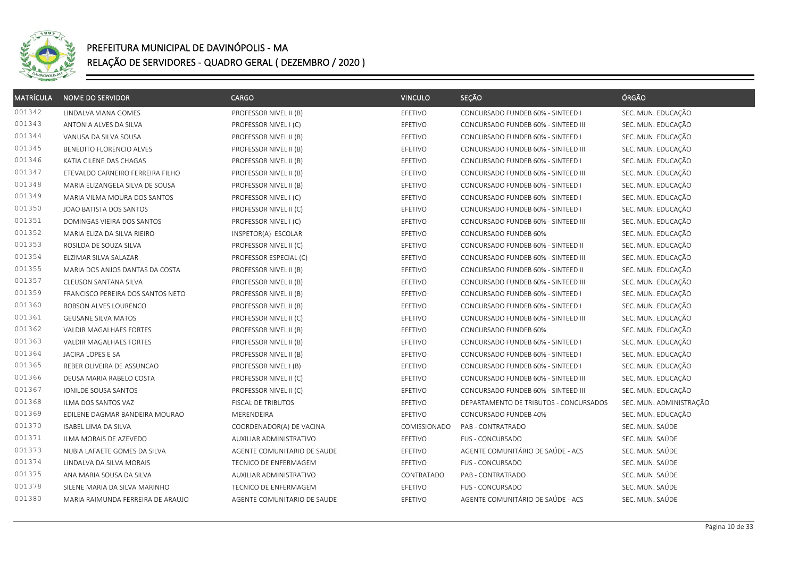

| <b>MATRÍCULA</b> | <b>NOME DO SERVIDOR</b>           | <b>CARGO</b>                | <b>VINCULO</b> | SEÇÃO                                  | ÓRGÃO                   |
|------------------|-----------------------------------|-----------------------------|----------------|----------------------------------------|-------------------------|
| 001342           | LINDALVA VIANA GOMES              | PROFESSOR NIVEL II (B)      | EFETIVO        | CONCURSADO FUNDEB 60% - SINTEED I      | SEC. MUN. EDUCAÇÃO      |
| 001343           | ANTONIA ALVES DA SILVA            | PROFESSOR NIVEL I (C)       | EFETIVO        | CONCURSADO FUNDEB 60% - SINTEED III    | SEC. MUN. EDUCAÇÃO      |
| 001344           | VANUSA DA SILVA SOUSA             | PROFESSOR NIVEL II (B)      | EFETIVO        | CONCURSADO FUNDEB 60% - SINTEED I      | SEC. MUN. EDUCAÇÃO      |
| 001345           | BENEDITO FLORENCIO ALVES          | PROFESSOR NIVEL II (B)      | EFETIVO        | CONCURSADO FUNDEB 60% - SINTEED III    | SEC. MUN. EDUCAÇÃO      |
| 001346           | KATIA CILENE DAS CHAGAS           | PROFESSOR NIVEL II (B)      | EFETIVO        | CONCURSADO FUNDEB 60% - SINTEED I      | SEC. MUN. EDUCAÇÃO      |
| 001347           | ETEVALDO CARNEIRO FERREIRA FILHO  | PROFESSOR NIVEL II (B)      | EFETIVO        | CONCURSADO FUNDEB 60% - SINTEED III    | SEC. MUN. EDUCAÇÃO      |
| 001348           | MARIA ELIZANGELA SILVA DE SOUSA   | PROFESSOR NIVEL II (B)      | EFETIVO        | CONCURSADO FUNDEB 60% - SINTEED I      | SEC. MUN. EDUCAÇÃO      |
| 001349           | MARIA VILMA MOURA DOS SANTOS      | PROFESSOR NIVEL I (C)       | EFETIVO        | CONCURSADO FUNDEB 60% - SINTEED I      | SEC. MUN. EDUCAÇÃO      |
| 001350           | JOAO BATISTA DOS SANTOS           | PROFESSOR NIVEL II (C)      | EFETIVO        | CONCURSADO FUNDEB 60% - SINTEED I      | SEC. MUN. EDUCAÇÃO      |
| 001351           | DOMINGAS VIEIRA DOS SANTOS        | PROFESSOR NIVEL I (C)       | EFETIVO        | CONCURSADO FUNDEB 60% - SINTEED III    | SEC. MUN. EDUCAÇÃO      |
| 001352           | MARIA ELIZA DA SILVA RIEIRO       | INSPETOR(A) ESCOLAR         | EFETIVO        | CONCURSADO FUNDEB 60%                  | SEC. MUN. EDUCAÇÃO      |
| 001353           | ROSILDA DE SOUZA SILVA            | PROFESSOR NIVEL II (C)      | EFETIVO        | CONCURSADO FUNDEB 60% - SINTEED II     | SEC. MUN. EDUCAÇÃO      |
| 001354           | ELZIMAR SILVA SALAZAR             | PROFESSOR ESPECIAL (C)      | EFETIVO        | CONCURSADO FUNDEB 60% - SINTEED III    | SEC. MUN. EDUCAÇÃO      |
| 001355           | MARIA DOS ANJOS DANTAS DA COSTA   | PROFESSOR NIVEL II (B)      | EFETIVO        | CONCURSADO FUNDEB 60% - SINTEED II     | SEC. MUN. EDUCAÇÃO      |
| 001357           | CLEUSON SANTANA SILVA             | PROFESSOR NIVEL II (B)      | EFETIVO        | CONCURSADO FUNDEB 60% - SINTEED III    | SEC. MUN. EDUCAÇÃO      |
| 001359           | FRANCISCO PEREIRA DOS SANTOS NETO | PROFESSOR NIVEL II (B)      | EFETIVO        | CONCURSADO FUNDEB 60% - SINTEED I      | SEC. MUN. EDUCAÇÃO      |
| 001360           | ROBSON ALVES LOURENCO             | PROFESSOR NIVEL II (B)      | EFETIVO        | CONCURSADO FUNDEB 60% - SINTEED I      | SEC. MUN. EDUCAÇÃO      |
| 001361           | <b>GEUSANE SILVA MATOS</b>        | PROFESSOR NIVEL II (C)      | EFETIVO        | CONCURSADO FUNDEB 60% - SINTEED III    | SEC. MUN. EDUCAÇÃO      |
| 001362           | VALDIR MAGALHAES FORTES           | PROFESSOR NIVEL II (B)      | EFETIVO        | CONCURSADO FUNDEB 60%                  | SEC. MUN. EDUCAÇÃO      |
| 001363           | <b>VALDIR MAGALHAES FORTES</b>    | PROFESSOR NIVEL II (B)      | EFETIVO        | CONCURSADO FUNDEB 60% - SINTEED I      | SEC. MUN. EDUCAÇÃO      |
| 001364           | JACIRA LOPES E SA                 | PROFESSOR NIVEL II (B)      | EFETIVO        | CONCURSADO FUNDEB 60% - SINTEED I      | SEC. MUN. EDUCAÇÃO      |
| 001365           | REBER OLIVEIRA DE ASSUNCAO        | PROFESSOR NIVEL I (B)       | EFETIVO        | CONCURSADO FUNDEB 60% - SINTEED I      | SEC. MUN. EDUCAÇÃO      |
| 001366           | DEUSA MARIA RABELO COSTA          | PROFESSOR NIVEL II (C)      | EFETIVO        | CONCURSADO FUNDEB 60% - SINTEED III    | SEC. MUN. EDUCAÇÃO      |
| 001367           | IONILDE SOUSA SANTOS              | PROFESSOR NIVEL II (C)      | EFETIVO        | CONCURSADO FUNDEB 60% - SINTEED III    | SEC. MUN. EDUCAÇÃO      |
| 001368           | ILMA DOS SANTOS VAZ               | FISCAL DE TRIBUTOS          | EFETIVO        | DEPARTAMENTO DE TRIBUTOS - CONCURSADOS | SEC. MUN. ADMINISTRAÇÃO |
| 001369           | EDILENE DAGMAR BANDEIRA MOURAO    | MERENDEIRA                  | EFETIVO        | CONCURSADO FUNDEB 40%                  | SEC. MUN. EDUCAÇÃO      |
| 001370           | <b>ISABEL LIMA DA SILVA</b>       | COORDENADOR(A) DE VACINA    | COMISSIONADO   | PAB - CONTRATRADO                      | SEC. MUN. SAÚDE         |
| 001371           | ILMA MORAIS DE AZEVEDO            | AUXILIAR ADMINISTRATIVO     | EFETIVO        | FUS - CONCURSADO                       | SEC. MUN. SAÚDE         |
| 001373           | NUBIA LAFAETE GOMES DA SILVA      | AGENTE COMUNITARIO DE SAUDE | EFETIVO        | AGENTE COMUNITÁRIO DE SAÚDE - ACS      | SEC. MUN. SAÚDE         |
| 001374           | LINDALVA DA SILVA MORAIS          | TECNICO DE ENFERMAGEM       | EFETIVO        | FUS - CONCURSADO                       | SEC. MUN. SAÚDE         |
| 001375           | ANA MARIA SOUSA DA SILVA          | AUXILIAR ADMINISTRATIVO     | CONTRATADO     | PAB - CONTRATRADO                      | SEC. MUN. SAÚDE         |
| 001378           | SILENE MARIA DA SILVA MARINHO     | TECNICO DE ENFERMAGEM       | EFETIVO        | FUS - CONCURSADO                       | SEC. MUN. SAÚDE         |
| 001380           | MARIA RAIMUNDA FERREIRA DE ARAUJO | AGENTE COMUNITARIO DE SAUDE | EFETIVO        | AGENTE COMUNITÁRIO DE SAÚDE - ACS      | SEC. MUN. SAÚDE         |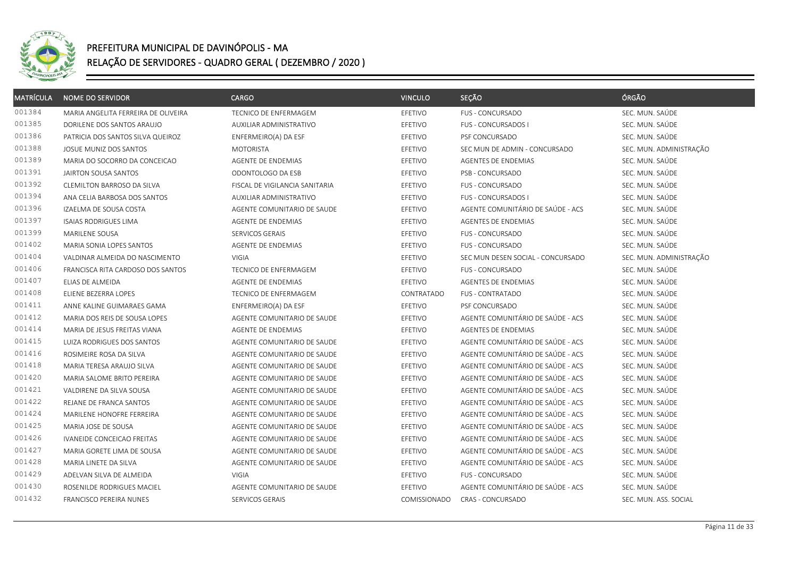

| <b>MATRÍCULA</b> | <b>NOME DO SERVIDOR</b>             | <b>CARGO</b>                   | <b>VINCULO</b> | SEÇÃO                             | ÓRGÃO                   |
|------------------|-------------------------------------|--------------------------------|----------------|-----------------------------------|-------------------------|
| 001384           | MARIA ANGELITA FERREIRA DE OLIVEIRA | <b>TECNICO DE ENFERMAGEM</b>   | EFETIVO        | <b>FUS - CONCURSADO</b>           | SEC. MUN. SAÚDE         |
| 001385           | DORILENE DOS SANTOS ARAUJO          | AUXILIAR ADMINISTRATIVO        | EFETIVO        | <b>FUS - CONCURSADOS I</b>        | SEC. MUN. SAÚDE         |
| 001386           | PATRICIA DOS SANTOS SILVA QUEIROZ   | ENFERMEIRO(A) DA ESF           | EFETIVO        | PSF CONCURSADO                    | SEC. MUN. SAÚDE         |
| 001388           | JOSUE MUNIZ DOS SANTOS              | <b>MOTORISTA</b>               | EFETIVO        | SEC MUN DE ADMIN - CONCURSADO     | SEC. MUN. ADMINISTRAÇÃO |
| 001389           | MARIA DO SOCORRO DA CONCEICAO       | AGENTE DE ENDEMIAS             | EFETIVO        | AGENTES DE ENDEMIAS               | SEC. MUN. SAÚDE         |
| 001391           | JAIRTON SOUSA SANTOS                | ODONTOLOGO DA ESB              | EFETIVO        | PSB - CONCURSADO                  | SEC. MUN. SAÚDE         |
| 001392           | CLEMILTON BARROSO DA SILVA          | FISCAL DE VIGILANCIA SANITARIA | EFETIVO        | <b>FUS - CONCURSADO</b>           | SEC. MUN. SAÚDE         |
| 001394           | ANA CELIA BARBOSA DOS SANTOS        | AUXILIAR ADMINISTRATIVO        | EFETIVO        | <b>FUS - CONCURSADOS I</b>        | SEC. MUN. SAÚDE         |
| 001396           | IZAELMA DE SOUSA COSTA              | AGENTE COMUNITARIO DE SAUDE    | EFETIVO        | AGENTE COMUNITÁRIO DE SAÚDE - ACS | SEC. MUN. SAÚDE         |
| 001397           | <b>ISAIAS RODRIGUES LIMA</b>        | AGENTE DE ENDEMIAS             | EFETIVO        | <b>AGENTES DE ENDEMIAS</b>        | SEC. MUN. SAÚDE         |
| 001399           | MARILENE SOUSA                      | SERVICOS GERAIS                | EFETIVO        | FUS - CONCURSADO                  | SEC. MUN. SAÚDE         |
| 001402           | MARIA SONIA LOPES SANTOS            | AGENTE DE ENDEMIAS             | EFETIVO        | <b>FUS - CONCURSADO</b>           | SEC. MUN. SAÚDE         |
| 001404           | VALDINAR ALMEIDA DO NASCIMENTO      | <b>VIGIA</b>                   | EFETIVO        | SEC MUN DESEN SOCIAL - CONCURSADO | SEC. MUN. ADMINISTRAÇÃO |
| 001406           | FRANCISCA RITA CARDOSO DOS SANTOS   | <b>TECNICO DE ENFERMAGEM</b>   | EFETIVO        | <b>FUS - CONCURSADO</b>           | SEC. MUN. SAÚDE         |
| 001407           | ELIAS DE ALMEIDA                    | AGENTE DE ENDEMIAS             | EFETIVO        | <b>AGENTES DE ENDEMIAS</b>        | SEC. MUN. SAÚDE         |
| 001408           | ELIENE BEZERRA LOPES                | <b>TECNICO DE ENFERMAGEM</b>   | CONTRATADO     | FUS - CONTRATADO                  | SEC. MUN. SAÚDE         |
| 001411           | ANNE KALINE GUIMARAES GAMA          | ENFERMEIRO(A) DA ESF           | EFETIVO        | PSF CONCURSADO                    | SEC. MUN. SAÚDE         |
| 001412           | MARIA DOS REIS DE SOUSA LOPES       | AGENTE COMUNITARIO DE SAUDE    | EFETIVO        | AGENTE COMUNITÁRIO DE SAÚDE - ACS | SEC. MUN. SAÚDE         |
| 001414           | MARIA DE JESUS FREITAS VIANA        | AGENTE DE ENDEMIAS             | EFETIVO        | AGENTES DE ENDEMIAS               | SEC. MUN. SAÚDE         |
| 001415           | LUIZA RODRIGUES DOS SANTOS          | AGENTE COMUNITARIO DE SAUDE    | EFETIVO        | AGENTE COMUNITÁRIO DE SAÚDE - ACS | SEC. MUN. SAÚDE         |
| 001416           | ROSIMEIRE ROSA DA SILVA             | AGENTE COMUNITARIO DE SAUDE    | EFETIVO        | AGENTE COMUNITÁRIO DE SAÚDE - ACS | SEC. MUN. SAÚDE         |
| 001418           | MARIA TERESA ARAUJO SILVA           | AGENTE COMUNITARIO DE SAUDE    | EFETIVO        | AGENTE COMUNITÁRIO DE SAÚDE - ACS | SEC. MUN. SAÚDE         |
| 001420           | MARIA SALOME BRITO PEREIRA          | AGENTE COMUNITARIO DE SAUDE    | EFETIVO        | AGENTE COMUNITÁRIO DE SAÚDE - ACS | SEC. MUN. SAÚDE         |
| 001421           | VALDIRENE DA SILVA SOUSA            | AGENTE COMUNITARIO DE SAUDE    | EFETIVO        | AGENTE COMUNITÁRIO DE SAÚDE - ACS | SEC. MUN. SAÚDE         |
| 001422           | REJANE DE FRANCA SANTOS             | AGENTE COMUNITARIO DE SAUDE    | EFETIVO        | AGENTE COMUNITÁRIO DE SAÚDE - ACS | SEC. MUN. SAÚDE         |
| 001424           | MARILENE HONOFRE FERREIRA           | AGENTE COMUNITARIO DE SAUDE    | EFETIVO        | AGENTE COMUNITÁRIO DE SAÚDE - ACS | SEC. MUN. SAÚDE         |
| 001425           | MARIA JOSE DE SOUSA                 | AGENTE COMUNITARIO DE SAUDE    | EFETIVO        | AGENTE COMUNITÁRIO DE SAÚDE - ACS | SEC. MUN. SAÚDE         |
| 001426           | <b>IVANEIDE CONCEICAO FREITAS</b>   | AGENTE COMUNITARIO DE SAUDE    | EFETIVO        | AGENTE COMUNITÁRIO DE SAÚDE - ACS | SEC. MUN. SAÚDE         |
| 001427           | MARIA GORETE LIMA DE SOUSA          | AGENTE COMUNITARIO DE SAUDE    | EFETIVO        | AGENTE COMUNITÁRIO DE SAÚDE - ACS | SEC. MUN. SAÚDE         |
| 001428           | MARIA LINETE DA SILVA               | AGENTE COMUNITARIO DE SAUDE    | EFETIVO        | AGENTE COMUNITÁRIO DE SAÚDE - ACS | SEC. MUN. SAÚDE         |
| 001429           | ADELVAN SILVA DE ALMEIDA            | <b>VIGIA</b>                   | EFETIVO        | <b>FUS - CONCURSADO</b>           | SEC. MUN. SAÚDE         |
| 001430           | ROSENILDE RODRIGUES MACIEL          | AGENTE COMUNITARIO DE SAUDE    | EFETIVO        | AGENTE COMUNITÁRIO DE SAÚDE - ACS | SEC. MUN. SAÚDE         |
| 001432           | FRANCISCO PEREIRA NUNES             | SERVICOS GERAIS                | COMISSIONADO   | CRAS - CONCURSADO                 | SEC. MUN. ASS. SOCIAL   |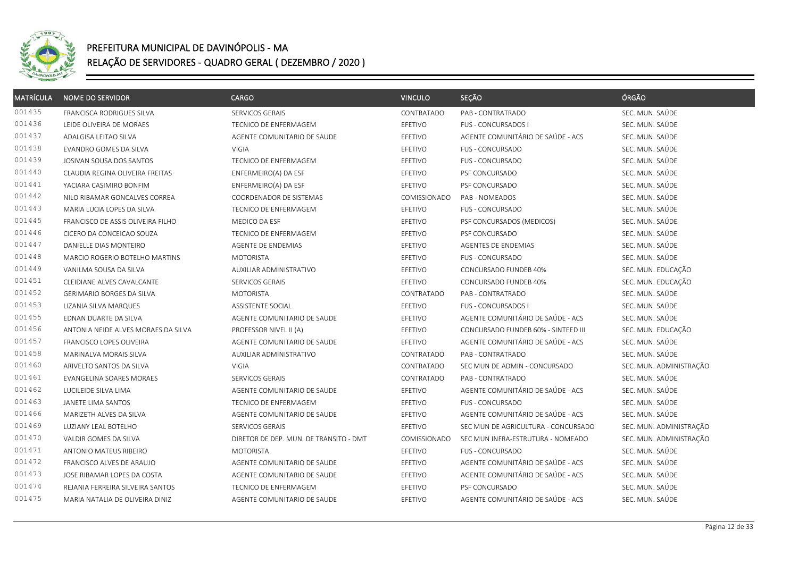

| <b>MATRÍCULA</b> | <b>NOME DO SERVIDOR</b>             | <b>CARGO</b>                           | <b>VINCULO</b> | SEÇÃO                               | ÓRGÃO                   |
|------------------|-------------------------------------|----------------------------------------|----------------|-------------------------------------|-------------------------|
| 001435           | FRANCISCA RODRIGUES SILVA           | SERVICOS GERAIS                        | CONTRATADO     | PAB - CONTRATRADO                   | SEC. MUN. SAÚDE         |
| 001436           | LEIDE OLIVEIRA DE MORAES            | TECNICO DE ENFERMAGEM                  | EFETIVO        | FUS - CONCURSADOS I                 | SEC. MUN. SAÚDE         |
| 001437           | ADALGISA LEITAO SILVA               | AGENTE COMUNITARIO DE SAUDE            | EFETIVO        | AGENTE COMUNITÁRIO DE SAÚDE - ACS   | SEC. MUN. SAÚDE         |
| 001438           | EVANDRO GOMES DA SILVA              | <b>VIGIA</b>                           | EFETIVO        | <b>FUS - CONCURSADO</b>             | SEC. MUN. SAÚDE         |
| 001439           | JOSIVAN SOUSA DOS SANTOS            | TECNICO DE ENFERMAGEM                  | EFETIVO        | FUS - CONCURSADO                    | SEC. MUN. SAÚDE         |
| 001440           | CLAUDIA REGINA OLIVEIRA FREITAS     | ENFERMEIRO(A) DA ESF                   | EFETIVO        | PSF CONCURSADO                      | SEC. MUN. SAÚDE         |
| 001441           | YACIARA CASIMIRO BONFIM             | ENFERMEIRO(A) DA ESF                   | EFETIVO        | PSF CONCURSADO                      | SEC. MUN. SAÚDE         |
| 001442           | NILO RIBAMAR GONCALVES CORREA       | COORDENADOR DE SISTEMAS                | COMISSIONADO   | PAB - NOMEADOS                      | SEC. MUN. SAÚDE         |
| 001443           | MARIA LUCIA LOPES DA SILVA          | TECNICO DE ENFERMAGEM                  | EFETIVO        | FUS - CONCURSADO                    | SEC. MUN. SAÚDE         |
| 001445           | FRANCISCO DE ASSIS OLIVEIRA FILHO   | MEDICO DA ESF                          | EFETIVO        | PSF CONCURSADOS (MEDICOS)           | SEC. MUN. SAÚDE         |
| 001446           | CICERO DA CONCEICAO SOUZA           | TECNICO DE ENFERMAGEM                  | EFETIVO        | PSF CONCURSADO                      | SEC. MUN. SAÚDE         |
| 001447           | DANIELLE DIAS MONTEIRO              | AGENTE DE ENDEMIAS                     | EFETIVO        | <b>AGENTES DE ENDEMIAS</b>          | SEC. MUN. SAÚDE         |
| 001448           | MARCIO ROGERIO BOTELHO MARTINS      | <b>MOTORISTA</b>                       | EFETIVO        | <b>FUS - CONCURSADO</b>             | SEC. MUN. SAÚDE         |
| 001449           | VANILMA SOUSA DA SILVA              | AUXILIAR ADMINISTRATIVO                | EFETIVO        | CONCURSADO FUNDEB 40%               | SEC. MUN. EDUCAÇÃO      |
| 001451           | CLEIDIANE ALVES CAVALCANTE          | SERVICOS GERAIS                        | EFETIVO        | CONCURSADO FUNDEB 40%               | SEC. MUN. EDUCAÇÃO      |
| 001452           | <b>GERIMARIO BORGES DA SILVA</b>    | <b>MOTORISTA</b>                       | CONTRATADO     | PAB - CONTRATRADO                   | SEC. MUN. SAÚDE         |
| 001453           | LIZANIA SILVA MARQUES               | ASSISTENTE SOCIAL                      | EFETIVO        | FUS - CONCURSADOS I                 | SEC. MUN. SAÚDE         |
| 001455           | EDNAN DUARTE DA SILVA               | AGENTE COMUNITARIO DE SAUDE            | EFETIVO        | AGENTE COMUNITÁRIO DE SAÚDE - ACS   | SEC. MUN. SAÚDE         |
| 001456           | ANTONIA NEIDE ALVES MORAES DA SILVA | PROFESSOR NIVEL II (A)                 | EFETIVO        | CONCURSADO FUNDEB 60% - SINTEED III | SEC. MUN. EDUCAÇÃO      |
| 001457           | FRANCISCO LOPES OLIVEIRA            | AGENTE COMUNITARIO DE SAUDE            | EFETIVO        | AGENTE COMUNITÁRIO DE SAÚDE - ACS   | SEC. MUN. SAÚDE         |
| 001458           | MARINALVA MORAIS SILVA              | AUXILIAR ADMINISTRATIVO                | CONTRATADO     | PAB - CONTRATRADO                   | SEC. MUN. SAÚDE         |
| 001460           | ARIVELTO SANTOS DA SILVA            | VIGIA                                  | CONTRATADO     | SEC MUN DE ADMIN - CONCURSADO       | SEC. MUN. ADMINISTRAÇÃO |
| 001461           | EVANGELINA SOARES MORAES            | SERVICOS GERAIS                        | CONTRATADO     | PAB - CONTRATRADO                   | SEC. MUN. SAÚDE         |
| 001462           | LUCILEIDE SILVA LIMA                | AGENTE COMUNITARIO DE SAUDE            | EFETIVO        | AGENTE COMUNITÁRIO DE SAÚDE - ACS   | SEC. MUN. SAÚDE         |
| 001463           | JANETE LIMA SANTOS                  | TECNICO DE ENFERMAGEM                  | EFETIVO        | <b>FUS - CONCURSADO</b>             | SEC. MUN. SAÚDE         |
| 001466           | MARIZETH ALVES DA SILVA             | AGENTE COMUNITARIO DE SAUDE            | EFETIVO        | AGENTE COMUNITÁRIO DE SAÚDE - ACS   | SEC. MUN. SAÚDE         |
| 001469           | LUZIANY LEAL BOTELHO                | SERVICOS GERAIS                        | EFETIVO        | SEC MUN DE AGRICULTURA - CONCURSADO | SEC. MUN. ADMINISTRAÇÃO |
| 001470           | VALDIR GOMES DA SILVA               | DIRETOR DE DEP. MUN. DE TRANSITO - DMT | COMISSIONADO   | SEC MUN INFRA-ESTRUTURA - NOMEADO   | SEC. MUN. ADMINISTRAÇÃO |
| 001471           | ANTONIO MATEUS RIBEIRO              | <b>MOTORISTA</b>                       | EFETIVO        | <b>FUS - CONCURSADO</b>             | SEC. MUN. SAÚDE         |
| 001472           | FRANCISCO ALVES DE ARAUJO           | AGENTE COMUNITARIO DE SAUDE            | EFETIVO        | AGENTE COMUNITÁRIO DE SAÚDE - ACS   | SEC. MUN. SAÚDE         |
| 001473           | JOSE RIBAMAR LOPES DA COSTA         | AGENTE COMUNITARIO DE SAUDE            | EFETIVO        | AGENTE COMUNITÁRIO DE SAÚDE - ACS   | SEC. MUN. SAÚDE         |
| 001474           | REJANIA FERREIRA SILVEIRA SANTOS    | TECNICO DE ENFERMAGEM                  | EFETIVO        | PSF CONCURSADO                      | SEC. MUN. SAÚDE         |
| 001475           | MARIA NATALIA DE OLIVEIRA DINIZ     | AGENTE COMUNITARIO DE SAUDE            | EFETIVO        | AGENTE COMUNITÁRIO DE SAÚDE - ACS   | SEC. MUN. SAÚDE         |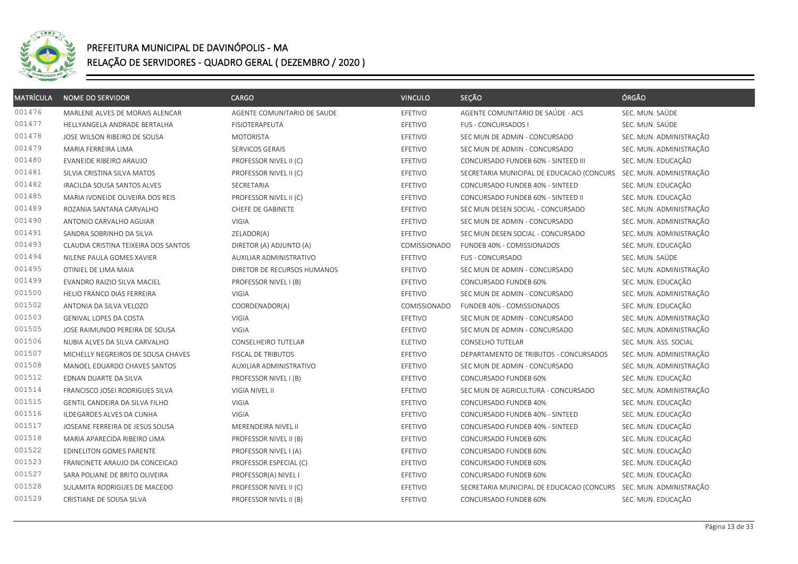

| <b>MATRÍCULA</b> | <b>NOME DO SERVIDOR</b>              | <b>CARGO</b>                | <b>VINCULO</b> | SEÇÃO                                                             | ÓRGÃO                   |
|------------------|--------------------------------------|-----------------------------|----------------|-------------------------------------------------------------------|-------------------------|
| 001476           | MARLENE ALVES DE MORAIS ALENCAR      | AGENTE COMUNITARIO DE SAUDE | EFETIVO        | AGENTE COMUNITÁRIO DE SAÚDE - ACS                                 | SEC. MUN. SAÚDE         |
| 001477           | HELLYANGELA ANDRADE BERTALHA         | FISIOTERAPEUTA              | EFETIVO        | FUS - CONCURSADOS I                                               | SEC. MUN. SAÚDE         |
| 001478           | JOSE WILSON RIBEIRO DE SOUSA         | <b>MOTORISTA</b>            | EFETIVO        | SEC MUN DE ADMIN - CONCURSADO                                     | SEC. MUN. ADMINISTRAÇÃO |
| 001479           | MARIA FERREIRA LIMA                  | SERVICOS GERAIS             | EFETIVO        | SEC MUN DE ADMIN - CONCURSADO                                     | SEC. MUN. ADMINISTRAÇÃO |
| 001480           | EVANEIDE RIBEIRO ARAUJO              | PROFESSOR NIVEL II (C)      | EFETIVO        | CONCURSADO FUNDEB 60% - SINTEED III                               | SEC. MUN. EDUCAÇÃO      |
| 001481           | SILVIA CRISTINA SILVA MATOS          | PROFESSOR NIVEL II (C)      | EFETIVO        | SECRETARIA MUNICIPAL DE EDUCACAO (CONCURS                         | SEC. MUN. ADMINISTRAÇÃO |
| 001482           | IRACILDA SOUSA SANTOS ALVES          | SECRETARIA                  | EFETIVO        | CONCURSADO FUNDEB 40% - SINTEED                                   | SEC. MUN. EDUCAÇÃO      |
| 001485           | MARIA IVONEIDE OLIVEIRA DOS REIS     | PROFESSOR NIVEL II (C)      | EFETIVO        | CONCURSADO FUNDEB 60% - SINTEED II                                | SEC. MUN. EDUCAÇÃO      |
| 001489           | ROZANIA SANTANA CARVALHO             | CHEFE DE GABINETE           | EFETIVO        | SEC MUN DESEN SOCIAL - CONCURSADO                                 | SEC. MUN. ADMINISTRAÇÃO |
| 001490           | ANTONIO CARVALHO AGUIAR              | VIGIA                       | EFETIVO        | SEC MUN DE ADMIN - CONCURSADO                                     | SEC. MUN. ADMINISTRAÇÃO |
| 001491           | SANDRA SOBRINHO DA SILVA             | ZELADOR(A)                  | EFETIVO        | SEC MUN DESEN SOCIAL - CONCURSADO                                 | SEC. MUN. ADMINISTRAÇÃO |
| 001493           | CLAUDIA CRISTINA TEIXEIRA DOS SANTOS | DIRETOR (A) ADJUNTO (A)     | COMISSIONADO   | FUNDEB 40% - COMISSIONADOS                                        | SEC. MUN. EDUCAÇÃO      |
| 001494           | NILENE PAULA GOMES XAVIER            | AUXILIAR ADMINISTRATIVO     | EFETIVO        | <b>FUS - CONCURSADO</b>                                           | SEC. MUN. SAÚDE         |
| 001495           | OTINIEL DE LIMA MAIA                 | DIRETOR DE RECURSOS HUMANOS | EFETIVO        | SEC MUN DE ADMIN - CONCURSADO                                     | SEC. MUN. ADMINISTRAÇÃO |
| 001499           | EVANDRO RAIZIO SILVA MACIEL          | PROFESSOR NIVEL I (B)       | EFETIVO        | CONCURSADO FUNDEB 60%                                             | SEC. MUN. EDUCAÇÃO      |
| 001500           | HELIO FRANCO DIAS FERREIRA           | VIGIA                       | EFETIVO        | SEC MUN DE ADMIN - CONCURSADO                                     | SEC. MUN. ADMINISTRAÇÃO |
| 001502           | ANTONIA DA SILVA VELOZO              | COORDENADOR(A)              | COMISSIONADO   | FUNDEB 40% - COMISSIONADOS                                        | SEC. MUN. EDUCAÇÃO      |
| 001503           | GENIVAL LOPES DA COSTA               | <b>VIGIA</b>                | EFETIVO        | SEC MUN DE ADMIN - CONCURSADO                                     | SEC. MUN. ADMINISTRAÇÃO |
| 001505           | JOSE RAIMUNDO PEREIRA DE SOUSA       | <b>VIGIA</b>                | EFETIVO        | SEC MUN DE ADMIN - CONCURSADO                                     | SEC. MUN. ADMINISTRAÇÃO |
| 001506           | NUBIA ALVES DA SILVA CARVALHO        | <b>CONSELHEIRO TUTELAR</b>  | <b>ELETIVO</b> | <b>CONSELHO TUTELAR</b>                                           | SEC. MUN. ASS. SOCIAL   |
| 001507           | MICHELLY NEGREIROS DE SOUSA CHAVES   | <b>FISCAL DE TRIBUTOS</b>   | EFETIVO        | DEPARTAMENTO DE TRIBUTOS - CONCURSADOS                            | SEC. MUN. ADMINISTRAÇÃO |
| 001508           | MANOEL EDUARDO CHAVES SANTOS         | AUXILIAR ADMINISTRATIVO     | EFETIVO        | SEC MUN DE ADMIN - CONCURSADO                                     | SEC. MUN. ADMINISTRAÇÃO |
| 001512           | EDNAN DUARTE DA SILVA                | PROFESSOR NIVEL I (B)       | EFETIVO        | CONCURSADO FUNDEB 60%                                             | SEC. MUN. EDUCAÇÃO      |
| 001514           | FRANCISCO JOSEI RODRIGUES SILVA      | VIGIA NIVEL II              | EFETIVO        | SEC MUN DE AGRICULTURA - CONCURSADO                               | SEC. MUN. ADMINISTRAÇÃO |
| 001515           | GENTIL CANDEIRA DA SILVA FILHO       | <b>VIGIA</b>                | EFETIVO        | CONCURSADO FUNDEB 40%                                             | SEC. MUN. EDUCAÇÃO      |
| 001516           | ILDEGARDES ALVES DA CUNHA            | <b>VIGIA</b>                | EFETIVO        | CONCURSADO FUNDEB 40% - SINTEED                                   | SEC. MUN. EDUCAÇÃO      |
| 001517           | JOSEANE FERREIRA DE JESUS SOUSA      | MERENDEIRA NIVEL II         | EFETIVO        | CONCURSADO FUNDEB 40% - SINTEED                                   | SEC. MUN. EDUCAÇÃO      |
| 001518           | MARIA APARECIDA RIBEIRO LIMA         | PROFESSOR NIVEL II (B)      | EFETIVO        | CONCURSADO FUNDEB 60%                                             | SEC. MUN. EDUCAÇÃO      |
| 001522           | EDINELITON GOMES PARENTE             | PROFESSOR NIVEL I (A)       | EFETIVO        | CONCURSADO FUNDEB 60%                                             | SEC. MUN. EDUCAÇÃO      |
| 001523           | FRANCINETE ARAUJO DA CONCEICAO       | PROFESSOR ESPECIAL (C)      | EFETIVO        | CONCURSADO FUNDEB 60%                                             | SEC. MUN. EDUCAÇÃO      |
| 001527           | SARA POLIANE DE BRITO OLIVEIRA       | PROFESSOR(A) NIVEL I        | EFETIVO        | CONCURSADO FUNDEB 60%                                             | SEC. MUN. EDUCAÇÃO      |
| 001528           | SULAMITA RODRIGUES DE MACEDO         | PROFESSOR NIVEL II (C)      | EFETIVO        | SECRETARIA MUNICIPAL DE EDUCACAO (CONCURS SEC. MUN. ADMINISTRAÇÃO |                         |
| 001529           | CRISTIANE DE SOUSA SILVA             | PROFESSOR NIVEL II (B)      | EFETIVO        | CONCURSADO FUNDEB 60%                                             | SEC. MUN. EDUCAÇÃO      |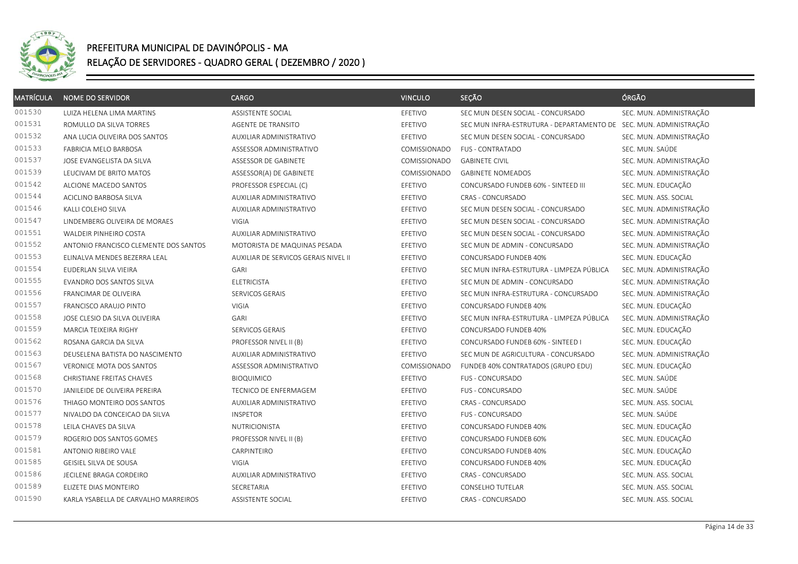

| <b>MATRÍCULA</b> | <b>NOME DO SERVIDOR</b>               | <b>CARGO</b>                         | <b>VINCULO</b>      | SEÇÃO                                                             | ÓRGÃO                   |
|------------------|---------------------------------------|--------------------------------------|---------------------|-------------------------------------------------------------------|-------------------------|
| 001530           | LUIZA HELENA LIMA MARTINS             | ASSISTENTE SOCIAL                    | EFETIVO             | SEC MUN DESEN SOCIAL - CONCURSADO                                 | SEC. MUN. ADMINISTRAÇÃO |
| 001531           | ROMULLO DA SILVA TORRES               | AGENTE DE TRANSITO                   | EFETIVO             | SEC MUN INFRA-ESTRUTURA - DEPARTAMENTO DE SEC. MUN. ADMINISTRAÇÃO |                         |
| 001532           | ANA LUCIA OLIVEIRA DOS SANTOS         | AUXILIAR ADMINISTRATIVO              | EFETIVO             | SEC MUN DESEN SOCIAL - CONCURSADO                                 | SEC. MUN. ADMINISTRAÇÃO |
| 001533           | FABRICIA MELO BARBOSA                 | ASSESSOR ADMINISTRATIVO              | COMISSIONADO        | <b>FUS - CONTRATADO</b>                                           | SEC. MUN. SAÚDE         |
| 001537           | JOSE EVANGELISTA DA SILVA             | ASSESSOR DE GABINETE                 | COMISSIONADO        | <b>GABINETE CIVIL</b>                                             | SEC. MUN. ADMINISTRAÇÃO |
| 001539           | LEUCIVAM DE BRITO MATOS               | ASSESSOR(A) DE GABINETE              | COMISSIONADO        | <b>GABINETE NOMEADOS</b>                                          | SEC. MUN. ADMINISTRAÇÃO |
| 001542           | ALCIONE MACEDO SANTOS                 | PROFESSOR ESPECIAL (C)               | EFETIVO             | CONCURSADO FUNDEB 60% - SINTEED III                               | SEC. MUN. EDUCAÇÃO      |
| 001544           | ACICLINO BARBOSA SILVA                | AUXILIAR ADMINISTRATIVO              | EFETIVO             | CRAS - CONCURSADO                                                 | SEC. MUN. ASS. SOCIAL   |
| 001546           | KALLI COLEHO SILVA                    | AUXILIAR ADMINISTRATIVO              | EFETIVO             | SEC MUN DESEN SOCIAL - CONCURSADO                                 | SEC. MUN. ADMINISTRAÇÃO |
| 001547           | LINDEMBERG OLIVEIRA DE MORAES         | VIGIA                                | EFETIVO             | SEC MUN DESEN SOCIAL - CONCURSADO                                 | SEC. MUN. ADMINISTRAÇÃO |
| 001551           | WALDEIR PINHEIRO COSTA                | AUXILIAR ADMINISTRATIVO              | EFETIVO             | SEC MUN DESEN SOCIAL - CONCURSADO                                 | SEC. MUN. ADMINISTRAÇÃO |
| 001552           | ANTONIO FRANCISCO CLEMENTE DOS SANTOS | MOTORISTA DE MAQUINAS PESADA         | EFETIVO             | SEC MUN DE ADMIN - CONCURSADO                                     | SEC. MUN. ADMINISTRAÇÃO |
| 001553           | ELINALVA MENDES BEZERRA LEAL          | AUXILIAR DE SERVICOS GERAIS NIVEL II | EFETIVO             | CONCURSADO FUNDEB 40%                                             | SEC. MUN. EDUCAÇÃO      |
| 001554           | EUDERLAN SILVA VIEIRA                 | <b>GARI</b>                          | EFETIVO             | SEC MUN INFRA-ESTRUTURA - LIMPEZA PÚBLICA                         | SEC. MUN. ADMINISTRAÇÃO |
| 001555           | EVANDRO DOS SANTOS SILVA              | <b>ELETRICISTA</b>                   | EFETIVO             | SEC MUN DE ADMIN - CONCURSADO                                     | SEC. MUN. ADMINISTRAÇÃO |
| 001556           | FRANCIMAR DE OLIVEIRA                 | SERVICOS GERAIS                      | EFETIVO             | SEC MUN INFRA-ESTRUTURA - CONCURSADO                              | SEC. MUN. ADMINISTRAÇÃO |
| 001557           | FRANCISCO ARAUJO PINTO                | VIGIA                                | EFETIVO             | CONCURSADO FUNDEB 40%                                             | SEC. MUN. EDUCAÇÃO      |
| 001558           | JOSE CLESIO DA SILVA OLIVEIRA         | <b>GARI</b>                          | EFETIVO             | SEC MUN INFRA-ESTRUTURA - LIMPEZA PÚBLICA                         | SEC. MUN. ADMINISTRAÇÃO |
| 001559           | MARCIA TEIXEIRA RIGHY                 | SERVICOS GERAIS                      | EFETIVO             | CONCURSADO FUNDEB 40%                                             | SEC. MUN. EDUCAÇÃO      |
| 001562           | ROSANA GARCIA DA SILVA                | PROFESSOR NIVEL II (B)               | EFETIVO             | CONCURSADO FUNDEB 60% - SINTEED I                                 | SEC. MUN. EDUCAÇÃO      |
| 001563           | DEUSELENA BATISTA DO NASCIMENTO       | AUXILIAR ADMINISTRATIVO              | EFETIVO             | SEC MUN DE AGRICULTURA - CONCURSADO                               | SEC. MUN. ADMINISTRAÇÃO |
| 001567           | <b>VERONICE MOTA DOS SANTOS</b>       | ASSESSOR ADMINISTRATIVO              | <b>COMISSIONADO</b> | FUNDEB 40% CONTRATADOS (GRUPO EDU)                                | SEC. MUN. EDUCAÇÃO      |
| 001568           | CHRISTIANE FREITAS CHAVES             | <b>BIOQUIMICO</b>                    | EFETIVO             | <b>FUS - CONCURSADO</b>                                           | SEC. MUN. SAÚDE         |
| 001570           | JANILEIDE DE OLIVEIRA PEREIRA         | TECNICO DE ENFERMAGEM                | EFETIVO             | FUS - CONCURSADO                                                  | SEC. MUN. SAÚDE         |
| 001576           | THIAGO MONTEIRO DOS SANTOS            | AUXILIAR ADMINISTRATIVO              | EFETIVO             | CRAS - CONCURSADO                                                 | SEC. MUN. ASS. SOCIAL   |
| 001577           | NIVALDO DA CONCEICAO DA SILVA         | <b>INSPETOR</b>                      | EFETIVO             | <b>FUS - CONCURSADO</b>                                           | SEC. MUN. SAÚDE         |
| 001578           | LEILA CHAVES DA SILVA                 | <b>NUTRICIONISTA</b>                 | EFETIVO             | CONCURSADO FUNDEB 40%                                             | SEC. MUN. EDUCAÇÃO      |
| 001579           | ROGERIO DOS SANTOS GOMES              | PROFESSOR NIVEL II (B)               | EFETIVO             | CONCURSADO FUNDEB 60%                                             | SEC. MUN. EDUCAÇÃO      |
| 001581           | ANTONIO RIBEIRO VALE                  | CARPINTEIRO                          | EFETIVO             | CONCURSADO FUNDEB 40%                                             | SEC. MUN. EDUCAÇÃO      |
| 001585           | GEISIEL SILVA DE SOUSA                | VIGIA                                | EFETIVO             | <b>CONCURSADO FUNDEB 40%</b>                                      | SEC. MUN. EDUCAÇÃO      |
| 001586           | JECILENE BRAGA CORDEIRO               | AUXILIAR ADMINISTRATIVO              | EFETIVO             | CRAS - CONCURSADO                                                 | SEC. MUN. ASS. SOCIAL   |
| 001589           | ELIZETE DIAS MONTEIRO                 | SECRETARIA                           | EFETIVO             | <b>CONSELHO TUTELAR</b>                                           | SEC. MUN. ASS. SOCIAL   |
| 001590           | KARLA YSABELLA DE CARVALHO MARREIROS  | ASSISTENTE SOCIAL                    | EFETIVO             | CRAS - CONCURSADO                                                 | SEC. MUN. ASS. SOCIAL   |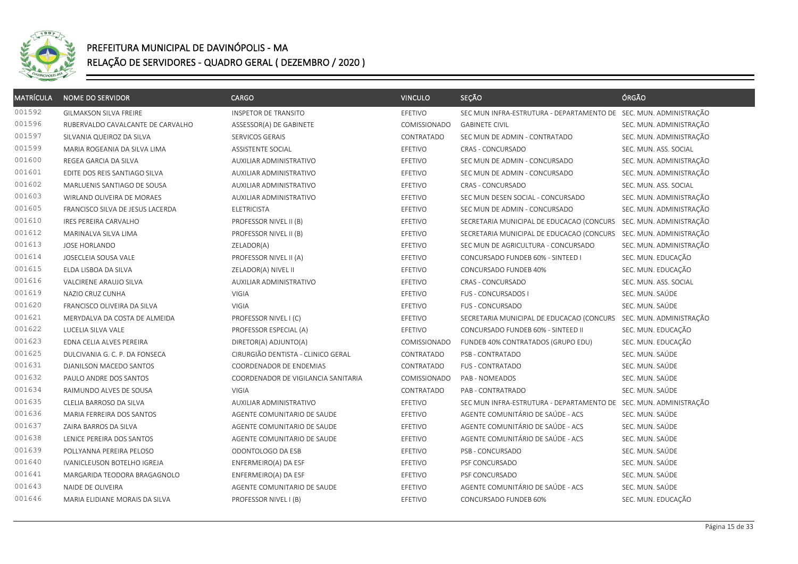

| <b>MATRÍCULA</b> | <b>NOME DO SERVIDOR</b>           | <b>CARGO</b>                        | <b>VINCULO</b> | SEÇÃO                                                             | ÓRGÃO                   |
|------------------|-----------------------------------|-------------------------------------|----------------|-------------------------------------------------------------------|-------------------------|
| 001592           | GILMAKSON SILVA FREIRE            | <b>INSPETOR DE TRANSITO</b>         | EFETIVO        | SEC MUN INFRA-ESTRUTURA - DEPARTAMENTO DE SEC. MUN. ADMINISTRAÇÃO |                         |
| 001596           | RUBERVALDO CAVALCANTE DE CARVALHO | ASSESSOR(A) DE GABINETE             | COMISSIONADO   | <b>GABINETE CIVIL</b>                                             | SEC. MUN. ADMINISTRAÇÃO |
| 001597           | SILVANIA QUEIROZ DA SILVA         | SERVICOS GERAIS                     | CONTRATADO     | SEC MUN DE ADMIN - CONTRATADO                                     | SEC. MUN. ADMINISTRAÇÃO |
| 001599           | MARIA ROGEANIA DA SILVA LIMA      | ASSISTENTE SOCIAL                   | EFETIVO        | CRAS - CONCURSADO                                                 | SEC. MUN. ASS. SOCIAL   |
| 001600           | REGEA GARCIA DA SILVA             | AUXILIAR ADMINISTRATIVO             | EFETIVO        | SEC MUN DE ADMIN - CONCURSADO                                     | SEC. MUN. ADMINISTRAÇÃO |
| 001601           | EDITE DOS REIS SANTIAGO SILVA     | AUXILIAR ADMINISTRATIVO             | EFETIVO        | SEC MUN DE ADMIN - CONCURSADO                                     | SEC. MUN. ADMINISTRAÇÃO |
| 001602           | MARLUENIS SANTIAGO DE SOUSA       | AUXILIAR ADMINISTRATIVO             | EFETIVO        | <b>CRAS - CONCURSADO</b>                                          | SEC. MUN. ASS. SOCIAL   |
| 001603           | WIRLAND OLIVEIRA DE MORAES        | AUXILIAR ADMINISTRATIVO             | EFETIVO        | SEC MUN DESEN SOCIAL - CONCURSADO                                 | SEC. MUN. ADMINISTRAÇÃO |
| 001605           | FRANCISCO SILVA DE JESUS LACERDA  | <b>ELETRICISTA</b>                  | EFETIVO        | SEC MUN DE ADMIN - CONCURSADO                                     | SEC. MUN. ADMINISTRAÇÃO |
| 001610           | IRES PEREIRA CARVALHO             | PROFESSOR NIVEL II (B)              | EFETIVO        | SECRETARIA MUNICIPAL DE EDUCACAO (CONCURS                         | SEC. MUN. ADMINISTRAÇÃO |
| 001612           | MARINALVA SILVA LIMA              | PROFESSOR NIVEL II (B)              | EFETIVO        | SECRETARIA MUNICIPAL DE EDUCACAO (CONCURS SEC. MUN. ADMINISTRAÇÃO |                         |
| 001613           | <b>JOSE HORLANDO</b>              | ZELADOR(A)                          | EFETIVO        | SEC MUN DE AGRICULTURA - CONCURSADO                               | SEC. MUN. ADMINISTRAÇÃO |
| 001614           | JOSECLEIA SOUSA VALE              | PROFESSOR NIVEL II (A)              | EFETIVO        | CONCURSADO FUNDEB 60% - SINTEED I                                 | SEC. MUN. EDUCAÇÃO      |
| 001615           | ELDA LISBOA DA SILVA              | ZELADOR(A) NIVEL II                 | EFETIVO        | CONCURSADO FUNDEB 40%                                             | SEC. MUN. EDUCAÇÃO      |
| 001616           | VALCIRENE ARAUJO SILVA            | AUXILIAR ADMINISTRATIVO             | EFETIVO        | <b>CRAS - CONCURSADO</b>                                          | SEC. MUN. ASS. SOCIAL   |
| 001619           | NAZIO CRUZ CUNHA                  | <b>VIGIA</b>                        | EFETIVO        | <b>FUS - CONCURSADOS I</b>                                        | SEC. MUN. SAÚDE         |
| 001620           | FRANCISCO OLIVEIRA DA SILVA       | <b>VIGIA</b>                        | EFETIVO        | FUS - CONCURSADO                                                  | SEC. MUN. SAÚDE         |
| 001621           | MERYDALVA DA COSTA DE ALMEIDA     | PROFESSOR NIVEL I (C)               | EFETIVO        | SECRETARIA MUNICIPAL DE EDUCACAO (CONCURS SEC. MUN. ADMINISTRAÇÃO |                         |
| 001622           | LUCELIA SILVA VALE                | PROFESSOR ESPECIAL (A)              | EFETIVO        | CONCURSADO FUNDEB 60% - SINTEED II                                | SEC. MUN. EDUCAÇÃO      |
| 001623           | EDNA CELIA ALVES PEREIRA          | DIRETOR(A) ADJUNTO(A)               | COMISSIONADO   | FUNDEB 40% CONTRATADOS (GRUPO EDU)                                | SEC. MUN. EDUCAÇÃO      |
| 001625           | DULCIVANIA G. C. P. DA FONSECA    | CIRURGIÃO DENTISTA - CLINICO GERAL  | CONTRATADO     | PSB - CONTRATADO                                                  | SEC. MUN. SAÚDE         |
| 001631           | DJANILSON MACEDO SANTOS           | COORDENADOR DE ENDEMIAS             | CONTRATADO     | <b>FUS - CONTRATADO</b>                                           | SEC. MUN. SAÚDE         |
| 001632           | PAULO ANDRE DOS SANTOS            | COORDENADOR DE VIGILANCIA SANITARIA | COMISSIONADO   | PAB - NOMEADOS                                                    | SEC. MUN. SAÚDE         |
| 001634           | RAIMUNDO ALVES DE SOUSA           | VIGIA                               | CONTRATADO     | PAB - CONTRATRADO                                                 | SEC. MUN. SAÚDE         |
| 001635           | CLELIA BARROSO DA SILVA           | AUXILIAR ADMINISTRATIVO             | EFETIVO        | SEC MUN INFRA-ESTRUTURA - DEPARTAMENTO DE SEC. MUN. ADMINISTRAÇÃO |                         |
| 001636           | MARIA FERREIRA DOS SANTOS         | AGENTE COMUNITARIO DE SAUDE         | EFETIVO        | AGENTE COMUNITÁRIO DE SAÚDE - ACS                                 | SEC. MUN. SAÚDE         |
| 001637           | ZAIRA BARROS DA SILVA             | AGENTE COMUNITARIO DE SAUDE         | EFETIVO        | AGENTE COMUNITÁRIO DE SAÚDE - ACS                                 | SEC. MUN. SAÚDE         |
| 001638           | LENICE PEREIRA DOS SANTOS         | AGENTE COMUNITARIO DE SAUDE         | EFETIVO        | AGENTE COMUNITÁRIO DE SAÚDE - ACS                                 | SEC. MUN. SAÚDE         |
| 001639           | POLLYANNA PEREIRA PELOSO          | ODONTOLOGO DA ESB                   | EFETIVO        | PSB - CONCURSADO                                                  | SEC. MUN. SAÚDE         |
| 001640           | IVANICLEUSON BOTELHO IGREJA       | ENFERMEIRO(A) DA ESF                | EFETIVO        | PSF CONCURSADO                                                    | SEC. MUN. SAÚDE         |
| 001641           | MARGARIDA TEODORA BRAGAGNOLO      | ENFERMEIRO(A) DA ESF                | EFETIVO        | PSF CONCURSADO                                                    | SEC. MUN. SAÚDE         |
| 001643           | NAIDE DE OLIVEIRA                 | AGENTE COMUNITARIO DE SAUDE         | EFETIVO        | AGENTE COMUNITÁRIO DE SAÚDE - ACS                                 | SEC. MUN. SAÚDE         |
| 001646           | MARIA ELIDIANE MORAIS DA SILVA    | PROFESSOR NIVEL I (B)               | EFETIVO        | CONCURSADO FUNDEB 60%                                             | SEC. MUN. EDUCAÇÃO      |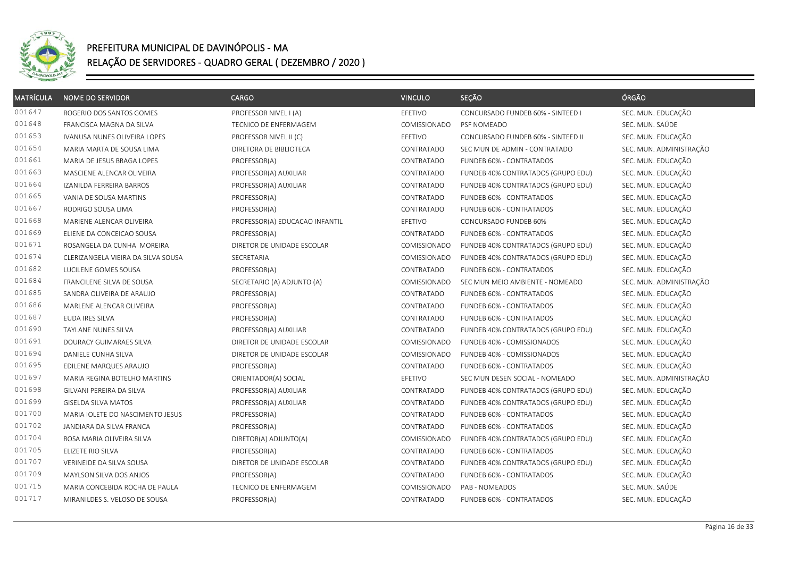

| <b>MATRÍCULA</b> | <b>NOME DO SERVIDOR</b>            | <b>CARGO</b>                   | <b>VINCULO</b> | SEÇÃO                              | ÓRGÃO                   |
|------------------|------------------------------------|--------------------------------|----------------|------------------------------------|-------------------------|
| 001647           | ROGERIO DOS SANTOS GOMES           | PROFESSOR NIVEL I (A)          | EFETIVO        | CONCURSADO FUNDEB 60% - SINTEED I  | SEC. MUN. EDUCAÇÃO      |
| 001648           | FRANCISCA MAGNA DA SILVA           | TECNICO DE ENFERMAGEM          | COMISSIONADO   | PSF NOMEADO                        | SEC. MUN. SAÚDE         |
| 001653           | IVANUSA NUNES OLIVEIRA LOPES       | PROFESSOR NIVEL II (C)         | EFETIVO        | CONCURSADO FUNDEB 60% - SINTEED II | SEC. MUN. EDUCAÇÃO      |
| 001654           | MARIA MARTA DE SOUSA LIMA          | DIRETORA DE BIBLIOTECA         | CONTRATADO     | SEC MUN DE ADMIN - CONTRATADO      | SEC. MUN. ADMINISTRAÇÃO |
| 001661           | MARIA DE JESUS BRAGA LOPES         | PROFESSOR(A)                   | CONTRATADO     | FUNDEB 60% - CONTRATADOS           | SEC. MUN. EDUCAÇÃO      |
| 001663           | MASCIENE ALENCAR OLIVEIRA          | PROFESSOR(A) AUXILIAR          | CONTRATADO     | FUNDEB 40% CONTRATADOS (GRUPO EDU) | SEC. MUN. EDUCAÇÃO      |
| 001664           | IZANILDA FERREIRA BARROS           | PROFESSOR(A) AUXILIAR          | CONTRATADO     | FUNDEB 40% CONTRATADOS (GRUPO EDU) | SEC. MUN. EDUCAÇÃO      |
| 001665           | VANIA DE SOUSA MARTINS             | PROFESSOR(A)                   | CONTRATADO     | FUNDEB 60% - CONTRATADOS           | SEC. MUN. EDUCAÇÃO      |
| 001667           | RODRIGO SOUSA LIMA                 | PROFESSOR(A)                   | CONTRATADO     | FUNDEB 60% - CONTRATADOS           | SEC. MUN. EDUCAÇÃO      |
| 001668           | MARIENE ALENCAR OLIVEIRA           | PROFESSOR(A) EDUCACAO INFANTIL | EFETIVO        | CONCURSADO FUNDEB 60%              | SEC. MUN. EDUCAÇÃO      |
| 001669           | ELIENE DA CONCEICAO SOUSA          | PROFESSOR(A)                   | CONTRATADO     | FUNDEB 60% - CONTRATADOS           | SEC. MUN. EDUCAÇÃO      |
| 001671           | ROSANGELA DA CUNHA MOREIRA         | DIRETOR DE UNIDADE ESCOLAR     | COMISSIONADO   | FUNDEB 40% CONTRATADOS (GRUPO EDU) | SEC. MUN. EDUCAÇÃO      |
| 001674           | CLERIZANGELA VIEIRA DA SILVA SOUSA | SECRETARIA                     | COMISSIONADO   | FUNDEB 40% CONTRATADOS (GRUPO EDU) | SEC. MUN. EDUCAÇÃO      |
| 001682           | LUCILENE GOMES SOUSA               | PROFESSOR(A)                   | CONTRATADO     | FUNDEB 60% - CONTRATADOS           | SEC. MUN. EDUCAÇÃO      |
| 001684           | FRANCILENE SILVA DE SOUSA          | SECRETARIO (A) ADJUNTO (A)     | COMISSIONADO   | SEC MUN MEIO AMBIENTE - NOMEADO    | SEC. MUN. ADMINISTRAÇÃO |
| 001685           | SANDRA OLIVEIRA DE ARAUJO          | PROFESSOR(A)                   | CONTRATADO     | FUNDEB 60% - CONTRATADOS           | SEC. MUN. EDUCAÇÃO      |
| 001686           | MARLENE ALENCAR OLIVEIRA           | PROFESSOR(A)                   | CONTRATADO     | FUNDEB 60% - CONTRATADOS           | SEC. MUN. EDUCAÇÃO      |
| 001687           | EUDA IRES SILVA                    | PROFESSOR(A)                   | CONTRATADO     | FUNDEB 60% - CONTRATADOS           | SEC. MUN. EDUCAÇÃO      |
| 001690           | TAYLANE NUNES SILVA                | PROFESSOR(A) AUXILIAR          | CONTRATADO     | FUNDEB 40% CONTRATADOS (GRUPO EDU) | SEC. MUN. EDUCAÇÃO      |
| 001691           | DOURACY GUIMARAES SILVA            | DIRETOR DE UNIDADE ESCOLAR     | COMISSIONADO   | FUNDEB 40% - COMISSIONADOS         | SEC. MUN. EDUCAÇÃO      |
| 001694           | DANIELE CUNHA SILVA                | DIRETOR DE UNIDADE ESCOLAR     | COMISSIONADO   | FUNDEB 40% - COMISSIONADOS         | SEC. MUN. EDUCAÇÃO      |
| 001695           | EDILENE MARQUES ARAUJO             | PROFESSOR(A)                   | CONTRATADO     | FUNDEB 60% - CONTRATADOS           | SEC. MUN. EDUCAÇÃO      |
| 001697           | MARIA REGINA BOTELHO MARTINS       | ORIENTADOR(A) SOCIAL           | EFETIVO        | SEC MUN DESEN SOCIAL - NOMEADO     | SEC. MUN. ADMINISTRAÇÃO |
| 001698           | GILVANI PEREIRA DA SILVA           | PROFESSOR(A) AUXILIAR          | CONTRATADO     | FUNDEB 40% CONTRATADOS (GRUPO EDU) | SEC. MUN. EDUCAÇÃO      |
| 001699           | <b>GISELDA SILVA MATOS</b>         | PROFESSOR(A) AUXILIAR          | CONTRATADO     | FUNDEB 40% CONTRATADOS (GRUPO EDU) | SEC. MUN. EDUCAÇÃO      |
| 001700           | MARIA IOLETE DO NASCIMENTO JESUS   | PROFESSOR(A)                   | CONTRATADO     | FUNDEB 60% - CONTRATADOS           | SEC. MUN. EDUCAÇÃO      |
| 001702           | JANDIARA DA SILVA FRANCA           | PROFESSOR(A)                   | CONTRATADO     | FUNDEB 60% - CONTRATADOS           | SEC. MUN. EDUCAÇÃO      |
| 001704           | ROSA MARIA OLIVEIRA SILVA          | DIRETOR(A) ADJUNTO(A)          | COMISSIONADO   | FUNDEB 40% CONTRATADOS (GRUPO EDU) | SEC. MUN. EDUCAÇÃO      |
| 001705           | ELIZETE RIO SILVA                  | PROFESSOR(A)                   | CONTRATADO     | FUNDEB 60% - CONTRATADOS           | SEC. MUN. EDUCAÇÃO      |
| 001707           | VERINEIDE DA SILVA SOUSA           | DIRETOR DE UNIDADE ESCOLAR     | CONTRATADO     | FUNDEB 40% CONTRATADOS (GRUPO EDU) | SEC. MUN. EDUCAÇÃO      |
| 001709           | MAYLSON SILVA DOS ANJOS            | PROFESSOR(A)                   | CONTRATADO     | FUNDEB 60% - CONTRATADOS           | SEC. MUN. EDUCAÇÃO      |
| 001715           | MARIA CONCEBIDA ROCHA DE PAULA     | TECNICO DE ENFERMAGEM          | COMISSIONADO   | PAB - NOMEADOS                     | SEC. MUN. SAÚDE         |
| 001717           | MIRANILDES S. VELOSO DE SOUSA      | PROFESSOR(A)                   | CONTRATADO     | FUNDEB 60% - CONTRATADOS           | SEC. MUN. EDUCAÇÃO      |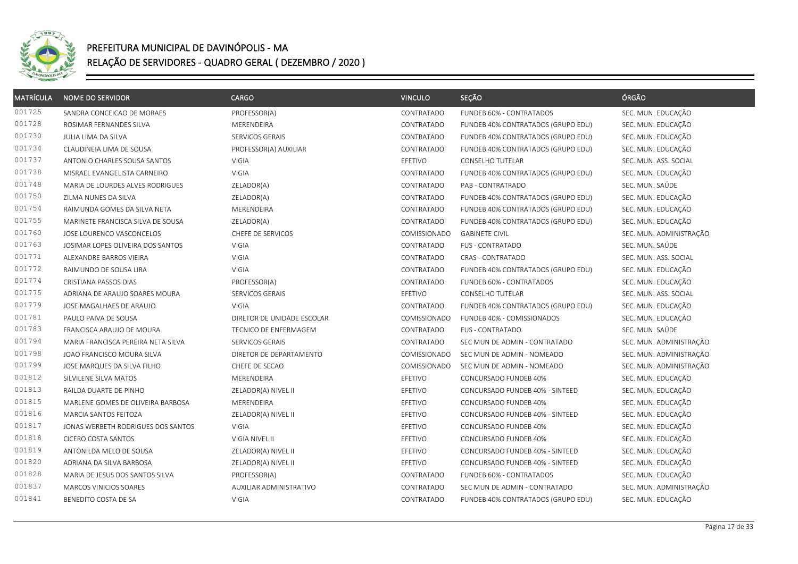

| <b>MATRÍCULA</b> | <b>NOME DO SERVIDOR</b>            | <b>CARGO</b>               | <b>VINCULO</b> | SEÇÃO                              | ÓRGÃO                   |
|------------------|------------------------------------|----------------------------|----------------|------------------------------------|-------------------------|
| 001725           | SANDRA CONCEICAO DE MORAES         | PROFESSOR(A)               | CONTRATADO     | FUNDEB 60% - CONTRATADOS           | SEC. MUN. EDUCAÇÃO      |
| 001728           | ROSIMAR FERNANDES SILVA            | MERENDEIRA                 | CONTRATADO     | FUNDEB 40% CONTRATADOS (GRUPO EDU) | SEC. MUN. EDUCAÇÃO      |
| 001730           | JULIA LIMA DA SILVA                | SERVICOS GERAIS            | CONTRATADO     | FUNDEB 40% CONTRATADOS (GRUPO EDU) | SEC. MUN. EDUCAÇÃO      |
| 001734           | CLAUDINEIA LIMA DE SOUSA           | PROFESSOR(A) AUXILIAR      | CONTRATADO     | FUNDEB 40% CONTRATADOS (GRUPO EDU) | SEC. MUN. EDUCAÇÃO      |
| 001737           | ANTONIO CHARLES SOUSA SANTOS       | <b>VIGIA</b>               | EFETIVO        | CONSELHO TUTELAR                   | SEC. MUN. ASS. SOCIAL   |
| 001738           | MISRAEL EVANGELISTA CARNEIRO       | <b>VIGIA</b>               | CONTRATADO     | FUNDEB 40% CONTRATADOS (GRUPO EDU) | SEC. MUN. EDUCAÇÃO      |
| 001748           | MARIA DE LOURDES ALVES RODRIGUES   | ZELADOR(A)                 | CONTRATADO     | PAB - CONTRATRADO                  | SEC. MUN. SAÚDE         |
| 001750           | ZILMA NUNES DA SILVA               | ZELADOR(A)                 | CONTRATADO     | FUNDEB 40% CONTRATADOS (GRUPO EDU) | SEC. MUN. EDUCAÇÃO      |
| 001754           | RAIMUNDA GOMES DA SILVA NETA       | MERENDEIRA                 | CONTRATADO     | FUNDEB 40% CONTRATADOS (GRUPO EDU) | SEC. MUN. EDUCAÇÃO      |
| 001755           | MARINETE FRANCISCA SILVA DE SOUSA  | ZELADOR(A)                 | CONTRATADO     | FUNDEB 40% CONTRATADOS (GRUPO EDU) | SEC. MUN. EDUCAÇÃO      |
| 001760           | JOSE LOURENCO VASCONCELOS          | CHEFE DE SERVICOS          | COMISSIONADO   | <b>GABINETE CIVIL</b>              | SEC. MUN. ADMINISTRAÇÃO |
| 001763           | JOSIMAR LOPES OLIVEIRA DOS SANTOS  | VIGIA                      | CONTRATADO     | <b>FUS - CONTRATADO</b>            | SEC. MUN. SAÚDE         |
| 001771           | ALEXANDRE BARROS VIEIRA            | VIGIA                      | CONTRATADO     | CRAS - CONTRATADO                  | SEC. MUN. ASS. SOCIAL   |
| 001772           | RAIMUNDO DE SOUSA LIRA             | VIGIA                      | CONTRATADO     | FUNDEB 40% CONTRATADOS (GRUPO EDU) | SEC. MUN. EDUCAÇÃO      |
| 001774           | CRISTIANA PASSOS DIAS              | PROFESSOR(A)               | CONTRATADO     | FUNDEB 60% - CONTRATADOS           | SEC. MUN. EDUCAÇÃO      |
| 001775           | ADRIANA DE ARAUJO SOARES MOURA     | SERVICOS GERAIS            | EFETIVO        | CONSELHO TUTELAR                   | SEC. MUN. ASS. SOCIAL   |
| 001779           | JOSE MAGALHAES DE ARAUJO           | <b>VIGIA</b>               | CONTRATADO     | FUNDEB 40% CONTRATADOS (GRUPO EDU) | SEC. MUN. EDUCAÇÃO      |
| 001781           | PAULO PAIVA DE SOUSA               | DIRETOR DE UNIDADE ESCOLAR | COMISSIONADO   | FUNDEB 40% - COMISSIONADOS         | SEC. MUN. EDUCAÇÃO      |
| 001783           | FRANCISCA ARAUJO DE MOURA          | TECNICO DE ENFERMAGEM      | CONTRATADO     | FUS - CONTRATADO                   | SEC. MUN. SAÚDE         |
| 001794           | MARIA FRANCISCA PEREIRA NETA SILVA | SERVICOS GERAIS            | CONTRATADO     | SEC MUN DE ADMIN - CONTRATADO      | SEC. MUN. ADMINISTRAÇÃO |
| 001798           | JOAO FRANCISCO MOURA SILVA         | DIRETOR DE DEPARTAMENTO    | COMISSIONADO   | SEC MUN DE ADMIN - NOMEADO         | SEC. MUN. ADMINISTRAÇÃO |
| 001799           | JOSE MARQUES DA SILVA FILHO        | CHEFE DE SECAO             | COMISSIONADO   | SEC MUN DE ADMIN - NOMEADO         | SEC. MUN. ADMINISTRAÇÃO |
| 001812           | SILVILENE SILVA MATOS              | MERENDEIRA                 | EFETIVO        | CONCURSADO FUNDEB 40%              | SEC. MUN. EDUCAÇÃO      |
| 001813           | RAILDA DUARTE DE PINHO             | ZELADOR(A) NIVEL II        | EFETIVO        | CONCURSADO FUNDEB 40% - SINTEED    | SEC. MUN. EDUCAÇÃO      |
| 001815           | MARLENE GOMES DE OLIVEIRA BARBOSA  | MERENDEIRA                 | EFETIVO        | CONCURSADO FUNDEB 40%              | SEC. MUN. EDUCAÇÃO      |
| 001816           | MARCIA SANTOS FEITOZA              | ZELADOR(A) NIVEL II        | EFETIVO        | CONCURSADO FUNDEB 40% - SINTEED    | SEC. MUN. EDUCAÇÃO      |
| 001817           | JONAS WERBETH RODRIGUES DOS SANTOS | VIGIA                      | EFETIVO        | CONCURSADO FUNDEB 40%              | SEC. MUN. EDUCAÇÃO      |
| 001818           | CICERO COSTA SANTOS                | VIGIA NIVEL II             | EFETIVO        | CONCURSADO FUNDEB 40%              | SEC. MUN. EDUCAÇÃO      |
| 001819           | ANTONILDA MELO DE SOUSA            | ZELADOR(A) NIVEL II        | EFETIVO        | CONCURSADO FUNDEB 40% - SINTEED    | SEC. MUN. EDUCAÇÃO      |
| 001820           | ADRIANA DA SILVA BARBOSA           | ZELADOR(A) NIVEL II        | EFETIVO        | CONCURSADO FUNDEB 40% - SINTEED    | SEC. MUN. EDUCAÇÃO      |
| 001828           | MARIA DE JESUS DOS SANTOS SILVA    | PROFESSOR(A)               | CONTRATADO     | FUNDEB 60% - CONTRATADOS           | SEC. MUN. EDUCAÇÃO      |
| 001837           | MARCOS VINICIOS SOARES             | AUXILIAR ADMINISTRATIVO    | CONTRATADO     | SEC MUN DE ADMIN - CONTRATADO      | SEC. MUN. ADMINISTRAÇÃO |
| 001841           | BENEDITO COSTA DE SA               | VIGIA                      | CONTRATADO     | FUNDEB 40% CONTRATADOS (GRUPO EDU) | SEC. MUN. EDUCAÇÃO      |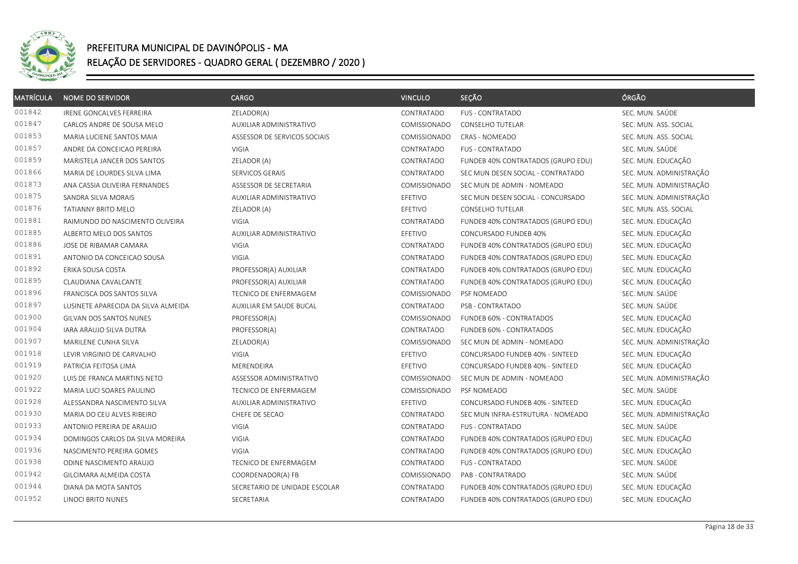

| <b>MATRÍCULA</b> | <b>NOME DO SERVIDOR</b>             | CARGO                          | <b>VINCULO</b> | SEÇÃO                              | ÓRGÃO                   |
|------------------|-------------------------------------|--------------------------------|----------------|------------------------------------|-------------------------|
| 001842           | <b>IRENE GONCALVES FERREIRA</b>     | ZELADOR(A)                     | CONTRATADO     | <b>FUS - CONTRATADO</b>            | SEC. MUN. SAÚDE         |
| 001847           | CARLOS ANDRE DE SOUSA MELO          | AUXILIAR ADMINISTRATIVO        | COMISSIONADO   | <b>CONSELHO TUTELAR</b>            | SEC. MUN. ASS. SOCIAL   |
| 001853           | MARIA LUCIENE SANTOS MAIA           | ASSESSOR DE SERVICOS SOCIAIS   | COMISSIONADO   | CRAS - NOMEADO                     | SEC. MUN. ASS. SOCIAL   |
| 001857           | ANDRE DA CONCEICAO PEREIRA          | VIGIA                          | CONTRATADO     | <b>FUS - CONTRATADO</b>            | SEC. MUN. SAÚDE         |
| 001859           | MARISTELA JANCER DOS SANTOS         | ZELADOR (A)                    | CONTRATADO     | FUNDEB 40% CONTRATADOS (GRUPO EDU) | SEC. MUN. EDUCAÇÃO      |
| 001866           | MARIA DE LOURDES SILVA LIMA         | SERVICOS GERAIS                | CONTRATADO     | SEC MUN DESEN SOCIAL - CONTRATADO  | SEC. MUN. ADMINISTRAÇÃO |
| 001873           | ANA CASSIA OLIVEIRA FERNANDES       | ASSESSOR DE SECRETARIA         | COMISSIONADO   | SEC MUN DE ADMIN - NOMEADO         | SEC. MUN. ADMINISTRAÇÃO |
| 001875           | SANDRA SILVA MORAIS                 | AUXILIAR ADMINISTRATIVO        | EFETIVO        | SEC MUN DESEN SOCIAL - CONCURSADO  | SEC. MUN. ADMINISTRAÇÃO |
| 001876           | <b>TATIANNY BRITO MELO</b>          | ZELADOR (A)                    | EFETIVO        | CONSELHO TUTELAR                   | SEC. MUN. ASS. SOCIAL   |
| 001881           | RAIMUNDO DO NASCIMENTO OLIVEIRA     | <b>VIGIA</b>                   | CONTRATADO     | FUNDEB 40% CONTRATADOS (GRUPO EDU) | SEC. MUN. EDUCAÇÃO      |
| 001885           | ALBERTO MELO DOS SANTOS             | AUXILIAR ADMINISTRATIVO        | EFETIVO        | CONCURSADO FUNDEB 40%              | SEC. MUN. EDUCAÇÃO      |
| 001886           | JOSE DE RIBAMAR CAMARA              | VIGIA                          | CONTRATADO     | FUNDEB 40% CONTRATADOS (GRUPO EDU) | SEC. MUN. EDUCAÇÃO      |
| 001891           | ANTONIO DA CONCEICAO SOUSA          | VIGIA                          | CONTRATADO     | FUNDEB 40% CONTRATADOS (GRUPO EDU) | SEC. MUN. EDUCAÇÃO      |
| 001892           | ERIKA SOUSA COSTA                   | PROFESSOR(A) AUXILIAR          | CONTRATADO     | FUNDEB 40% CONTRATADOS (GRUPO EDU) | SEC. MUN. EDUCAÇÃO      |
| 001895           | CLAUDIANA CAVALCANTE                | PROFESSOR(A) AUXILIAR          | CONTRATADO     | FUNDEB 40% CONTRATADOS (GRUPO EDU) | SEC. MUN. EDUCAÇÃO      |
| 001896           | FRANCISCA DOS SANTOS SILVA          | TECNICO DE ENFERMAGEM          | COMISSIONADO   | PSF NOMEADO                        | SEC. MUN. SAÚDE         |
| 001897           | LUSINETE APARECIDA DA SILVA ALMEIDA | AUXILIAR EM SAUDE BUCAL        | CONTRATADO     | PSB - CONTRATADO                   | SEC. MUN. SAÚDE         |
| 001900           | GILVAN DOS SANTOS NUNES             | PROFESSOR(A)                   | COMISSIONADO   | FUNDEB 60% - CONTRATADOS           | SEC. MUN. EDUCAÇÃO      |
| 001904           | IARA ARAUJO SILVA DUTRA             | PROFESSOR(A)                   | CONTRATADO     | FUNDEB 60% - CONTRATADOS           | SEC. MUN. EDUCAÇÃO      |
| 001907           | MARILENE CUNHA SILVA                | ZELADOR(A)                     | COMISSIONADO   | SEC MUN DE ADMIN - NOMEADO         | SEC. MUN. ADMINISTRAÇÃO |
| 001918           | LEVIR VIRGINIO DE CARVALHO          | <b>VIGIA</b>                   | EFETIVO        | CONCURSADO FUNDEB 40% - SINTEED    | SEC. MUN. EDUCAÇÃO      |
| 001919           | PATRICIA FEITOSA LIMA               | MERENDEIRA                     | EFETIVO        | CONCURSADO FUNDEB 40% - SINTEED    | SEC. MUN. EDUCAÇÃO      |
| 001920           | LUIS DE FRANCA MARTINS NETO         | ASSESSOR ADMINISTRATIVO        | COMISSIONADO   | SEC MUN DE ADMIN - NOMEADO         | SEC. MUN. ADMINISTRAÇÃO |
| 001922           | MARIA LUCI SOARES PAULINO           | TECNICO DE ENFERMAGEM          | COMISSIONADO   | PSF NOMEADO                        | SEC. MUN. SAÚDE         |
| 001928           | ALESSANDRA NASCIMENTO SILVA         | <b>AUXILIAR ADMINISTRATIVO</b> | EFETIVO        | CONCURSADO FUNDEB 40% - SINTEED    | SEC. MUN. EDUCAÇÃO      |
| 001930           | MARIA DO CEU ALVES RIBEIRO          | CHEFE DE SECAO                 | CONTRATADO     | SEC MUN INFRA-ESTRUTURA - NOMEADO  | SEC. MUN. ADMINISTRAÇÃO |
| 001933           | ANTONIO PEREIRA DE ARAUJO           | VIGIA                          | CONTRATADO     | FUS - CONTRATADO                   | SEC. MUN. SAÚDE         |
| 001934           | DOMINGOS CARLOS DA SILVA MOREIRA    | VIGIA                          | CONTRATADO     | FUNDEB 40% CONTRATADOS (GRUPO EDU) | SEC. MUN. EDUCAÇÃO      |
| 001936           | NASCIMENTO PEREIRA GOMES            | <b>VIGIA</b>                   | CONTRATADO     | FUNDEB 40% CONTRATADOS (GRUPO EDU) | SEC. MUN. EDUCAÇÃO      |
| 001938           | ODINE NASCIMENTO ARAUJO             | TECNICO DE ENFERMAGEM          | CONTRATADO     | <b>FUS - CONTRATADO</b>            | SEC. MUN. SAÚDE         |
| 001942           | GILCIMARA ALMEIDA COSTA             | COORDENADOR(A) FB              | COMISSIONADO   | PAB - CONTRATRADO                  | SEC. MUN. SAÚDE         |
| 001944           | DIANA DA MOTA SANTOS                | SECRETARIO DE UNIDADE ESCOLAR  | CONTRATADO     | FUNDEB 40% CONTRATADOS (GRUPO EDU) | SEC. MUN. EDUCAÇÃO      |
| 001952           | LINOCI BRITO NUNES                  | SECRETARIA                     | CONTRATADO     | FUNDEB 40% CONTRATADOS (GRUPO EDU) | SEC. MUN. EDUCAÇÃO      |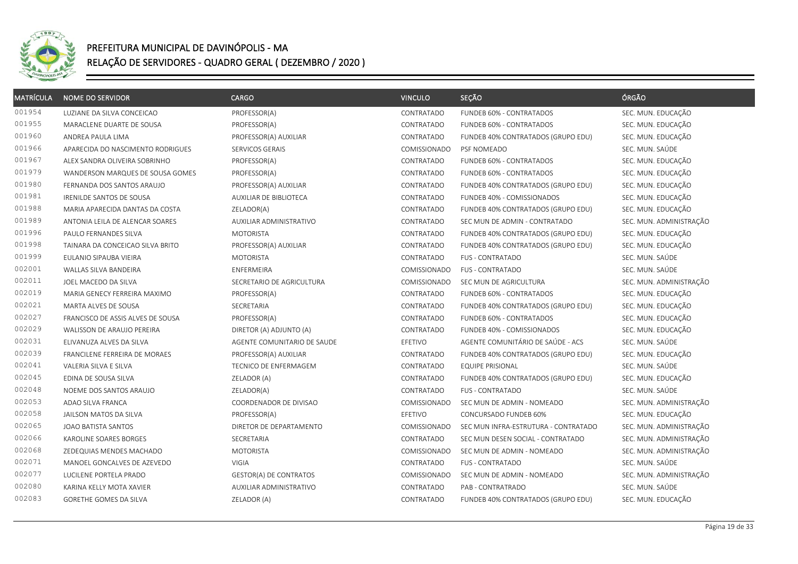

| <b>MATRÍCULA</b> | <b>NOME DO SERVIDOR</b>           | <b>CARGO</b>                | <b>VINCULO</b> | SEÇÃO                                | ÓRGÃO                   |
|------------------|-----------------------------------|-----------------------------|----------------|--------------------------------------|-------------------------|
| 001954           | LUZIANE DA SILVA CONCEICAO        | PROFESSOR(A)                | CONTRATADO     | FUNDEB 60% - CONTRATADOS             | SEC. MUN. EDUCAÇÃO      |
| 001955           | MARACLENE DUARTE DE SOUSA         | PROFESSOR(A)                | CONTRATADO     | FUNDEB 60% - CONTRATADOS             | SEC. MUN. EDUCAÇÃO      |
| 001960           | ANDREA PAULA LIMA                 | PROFESSOR(A) AUXILIAR       | CONTRATADO     | FUNDEB 40% CONTRATADOS (GRUPO EDU)   | SEC. MUN. EDUCAÇÃO      |
| 001966           | APARECIDA DO NASCIMENTO RODRIGUES | SERVICOS GERAIS             | COMISSIONADO   | PSF NOMEADO                          | SEC. MUN. SAÚDE         |
| 001967           | ALEX SANDRA OLIVEIRA SOBRINHO     | PROFESSOR(A)                | CONTRATADO     | FUNDEB 60% - CONTRATADOS             | SEC. MUN. EDUCAÇÃO      |
| 001979           | WANDERSON MARQUES DE SOUSA GOMES  | PROFESSOR(A)                | CONTRATADO     | FUNDEB 60% - CONTRATADOS             | SEC. MUN. EDUCAÇÃO      |
| 001980           | FERNANDA DOS SANTOS ARAUJO        | PROFESSOR(A) AUXILIAR       | CONTRATADO     | FUNDEB 40% CONTRATADOS (GRUPO EDU)   | SEC. MUN. EDUCAÇÃO      |
| 001981           | IRENILDE SANTOS DE SOUSA          | AUXILIAR DE BIBLIOTECA      | CONTRATADO     | FUNDEB 40% - COMISSIONADOS           | SEC. MUN. EDUCAÇÃO      |
| 001988           | MARIA APARECIDA DANTAS DA COSTA   | ZELADOR(A)                  | CONTRATADO     | FUNDEB 40% CONTRATADOS (GRUPO EDU)   | SEC. MUN. EDUCAÇÃO      |
| 001989           | ANTONIA LEILA DE ALENCAR SOARES   | AUXILIAR ADMINISTRATIVO     | CONTRATADO     | SEC MUN DE ADMIN - CONTRATADO        | SEC. MUN. ADMINISTRAÇÃO |
| 001996           | PAULO FERNANDES SILVA             | <b>MOTORISTA</b>            | CONTRATADO     | FUNDEB 40% CONTRATADOS (GRUPO EDU)   | SEC. MUN. EDUCAÇÃO      |
| 001998           | TAINARA DA CONCEICAO SILVA BRITO  | PROFESSOR(A) AUXILIAR       | CONTRATADO     | FUNDEB 40% CONTRATADOS (GRUPO EDU)   | SEC. MUN. EDUCAÇÃO      |
| 001999           | EULANIO SIPAUBA VIEIRA            | <b>MOTORISTA</b>            | CONTRATADO     | FUS - CONTRATADO                     | SEC. MUN. SAÚDE         |
| 002001           | WALLAS SILVA BANDEIRA             | <b>ENFERMEIRA</b>           | COMISSIONADO   | <b>FUS - CONTRATADO</b>              | SEC. MUN. SAÚDE         |
| 002011           | JOEL MACEDO DA SILVA              | SECRETARIO DE AGRICULTURA   | COMISSIONADO   | SEC MUN DE AGRICULTURA               | SEC. MUN. ADMINISTRAÇÃO |
| 002019           | MARIA GENECY FERREIRA MAXIMO      | PROFESSOR(A)                | CONTRATADO     | FUNDEB 60% - CONTRATADOS             | SEC. MUN. EDUCAÇÃO      |
| 002021           | MARTA ALVES DE SOUSA              | SECRETARIA                  | CONTRATADO     | FUNDEB 40% CONTRATADOS (GRUPO EDU)   | SEC. MUN. EDUCAÇÃO      |
| 002027           | FRANCISCO DE ASSIS ALVES DE SOUSA | PROFESSOR(A)                | CONTRATADO     | FUNDEB 60% - CONTRATADOS             | SEC. MUN. EDUCAÇÃO      |
| 002029           | WALISSON DE ARAUJO PEREIRA        | DIRETOR (A) ADJUNTO (A)     | CONTRATADO     | FUNDEB 40% - COMISSIONADOS           | SEC. MUN. EDUCAÇÃO      |
| 002031           | ELIVANUZA ALVES DA SILVA          | AGENTE COMUNITARIO DE SAUDE | EFETIVO        | AGENTE COMUNITÁRIO DE SAÚDE - ACS    | SEC. MUN. SAÚDE         |
| 002039           | FRANCILENE FERREIRA DE MORAES     | PROFESSOR(A) AUXILIAR       | CONTRATADO     | FUNDEB 40% CONTRATADOS (GRUPO EDU)   | SEC. MUN. EDUCAÇÃO      |
| 002041           | VALERIA SILVA E SILVA             | TECNICO DE ENFERMAGEM       | CONTRATADO     | <b>EQUIPE PRISIONAL</b>              | SEC. MUN. SAÚDE         |
| 002045           | EDINA DE SOUSA SILVA              | ZELADOR (A)                 | CONTRATADO     | FUNDEB 40% CONTRATADOS (GRUPO EDU)   | SEC. MUN. EDUCAÇÃO      |
| 002048           | NOEME DOS SANTOS ARAUJO           | ZELADOR(A)                  | CONTRATADO     | <b>FUS - CONTRATADO</b>              | SEC. MUN. SAÚDE         |
| 002053           | ADAO SILVA FRANCA                 | COORDENADOR DE DIVISAO      | COMISSIONADO   | SEC MUN DE ADMIN - NOMEADO           | SEC. MUN. ADMINISTRAÇÃO |
| 002058           | JAILSON MATOS DA SILVA            | PROFESSOR(A)                | EFETIVO        | CONCURSADO FUNDEB 60%                | SEC. MUN. EDUCAÇÃO      |
| 002065           | <b>JOAO BATISTA SANTOS</b>        | DIRETOR DE DEPARTAMENTO     | COMISSIONADO   | SEC MUN INFRA-ESTRUTURA - CONTRATADO | SEC. MUN. ADMINISTRAÇÃO |
| 002066           | KAROLINE SOARES BORGES            | <b>SECRETARIA</b>           | CONTRATADO     | SEC MUN DESEN SOCIAL - CONTRATADO    | SEC. MUN. ADMINISTRAÇÃO |
| 002068           | ZEDEQUIAS MENDES MACHADO          | <b>MOTORISTA</b>            | COMISSIONADO   | SEC MUN DE ADMIN - NOMEADO           | SEC. MUN. ADMINISTRAÇÃO |
| 002071           | MANOEL GONCALVES DE AZEVEDO       | <b>VIGIA</b>                | CONTRATADO     | <b>FUS - CONTRATADO</b>              | SEC. MUN. SAÚDE         |
| 002077           | LUCILENE PORTELA PRADO            | GESTOR(A) DE CONTRATOS      | COMISSIONADO   | SEC MUN DE ADMIN - NOMEADO           | SEC. MUN. ADMINISTRAÇÃO |
| 002080           | KARINA KELLY MOTA XAVIER          | AUXILIAR ADMINISTRATIVO     | CONTRATADO     | PAB - CONTRATRADO                    | SEC. MUN. SAÚDE         |
| 002083           | GORETHE GOMES DA SILVA            | ZELADOR (A)                 | CONTRATADO     | FUNDEB 40% CONTRATADOS (GRUPO EDU)   | SEC. MUN. EDUCAÇÃO      |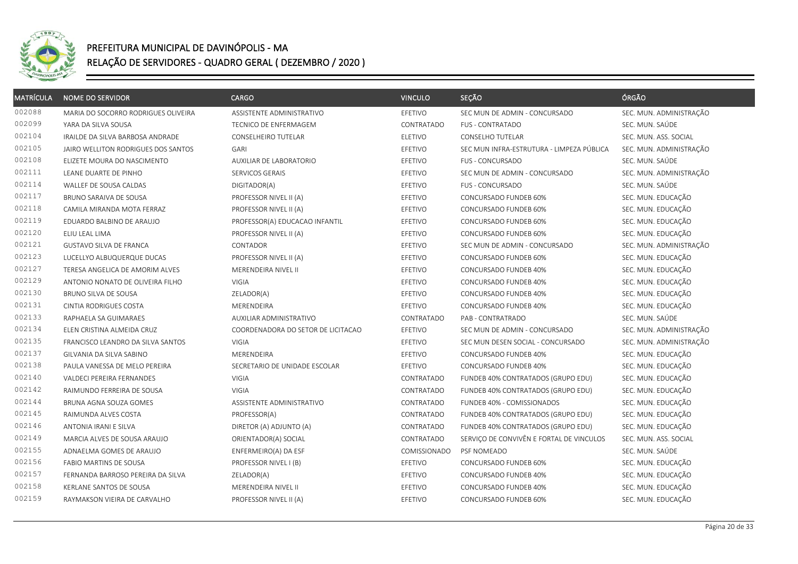

| <b>MATRÍCULA</b> | <b>NOME DO SERVIDOR</b>             | <b>CARGO</b>                       | <b>VINCULO</b> | SEÇÃO                                     | ÓRGÃO                   |
|------------------|-------------------------------------|------------------------------------|----------------|-------------------------------------------|-------------------------|
| 002088           | MARIA DO SOCORRO RODRIGUES OLIVEIRA | ASSISTENTE ADMINISTRATIVO          | EFETIVO        | SEC MUN DE ADMIN - CONCURSADO             | SEC. MUN. ADMINISTRAÇÃO |
| 002099           | YARA DA SILVA SOUSA                 | TECNICO DE ENFERMAGEM              | CONTRATADO     | <b>FUS - CONTRATADO</b>                   | SEC. MUN. SAÚDE         |
| 002104           | IRAILDE DA SILVA BARBOSA ANDRADE    | CONSELHEIRO TUTELAR                | ELETIVO        | <b>CONSELHO TUTELAR</b>                   | SEC. MUN. ASS. SOCIAL   |
| 002105           | JAIRO WELLITON RODRIGUES DOS SANTOS | GARI                               | EFETIVO        | SEC MUN INFRA-ESTRUTURA - LIMPEZA PÚBLICA | SEC. MUN. ADMINISTRAÇÃO |
| 002108           | ELIZETE MOURA DO NASCIMENTO         | AUXILIAR DE LABORATORIO            | EFETIVO        | FUS - CONCURSADO                          | SEC. MUN. SAÚDE         |
| 002111           | LEANE DUARTE DE PINHO               | SERVICOS GERAIS                    | EFETIVO        | SEC MUN DE ADMIN - CONCURSADO             | SEC. MUN. ADMINISTRAÇÃO |
| 002114           | WALLEF DE SOUSA CALDAS              | DIGITADOR(A)                       | EFETIVO        | FUS - CONCURSADO                          | SEC. MUN. SAÚDE         |
| 002117           | BRUNO SARAIVA DE SOUSA              | PROFESSOR NIVEL II (A)             | EFETIVO        | CONCURSADO FUNDEB 60%                     | SEC. MUN. EDUCAÇÃO      |
| 002118           | CAMILA MIRANDA MOTA FERRAZ          | PROFESSOR NIVEL II (A)             | EFETIVO        | CONCURSADO FUNDEB 60%                     | SEC. MUN. EDUCAÇÃO      |
| 002119           | EDUARDO BALBINO DE ARAUJO           | PROFESSOR(A) EDUCACAO INFANTIL     | EFETIVO        | CONCURSADO FUNDEB 60%                     | SEC. MUN. EDUCAÇÃO      |
| 002120           | ELIU LEAL LIMA                      | PROFESSOR NIVEL II (A)             | EFETIVO        | CONCURSADO FUNDEB 60%                     | SEC. MUN. EDUCAÇÃO      |
| 002121           | <b>GUSTAVO SILVA DE FRANCA</b>      | CONTADOR                           | EFETIVO        | SEC MUN DE ADMIN - CONCURSADO             | SEC. MUN. ADMINISTRAÇÃO |
| 002123           | LUCELLYO ALBUQUERQUE DUCAS          | PROFESSOR NIVEL II (A)             | EFETIVO        | CONCURSADO FUNDEB 60%                     | SEC. MUN. EDUCAÇÃO      |
| 002127           | TERESA ANGELICA DE AMORIM ALVES     | MERENDEIRA NIVEL II                | EFETIVO        | CONCURSADO FUNDEB 40%                     | SEC. MUN. EDUCAÇÃO      |
| 002129           | ANTONIO NONATO DE OLIVEIRA FILHO    | VIGIA                              | EFETIVO        | CONCURSADO FUNDEB 40%                     | SEC. MUN. EDUCAÇÃO      |
| 002130           | BRUNO SILVA DE SOUSA                | ZELADOR(A)                         | EFETIVO        | CONCURSADO FUNDEB 40%                     | SEC. MUN. EDUCAÇÃO      |
| 002131           | CINTIA RODRIGUES COSTA              | MERENDEIRA                         | EFETIVO        | CONCURSADO FUNDEB 40%                     | SEC. MUN. EDUCAÇÃO      |
| 002133           | RAPHAELA SA GUIMARAES               | AUXILIAR ADMINISTRATIVO            | CONTRATADO     | PAB - CONTRATRADO                         | SEC. MUN. SAÚDE         |
| 002134           | ELEN CRISTINA ALMEIDA CRUZ          | COORDENADORA DO SETOR DE LICITACAO | EFETIVO        | SEC MUN DE ADMIN - CONCURSADO             | SEC. MUN. ADMINISTRAÇÃO |
| 002135           | FRANCISCO LEANDRO DA SILVA SANTOS   | <b>VIGIA</b>                       | EFETIVO        | SEC MUN DESEN SOCIAL - CONCURSADO         | SEC. MUN. ADMINISTRAÇÃO |
| 002137           | GILVANIA DA SILVA SABINO            | MERENDEIRA                         | EFETIVO        | CONCURSADO FUNDEB 40%                     | SEC. MUN. EDUCAÇÃO      |
| 002138           | PAULA VANESSA DE MELO PEREIRA       | SECRETARIO DE UNIDADE ESCOLAR      | EFETIVO        | CONCURSADO FUNDEB 40%                     | SEC. MUN. EDUCAÇÃO      |
| 002140           | VALDECI PEREIRA FERNANDES           | VIGIA                              | CONTRATADO     | FUNDEB 40% CONTRATADOS (GRUPO EDU)        | SEC. MUN. EDUCAÇÃO      |
| 002142           | RAIMUNDO FERREIRA DE SOUSA          | <b>VIGIA</b>                       | CONTRATADO     | FUNDEB 40% CONTRATADOS (GRUPO EDU)        | SEC. MUN. EDUCAÇÃO      |
| 002144           | BRUNA AGNA SOUZA GOMES              | ASSISTENTE ADMINISTRATIVO          | CONTRATADO     | FUNDEB 40% - COMISSIONADOS                | SEC. MUN. EDUCAÇÃO      |
| 002145           | RAIMUNDA ALVES COSTA                | PROFESSOR(A)                       | CONTRATADO     | FUNDEB 40% CONTRATADOS (GRUPO EDU)        | SEC. MUN. EDUCAÇÃO      |
| 002146           | ANTONIA IRANI E SILVA               | DIRETOR (A) ADJUNTO (A)            | CONTRATADO     | FUNDEB 40% CONTRATADOS (GRUPO EDU)        | SEC. MUN. EDUCAÇÃO      |
| 002149           | MARCIA ALVES DE SOUSA ARAUJO        | ORIENTADOR(A) SOCIAL               | CONTRATADO     | SERVIÇO DE CONVIVÊN E FORTAL DE VINCULOS  | SEC. MUN. ASS. SOCIAL   |
| 002155           | ADNAELMA GOMES DE ARAUJO            | ENFERMEIRO(A) DA ESF               | COMISSIONADO   | PSF NOMEADO                               | SEC. MUN. SAÚDE         |
| 002156           | FABIO MARTINS DE SOUSA              | PROFESSOR NIVEL I (B)              | EFETIVO        | CONCURSADO FUNDEB 60%                     | SEC. MUN. EDUCAÇÃO      |
| 002157           | FERNANDA BARROSO PEREIRA DA SILVA   | ZELADOR(A)                         | EFETIVO        | CONCURSADO FUNDEB 40%                     | SEC. MUN. EDUCAÇÃO      |
| 002158           | KERLANE SANTOS DE SOUSA             | MERENDEIRA NIVEL II                | EFETIVO        | CONCURSADO FUNDEB 40%                     | SEC. MUN. EDUCAÇÃO      |
| 002159           | RAYMAKSON VIEIRA DE CARVALHO        | PROFESSOR NIVEL II (A)             | EFETIVO        | CONCURSADO FUNDEB 60%                     | SEC. MUN. EDUCAÇÃO      |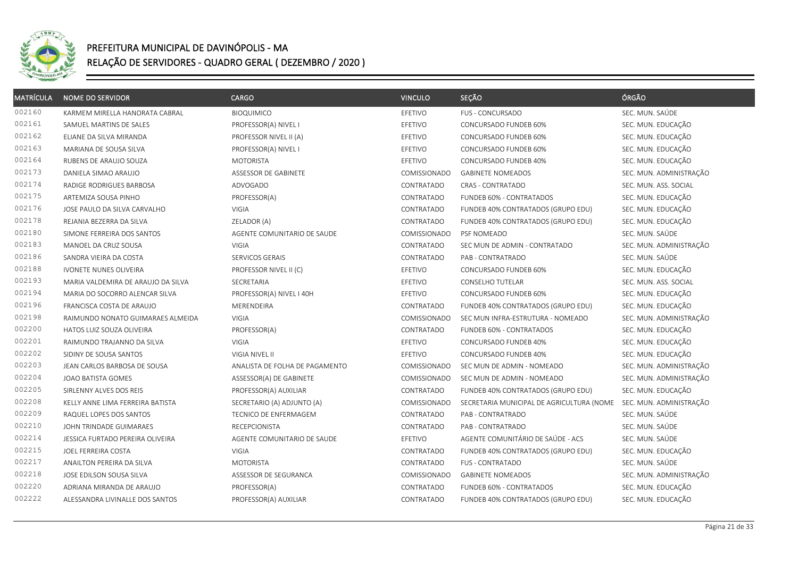

| <b>MATRÍCULA</b> | <b>NOME DO SERVIDOR</b>            | <b>CARGO</b>                   | <b>VINCULO</b> | SEÇÃO                                     | ÓRGÃO                   |
|------------------|------------------------------------|--------------------------------|----------------|-------------------------------------------|-------------------------|
| 002160           | KARMEM MIRELLA HANORATA CABRAL     | <b>BIOQUIMICO</b>              | EFETIVO        | <b>FUS - CONCURSADO</b>                   | SEC. MUN. SAÚDE         |
| 002161           | SAMUEL MARTINS DE SALES            | PROFESSOR(A) NIVEL I           | EFETIVO        | CONCURSADO FUNDEB 60%                     | SEC. MUN. EDUCAÇÃO      |
| 002162           | ELIANE DA SILVA MIRANDA            | PROFESSOR NIVEL II (A)         | EFETIVO        | CONCURSADO FUNDEB 60%                     | SEC. MUN. EDUCAÇÃO      |
| 002163           | MARIANA DE SOUSA SILVA             | PROFESSOR(A) NIVEL I           | EFETIVO        | CONCURSADO FUNDEB 60%                     | SEC. MUN. EDUCAÇÃO      |
| 002164           | RUBENS DE ARAUJO SOUZA             | <b>MOTORISTA</b>               | EFETIVO        | CONCURSADO FUNDEB 40%                     | SEC. MUN. EDUCAÇÃO      |
| 002173           | DANIELA SIMAO ARAUJO               | ASSESSOR DE GABINETE           | COMISSIONADO   | <b>GABINETE NOMEADOS</b>                  | SEC. MUN. ADMINISTRAÇÃO |
| 002174           | RADIGE RODRIGUES BARBOSA           | ADVOGADO                       | CONTRATADO     | CRAS - CONTRATADO                         | SEC. MUN. ASS. SOCIAL   |
| 002175           | ARTEMIZA SOUSA PINHO               | PROFESSOR(A)                   | CONTRATADO     | FUNDEB 60% - CONTRATADOS                  | SEC. MUN. EDUCAÇÃO      |
| 002176           | JOSE PAULO DA SILVA CARVALHO       | VIGIA                          | CONTRATADO     | FUNDEB 40% CONTRATADOS (GRUPO EDU)        | SEC. MUN. EDUCAÇÃO      |
| 002178           | REJANIA BEZERRA DA SILVA           | ZELADOR (A)                    | CONTRATADO     | FUNDEB 40% CONTRATADOS (GRUPO EDU)        | SEC. MUN. EDUCAÇÃO      |
| 002180           | SIMONE FERREIRA DOS SANTOS         | AGENTE COMUNITARIO DE SAUDE    | COMISSIONADO   | PSF NOMEADO                               | SEC. MUN. SAÚDE         |
| 002183           | MANOEL DA CRUZ SOUSA               | VIGIA                          | CONTRATADO     | SEC MUN DE ADMIN - CONTRATADO             | SEC. MUN. ADMINISTRAÇÃO |
| 002186           | SANDRA VIEIRA DA COSTA             | SERVICOS GERAIS                | CONTRATADO     | PAB - CONTRATRADO                         | SEC. MUN. SAÚDE         |
| 002188           | IVONETE NUNES OLIVEIRA             | PROFESSOR NIVEL II (C)         | EFETIVO        | CONCURSADO FUNDEB 60%                     | SEC. MUN. EDUCAÇÃO      |
| 002193           | MARIA VALDEMIRA DE ARAUJO DA SILVA | SECRETARIA                     | EFETIVO        | <b>CONSELHO TUTELAR</b>                   | SEC. MUN. ASS. SOCIAL   |
| 002194           | MARIA DO SOCORRO ALENCAR SILVA     | PROFESSOR(A) NIVEL I 40H       | EFETIVO        | CONCURSADO FUNDEB 60%                     | SEC. MUN. EDUCAÇÃO      |
| 002196           | FRANCISCA COSTA DE ARAUJO          | MERENDEIRA                     | CONTRATADO     | FUNDEB 40% CONTRATADOS (GRUPO EDU)        | SEC. MUN. EDUCAÇÃO      |
| 002198           | RAIMUNDO NONATO GUIMARAES ALMEIDA  | VIGIA                          | COMISSIONADO   | SEC MUN INFRA-ESTRUTURA - NOMEADO         | SEC. MUN. ADMINISTRAÇÃO |
| 002200           | HATOS LUIZ SOUZA OLIVEIRA          | PROFESSOR(A)                   | CONTRATADO     | FUNDEB 60% - CONTRATADOS                  | SEC. MUN. EDUCAÇÃO      |
| 002201           | RAIMUNDO TRAJANNO DA SILVA         | VIGIA                          | EFETIVO        | CONCURSADO FUNDEB 40%                     | SEC. MUN. EDUCAÇÃO      |
| 002202           | SIDINY DE SOUSA SANTOS             | VIGIA NIVEL II                 | EFETIVO        | CONCURSADO FUNDEB 40%                     | SEC. MUN. EDUCAÇÃO      |
| 002203           | JEAN CARLOS BARBOSA DE SOUSA       | ANALISTA DE FOLHA DE PAGAMENTO | COMISSIONADO   | SEC MUN DE ADMIN - NOMEADO                | SEC. MUN. ADMINISTRAÇÃO |
| 002204           | JOAO BATISTA GOMES                 | ASSESSOR(A) DE GABINETE        | COMISSIONADO   | SEC MUN DE ADMIN - NOMEADO                | SEC. MUN. ADMINISTRAÇÃO |
| 002205           | SIRLENNY ALVES DOS REIS            | PROFESSOR(A) AUXILIAR          | CONTRATADO     | FUNDEB 40% CONTRATADOS (GRUPO EDU)        | SEC. MUN. EDUCAÇÃO      |
| 002208           | KELLY ANNE LIMA FERREIRA BATISTA   | SECRETARIO (A) ADJUNTO (A)     | COMISSIONADO   | SECRETARIA MUNICIPAL DE AGRICULTURA (NOME | SEC. MUN. ADMINISTRAÇÃO |
| 002209           | RAQUEL LOPES DOS SANTOS            | TECNICO DE ENFERMAGEM          | CONTRATADO     | PAB - CONTRATRADO                         | SEC. MUN. SAÚDE         |
| 002210           | JOHN TRINDADE GUIMARAES            | <b>RECEPCIONISTA</b>           | CONTRATADO     | PAB - CONTRATRADO                         | SEC. MUN. SAÚDE         |
| 002214           | JESSICA FURTADO PEREIRA OLIVEIRA   | AGENTE COMUNITARIO DE SAUDE    | EFETIVO        | AGENTE COMUNITÁRIO DE SAÚDE - ACS         | SEC. MUN. SAÚDE         |
| 002215           | JOEL FERREIRA COSTA                | VIGIA                          | CONTRATADO     | FUNDEB 40% CONTRATADOS (GRUPO EDU)        | SEC. MUN. EDUCAÇÃO      |
| 002217           | ANAILTON PEREIRA DA SILVA          | <b>MOTORISTA</b>               | CONTRATADO     | <b>FUS - CONTRATADO</b>                   | SEC. MUN. SAÚDE         |
| 002218           | JOSE EDILSON SOUSA SILVA           | ASSESSOR DE SEGURANCA          | COMISSIONADO   | <b>GABINETE NOMEADOS</b>                  | SEC. MUN. ADMINISTRAÇÃO |
| 002220           | ADRIANA MIRANDA DE ARAUJO          | PROFESSOR(A)                   | CONTRATADO     | FUNDEB 60% - CONTRATADOS                  | SEC. MUN. EDUCAÇÃO      |
| 002222           | ALESSANDRA LIVINALLE DOS SANTOS    | PROFESSOR(A) AUXILIAR          | CONTRATADO     | FUNDEB 40% CONTRATADOS (GRUPO EDU)        | SEC. MUN. EDUCAÇÃO      |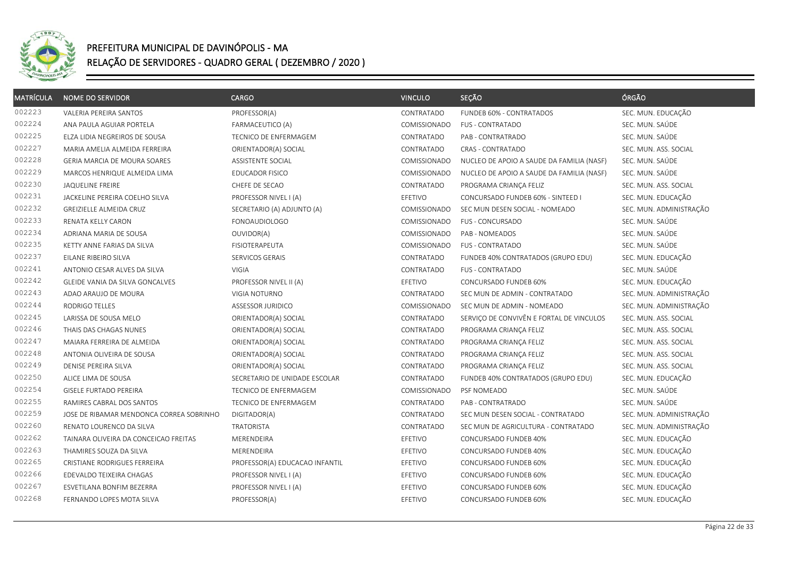

| <b>MATRÍCULA</b> | <b>NOME DO SERVIDOR</b>                  | <b>CARGO</b>                   | <b>VINCULO</b> | SEÇÃO                                     | ÓRGÃO                   |
|------------------|------------------------------------------|--------------------------------|----------------|-------------------------------------------|-------------------------|
| 002223           | VALERIA PEREIRA SANTOS                   | PROFESSOR(A)                   | CONTRATADO     | FUNDEB 60% - CONTRATADOS                  | SEC. MUN. EDUCAÇÃO      |
| 002224           | ANA PAULA AGUIAR PORTELA                 | <b>FARMACEUTICO (A)</b>        | COMISSIONADO   | <b>FUS - CONTRATADO</b>                   | SEC. MUN. SAÚDE         |
| 002225           | ELZA LIDIA NEGREIROS DE SOUSA            | <b>TECNICO DE ENFERMAGEM</b>   | CONTRATADO     | PAB - CONTRATRADO                         | SEC. MUN. SAÚDE         |
| 002227           | MARIA AMELIA ALMEIDA FERREIRA            | ORIENTADOR(A) SOCIAL           | CONTRATADO     | CRAS - CONTRATADO                         | SEC. MUN. ASS. SOCIAL   |
| 002228           | GERIA MARCIA DE MOURA SOARES             | ASSISTENTE SOCIAL              | COMISSIONADO   | NUCLEO DE APOIO A SAUDE DA FAMILIA (NASF) | SEC. MUN. SAÚDE         |
| 002229           | MARCOS HENRIQUE ALMEIDA LIMA             | <b>EDUCADOR FISICO</b>         | COMISSIONADO   | NUCLEO DE APOIO A SAUDE DA FAMILIA (NASF) | SEC. MUN. SAÚDE         |
| 002230           | JAQUELINE FREIRE                         | CHEFE DE SECAO                 | CONTRATADO     | PROGRAMA CRIANÇA FELIZ                    | SEC. MUN. ASS. SOCIAL   |
| 002231           | JACKELINE PEREIRA COELHO SILVA           | PROFESSOR NIVEL I (A)          | EFETIVO        | CONCURSADO FUNDEB 60% - SINTEED I         | SEC. MUN. EDUCAÇÃO      |
| 002232           | GREIZIELLE ALMEIDA CRUZ                  | SECRETARIO (A) ADJUNTO (A)     | COMISSIONADO   | SEC MUN DESEN SOCIAL - NOMEADO            | SEC. MUN. ADMINISTRAÇÃO |
| 002233           | RENATA KELLY CARON                       | <b>FONOAUDIOLOGO</b>           | COMISSIONADO   | FUS - CONCURSADO                          | SEC. MUN. SAÚDE         |
| 002234           | ADRIANA MARIA DE SOUSA                   | OUVIDOR(A)                     | COMISSIONADO   | PAB - NOMEADOS                            | SEC. MUN. SAÚDE         |
| 002235           | KETTY ANNE FARIAS DA SILVA               | <b>FISIOTERAPEUTA</b>          | COMISSIONADO   | <b>FUS - CONTRATADO</b>                   | SEC. MUN. SAÚDE         |
| 002237           | EILANE RIBEIRO SILVA                     | SERVICOS GERAIS                | CONTRATADO     | FUNDEB 40% CONTRATADOS (GRUPO EDU)        | SEC. MUN. EDUCAÇÃO      |
| 002241           | ANTONIO CESAR ALVES DA SILVA             | <b>VIGIA</b>                   | CONTRATADO     | <b>FUS - CONTRATADO</b>                   | SEC. MUN. SAÚDE         |
| 002242           | GLEIDE VANIA DA SILVA GONCALVES          | PROFESSOR NIVEL II (A)         | EFETIVO        | CONCURSADO FUNDEB 60%                     | SEC. MUN. EDUCAÇÃO      |
| 002243           | ADAO ARAUJO DE MOURA                     | VIGIA NOTURNO                  | CONTRATADO     | SEC MUN DE ADMIN - CONTRATADO             | SEC. MUN. ADMINISTRAÇÃO |
| 002244           | <b>RODRIGO TELLES</b>                    | ASSESSOR JURIDICO              | COMISSIONADO   | SEC MUN DE ADMIN - NOMEADO                | SEC. MUN. ADMINISTRAÇÃO |
| 002245           | LARISSA DE SOUSA MELO                    | ORIENTADOR(A) SOCIAL           | CONTRATADO     | SERVIÇO DE CONVIVÊN E FORTAL DE VINCULOS  | SEC. MUN. ASS. SOCIAL   |
| 002246           | THAIS DAS CHAGAS NUNES                   | ORIENTADOR(A) SOCIAL           | CONTRATADO     | PROGRAMA CRIANÇA FELIZ                    | SEC. MUN. ASS. SOCIAL   |
| 002247           | MAIARA FERREIRA DE ALMEIDA               | ORIENTADOR(A) SOCIAL           | CONTRATADO     | PROGRAMA CRIANÇA FELIZ                    | SEC. MUN. ASS. SOCIAL   |
| 002248           | ANTONIA OLIVEIRA DE SOUSA                | ORIENTADOR(A) SOCIAL           | CONTRATADO     | PROGRAMA CRIANÇA FELIZ                    | SEC. MUN. ASS. SOCIAL   |
| 002249           | DENISE PEREIRA SILVA                     | ORIENTADOR(A) SOCIAL           | CONTRATADO     | PROGRAMA CRIANÇA FELIZ                    | SEC. MUN. ASS. SOCIAL   |
| 002250           | ALICE LIMA DE SOUSA                      | SECRETARIO DE UNIDADE ESCOLAR  | CONTRATADO     | FUNDEB 40% CONTRATADOS (GRUPO EDU)        | SEC. MUN. EDUCAÇÃO      |
| 002254           | GISELE FURTADO PEREIRA                   | TECNICO DE ENFERMAGEM          | COMISSIONADO   | PSF NOMEADO                               | SEC. MUN. SAÚDE         |
| 002255           | RAMIRES CABRAL DOS SANTOS                | <b>TECNICO DE ENFERMAGEM</b>   | CONTRATADO     | PAB - CONTRATRADO                         | SEC. MUN. SAÚDE         |
| 002259           | JOSE DE RIBAMAR MENDONCA CORREA SOBRINHO | DIGITADOR(A)                   | CONTRATADO     | SEC MUN DESEN SOCIAL - CONTRATADO         | SEC. MUN. ADMINISTRAÇÃO |
| 002260           | RENATO LOURENCO DA SILVA                 | <b>TRATORISTA</b>              | CONTRATADO     | SEC MUN DE AGRICULTURA - CONTRATADO       | SEC. MUN. ADMINISTRAÇÃO |
| 002262           | TAINARA OLIVEIRA DA CONCEICAO FREITAS    | MERENDEIRA                     | EFETIVO        | CONCURSADO FUNDEB 40%                     | SEC. MUN. EDUCAÇÃO      |
| 002263           | THAMIRES SOUZA DA SILVA                  | MERENDEIRA                     | EFETIVO        | CONCURSADO FUNDEB 40%                     | SEC. MUN. EDUCAÇÃO      |
| 002265           | CRISTIANE RODRIGUES FERREIRA             | PROFESSOR(A) EDUCACAO INFANTIL | EFETIVO        | CONCURSADO FUNDEB 60%                     | SEC. MUN. EDUCAÇÃO      |
| 002266           | EDEVALDO TEIXEIRA CHAGAS                 | PROFESSOR NIVEL I (A)          | EFETIVO        | CONCURSADO FUNDEB 60%                     | SEC. MUN. EDUCAÇÃO      |
| 002267           | ESVETILANA BONFIM BEZERRA                | PROFESSOR NIVEL I (A)          | EFETIVO        | CONCURSADO FUNDEB 60%                     | SEC. MUN. EDUCAÇÃO      |
| 002268           | FERNANDO LOPES MOTA SILVA                | PROFESSOR(A)                   | EFETIVO        | CONCURSADO FUNDEB 60%                     | SEC. MUN. EDUCAÇÃO      |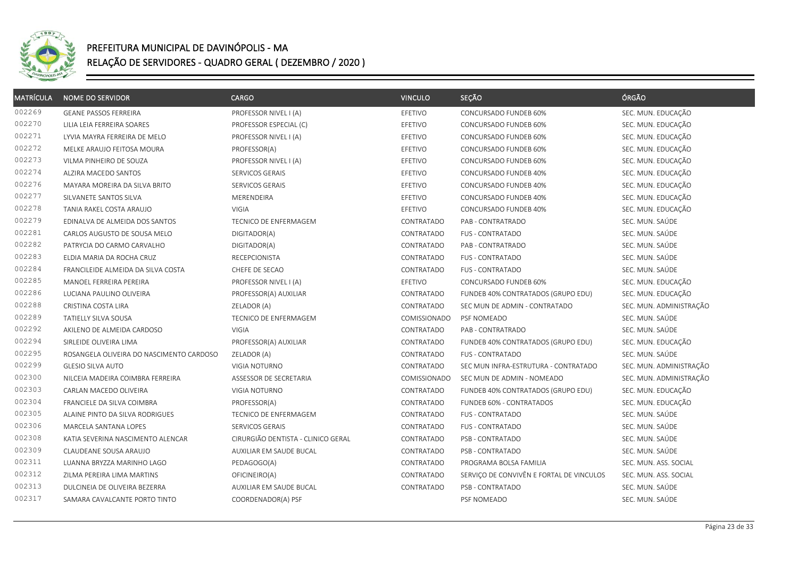

| <b>MATRÍCULA</b> | <b>NOME DO SERVIDOR</b>                  | <b>CARGO</b>                       | <b>VINCULO</b> | SEÇÃO                                    | ÓRGÃO                   |
|------------------|------------------------------------------|------------------------------------|----------------|------------------------------------------|-------------------------|
| 002269           | <b>GEANE PASSOS FERREIRA</b>             | PROFESSOR NIVEL I (A)              | EFETIVO        | CONCURSADO FUNDEB 60%                    | SEC. MUN. EDUCAÇÃO      |
| 002270           | LILIA LEIA FERREIRA SOARES               | PROFESSOR ESPECIAL (C)             | EFETIVO        | CONCURSADO FUNDEB 60%                    | SEC. MUN. EDUCAÇÃO      |
| 002271           | LYVIA MAYRA FERREIRA DE MELO             | PROFESSOR NIVEL I (A)              | EFETIVO        | CONCURSADO FUNDEB 60%                    | SEC. MUN. EDUCAÇÃO      |
| 002272           | MELKE ARAUJO FEITOSA MOURA               | PROFESSOR(A)                       | EFETIVO        | CONCURSADO FUNDEB 60%                    | SEC. MUN. EDUCAÇÃO      |
| 002273           | VILMA PINHEIRO DE SOUZA                  | PROFESSOR NIVEL I (A)              | EFETIVO        | CONCURSADO FUNDEB 60%                    | SEC. MUN. EDUCAÇÃO      |
| 002274           | ALZIRA MACEDO SANTOS                     | SERVICOS GERAIS                    | EFETIVO        | CONCURSADO FUNDEB 40%                    | SEC. MUN. EDUCAÇÃO      |
| 002276           | MAYARA MOREIRA DA SILVA BRITO            | SERVICOS GERAIS                    | EFETIVO        | CONCURSADO FUNDEB 40%                    | SEC. MUN. EDUCAÇÃO      |
| 002277           | SILVANETE SANTOS SILVA                   | MERENDEIRA                         | EFETIVO        | CONCURSADO FUNDEB 40%                    | SEC. MUN. EDUCAÇÃO      |
| 002278           | TANIA RAKEL COSTA ARAUJO                 | VIGIA                              | EFETIVO        | CONCURSADO FUNDEB 40%                    | SEC. MUN. EDUCAÇÃO      |
| 002279           | EDINALVA DE ALMEIDA DOS SANTOS           | TECNICO DE ENFERMAGEM              | CONTRATADO     | PAB - CONTRATRADO                        | SEC. MUN. SAÚDE         |
| 002281           | CARLOS AUGUSTO DE SOUSA MELO             | DIGITADOR(A)                       | CONTRATADO     | <b>FUS - CONTRATADO</b>                  | SEC. MUN. SAÚDE         |
| 002282           | PATRYCIA DO CARMO CARVALHO               | DIGITADOR(A)                       | CONTRATADO     | PAB - CONTRATRADO                        | SEC. MUN. SAÚDE         |
| 002283           | ELDIA MARIA DA ROCHA CRUZ                | <b>RECEPCIONISTA</b>               | CONTRATADO     | <b>FUS - CONTRATADO</b>                  | SEC. MUN. SAÚDE         |
| 002284           | FRANCILEIDE ALMEIDA DA SILVA COSTA       | CHEFE DE SECAO                     | CONTRATADO     | <b>FUS - CONTRATADO</b>                  | SEC. MUN. SAÚDE         |
| 002285           | MANOEL FERREIRA PEREIRA                  | PROFESSOR NIVEL I (A)              | EFETIVO        | CONCURSADO FUNDEB 60%                    | SEC. MUN. EDUCAÇÃO      |
| 002286           | LUCIANA PAULINO OLIVEIRA                 | PROFESSOR(A) AUXILIAR              | CONTRATADO     | FUNDEB 40% CONTRATADOS (GRUPO EDU)       | SEC. MUN. EDUCAÇÃO      |
| 002288           | CRISTINA COSTA LIRA                      | ZELADOR (A)                        | CONTRATADO     | SEC MUN DE ADMIN - CONTRATADO            | SEC. MUN. ADMINISTRAÇÃO |
| 002289           | TATIELLY SILVA SOUSA                     | TECNICO DE ENFERMAGEM              | COMISSIONADO   | PSF NOMEADO                              | SEC. MUN. SAÚDE         |
| 002292           | AKILENO DE ALMEIDA CARDOSO               | VIGIA                              | CONTRATADO     | PAB - CONTRATRADO                        | SEC. MUN. SAÚDE         |
| 002294           | SIRLEIDE OLIVEIRA LIMA                   | PROFESSOR(A) AUXILIAR              | CONTRATADO     | FUNDEB 40% CONTRATADOS (GRUPO EDU)       | SEC. MUN. EDUCAÇÃO      |
| 002295           | ROSANGELA OLIVEIRA DO NASCIMENTO CARDOSO | ZELADOR (A)                        | CONTRATADO     | <b>FUS - CONTRATADO</b>                  | SEC. MUN. SAÚDE         |
| 002299           | <b>GLESIO SILVA AUTO</b>                 | <b>VIGIA NOTURNO</b>               | CONTRATADO     | SEC MUN INFRA-ESTRUTURA - CONTRATADO     | SEC. MUN. ADMINISTRAÇÃO |
| 002300           | NILCEIA MADEIRA COIMBRA FERREIRA         | ASSESSOR DE SECRETARIA             | COMISSIONADO   | SEC MUN DE ADMIN - NOMEADO               | SEC. MUN. ADMINISTRAÇÃO |
| 002303           | CARLAN MACEDO OLIVEIRA                   | VIGIA NOTURNO                      | CONTRATADO     | FUNDEB 40% CONTRATADOS (GRUPO EDU)       | SEC. MUN. EDUCAÇÃO      |
| 002304           | FRANCIELE DA SILVA COIMBRA               | PROFESSOR(A)                       | CONTRATADO     | FUNDEB 60% - CONTRATADOS                 | SEC. MUN. EDUCAÇÃO      |
| 002305           | ALAINE PINTO DA SILVA RODRIGUES          | TECNICO DE ENFERMAGEM              | CONTRATADO     | FUS - CONTRATADO                         | SEC. MUN. SAÚDE         |
| 002306           | MARCELA SANTANA LOPES                    | SERVICOS GERAIS                    | CONTRATADO     | <b>FUS - CONTRATADO</b>                  | SEC. MUN. SAÚDE         |
| 002308           | KATIA SEVERINA NASCIMENTO ALENCAR        | CIRURGIÃO DENTISTA - CLINICO GERAL | CONTRATADO     | PSB - CONTRATADO                         | SEC. MUN. SAÚDE         |
| 002309           | CLAUDEANE SOUSA ARAUJO                   | AUXILIAR EM SAUDE BUCAL            | CONTRATADO     | PSB - CONTRATADO                         | SEC. MUN. SAÚDE         |
| 002311           | LUANNA BRYZZA MARINHO LAGO               | PEDAGOGO(A)                        | CONTRATADO     | PROGRAMA BOLSA FAMILIA                   | SEC. MUN. ASS. SOCIAL   |
| 002312           | ZILMA PEREIRA LIMA MARTINS               | OFICINEIRO(A)                      | CONTRATADO     | SERVIÇO DE CONVIVÊN E FORTAL DE VINCULOS | SEC. MUN. ASS. SOCIAL   |
| 002313           | DULCINEIA DE OLIVEIRA BEZERRA            | AUXILIAR EM SAUDE BUCAL            | CONTRATADO     | PSB - CONTRATADO                         | SEC. MUN. SAÚDE         |
| 002317           | SAMARA CAVALCANTE PORTO TINTO            | COORDENADOR(A) PSF                 |                | PSF NOMEADO                              | SEC. MUN. SAÚDE         |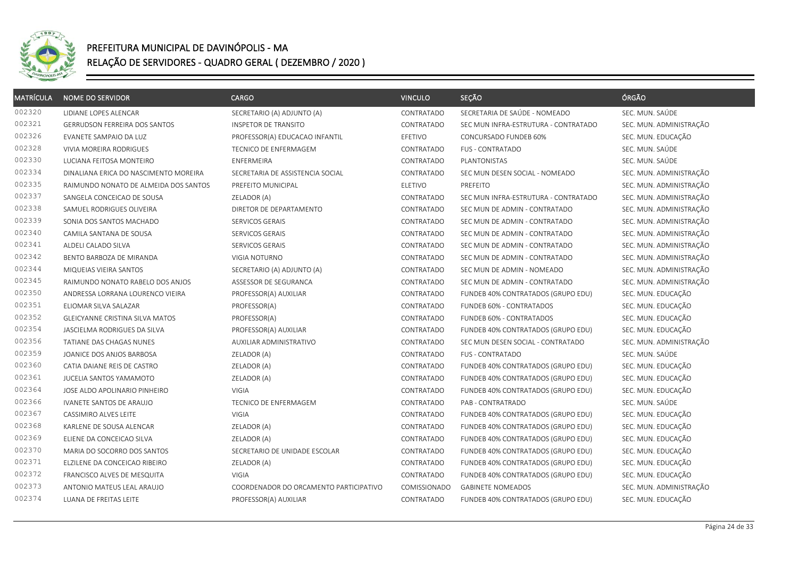

| <b>MATRÍCULA</b> | <b>NOME DO SERVIDOR</b>               | <b>CARGO</b>                           | <b>VINCULO</b> | SEÇÃO                                | ÓRGÃO                   |
|------------------|---------------------------------------|----------------------------------------|----------------|--------------------------------------|-------------------------|
| 002320           | LIDIANE LOPES ALENCAR                 | SECRETARIO (A) ADJUNTO (A)             | CONTRATADO     | SECRETARIA DE SAÚDE - NOMEADO        | SEC. MUN. SAÚDE         |
| 002321           | <b>GERRUDSON FERREIRA DOS SANTOS</b>  | INSPETOR DE TRANSITO                   | CONTRATADO     | SEC MUN INFRA-ESTRUTURA - CONTRATADO | SEC. MUN. ADMINISTRAÇÃO |
| 002326           | EVANETE SAMPAIO DA LUZ                | PROFESSOR(A) EDUCACAO INFANTIL         | EFETIVO        | CONCURSADO FUNDEB 60%                | SEC. MUN. EDUCAÇÃO      |
| 002328           | <b>VIVIA MOREIRA RODRIGUES</b>        | TECNICO DE ENFERMAGEM                  | CONTRATADO     | <b>FUS - CONTRATADO</b>              | SEC. MUN. SAÚDE         |
| 002330           | LUCIANA FEITOSA MONTEIRO              | <b>ENFERMEIRA</b>                      | CONTRATADO     | PLANTONISTAS                         | SEC. MUN. SAÚDE         |
| 002334           | DINALIANA ERICA DO NASCIMENTO MOREIRA | SECRETARIA DE ASSISTENCIA SOCIAL       | CONTRATADO     | SEC MUN DESEN SOCIAL - NOMEADO       | SEC. MUN. ADMINISTRAÇÃO |
| 002335           | RAIMUNDO NONATO DE ALMEIDA DOS SANTOS | PREFEITO MUNICIPAL                     | ELETIVO        | PREFEITO                             | SEC. MUN. ADMINISTRAÇÃO |
| 002337           | SANGELA CONCEICAO DE SOUSA            | ZELADOR (A)                            | CONTRATADO     | SEC MUN INFRA-ESTRUTURA - CONTRATADO | SEC. MUN. ADMINISTRAÇÃO |
| 002338           | SAMUEL RODRIGUES OLIVEIRA             | DIRETOR DE DEPARTAMENTO                | CONTRATADO     | SEC MUN DE ADMIN - CONTRATADO        | SEC. MUN. ADMINISTRAÇÃO |
| 002339           | SONIA DOS SANTOS MACHADO              | SERVICOS GERAIS                        | CONTRATADO     | SEC MUN DE ADMIN - CONTRATADO        | SEC. MUN. ADMINISTRAÇÃO |
| 002340           | CAMILA SANTANA DE SOUSA               | SERVICOS GERAIS                        | CONTRATADO     | SEC MUN DE ADMIN - CONTRATADO        | SEC. MUN. ADMINISTRAÇÃO |
| 002341           | ALDELI CALADO SILVA                   | SERVICOS GERAIS                        | CONTRATADO     | SEC MUN DE ADMIN - CONTRATADO        | SEC. MUN. ADMINISTRAÇÃO |
| 002342           | BENTO BARBOZA DE MIRANDA              | <b>VIGIA NOTURNO</b>                   | CONTRATADO     | SEC MUN DE ADMIN - CONTRATADO        | SEC. MUN. ADMINISTRAÇÃO |
| 002344           | MIQUEIAS VIEIRA SANTOS                | SECRETARIO (A) ADJUNTO (A)             | CONTRATADO     | SEC MUN DE ADMIN - NOMEADO           | SEC. MUN. ADMINISTRAÇÃO |
| 002345           | RAIMUNDO NONATO RABELO DOS ANJOS      | ASSESSOR DE SEGURANCA                  | CONTRATADO     | SEC MUN DE ADMIN - CONTRATADO        | SEC. MUN. ADMINISTRAÇÃO |
| 002350           | ANDRESSA LORRANA LOURENCO VIEIRA      | PROFESSOR(A) AUXILIAR                  | CONTRATADO     | FUNDEB 40% CONTRATADOS (GRUPO EDU)   | SEC. MUN. EDUCAÇÃO      |
| 002351           | ELIOMAR SILVA SALAZAR                 | PROFESSOR(A)                           | CONTRATADO     | FUNDEB 60% - CONTRATADOS             | SEC. MUN. EDUCAÇÃO      |
| 002352           | GLEICYANNE CRISTINA SILVA MATOS       | PROFESSOR(A)                           | CONTRATADO     | FUNDEB 60% - CONTRATADOS             | SEC. MUN. EDUCAÇÃO      |
| 002354           | JASCIELMA RODRIGUES DA SILVA          | PROFESSOR(A) AUXILIAR                  | CONTRATADO     | FUNDEB 40% CONTRATADOS (GRUPO EDU)   | SEC. MUN. EDUCAÇÃO      |
| 002356           | TATIANE DAS CHAGAS NUNES              | AUXILIAR ADMINISTRATIVO                | CONTRATADO     | SEC MUN DESEN SOCIAL - CONTRATADO    | SEC. MUN. ADMINISTRAÇÃO |
| 002359           | JOANICE DOS ANJOS BARBOSA             | ZELADOR (A)                            | CONTRATADO     | <b>FUS - CONTRATADO</b>              | SEC. MUN. SAÚDE         |
| 002360           | CATIA DAIANE REIS DE CASTRO           | ZELADOR (A)                            | CONTRATADO     | FUNDEB 40% CONTRATADOS (GRUPO EDU)   | SEC. MUN. EDUCAÇÃO      |
| 002361           | JUCELIA SANTOS YAMAMOTO               | ZELADOR (A)                            | CONTRATADO     | FUNDEB 40% CONTRATADOS (GRUPO EDU)   | SEC. MUN. EDUCAÇÃO      |
| 002364           | JOSE ALDO APOLINARIO PINHEIRO         | VIGIA                                  | CONTRATADO     | FUNDEB 40% CONTRATADOS (GRUPO EDU)   | SEC. MUN. EDUCAÇÃO      |
| 002366           | IVANETE SANTOS DE ARAUJO              | <b>TECNICO DE ENFERMAGEM</b>           | CONTRATADO     | PAB - CONTRATRADO                    | SEC. MUN. SAÚDE         |
| 002367           | CASSIMIRO ALVES LEITE                 | <b>VIGIA</b>                           | CONTRATADO     | FUNDEB 40% CONTRATADOS (GRUPO EDU)   | SEC. MUN. EDUCAÇÃO      |
| 002368           | KARLENE DE SOUSA ALENCAR              | ZELADOR (A)                            | CONTRATADO     | FUNDEB 40% CONTRATADOS (GRUPO EDU)   | SEC. MUN. EDUCAÇÃO      |
| 002369           | ELIENE DA CONCEICAO SILVA             | ZELADOR (A)                            | CONTRATADO     | FUNDEB 40% CONTRATADOS (GRUPO EDU)   | SEC. MUN. EDUCAÇÃO      |
| 002370           | MARIA DO SOCORRO DOS SANTOS           | SECRETARIO DE UNIDADE ESCOLAR          | CONTRATADO     | FUNDEB 40% CONTRATADOS (GRUPO EDU)   | SEC. MUN. EDUCAÇÃO      |
| 002371           | ELZILENE DA CONCEICAO RIBEIRO         | ZELADOR (A)                            | CONTRATADO     | FUNDEB 40% CONTRATADOS (GRUPO EDU)   | SEC. MUN. EDUCAÇÃO      |
| 002372           | FRANCISCO ALVES DE MESQUITA           | <b>VIGIA</b>                           | CONTRATADO     | FUNDEB 40% CONTRATADOS (GRUPO EDU)   | SEC. MUN. EDUCAÇÃO      |
| 002373           | ANTONIO MATEUS LEAL ARAUJO            | COORDENADOR DO ORCAMENTO PARTICIPATIVO | COMISSIONADO   | <b>GABINETE NOMEADOS</b>             | SEC. MUN. ADMINISTRAÇÃO |
| 002374           | LUANA DE FREITAS LEITE                | PROFESSOR(A) AUXILIAR                  | CONTRATADO     | FUNDEB 40% CONTRATADOS (GRUPO EDU)   | SEC. MUN. EDUCAÇÃO      |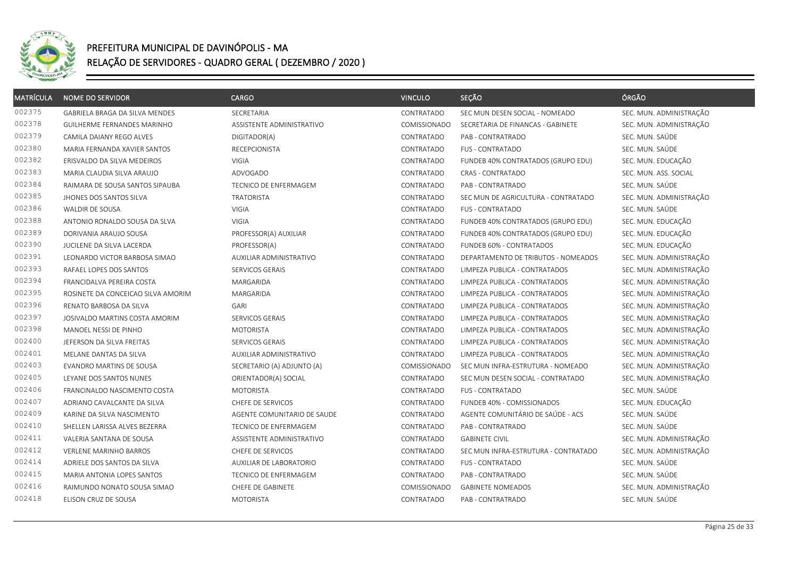

| <b>MATRÍCULA</b> | <b>NOME DO SERVIDOR</b>            | <b>CARGO</b>                   | <b>VINCULO</b> | SEÇÃO                                | ÓRGÃO                   |
|------------------|------------------------------------|--------------------------------|----------------|--------------------------------------|-------------------------|
| 002375           | GABRIELA BRAGA DA SILVA MENDES     | SECRETARIA                     | CONTRATADO     | SEC MUN DESEN SOCIAL - NOMEADO       | SEC. MUN. ADMINISTRAÇÃO |
| 002378           | GUILHERME FERNANDES MARINHO        | ASSISTENTE ADMINISTRATIVO      | COMISSIONADO   | SECRETARIA DE FINANCAS - GABINETE    | SEC. MUN. ADMINISTRAÇÃO |
| 002379           | CAMILA DAIANY REGO ALVES           | DIGITADOR(A)                   | CONTRATADO     | PAB - CONTRATRADO                    | SEC. MUN. SAÚDE         |
| 002380           | MARIA FERNANDA XAVIER SANTOS       | RECEPCIONISTA                  | CONTRATADO     | <b>FUS - CONTRATADO</b>              | SEC. MUN. SAÚDE         |
| 002382           | ERISVALDO DA SILVA MEDEIROS        | <b>VIGIA</b>                   | CONTRATADO     | FUNDEB 40% CONTRATADOS (GRUPO EDU)   | SEC. MUN. EDUCAÇÃO      |
| 002383           | MARIA CLAUDIA SILVA ARAUJO         | <b>ADVOGADO</b>                | CONTRATADO     | <b>CRAS - CONTRATADO</b>             | SEC. MUN. ASS. SOCIAL   |
| 002384           | RAIMARA DE SOUSA SANTOS SIPAUBA    | TECNICO DE ENFERMAGEM          | CONTRATADO     | PAB - CONTRATRADO                    | SEC. MUN. SAÚDE         |
| 002385           | JHONES DOS SANTOS SILVA            | <b>TRATORISTA</b>              | CONTRATADO     | SEC MUN DE AGRICULTURA - CONTRATADO  | SEC. MUN. ADMINISTRAÇÃO |
| 002386           | WALDIR DE SOUSA                    | <b>VIGIA</b>                   | CONTRATADO     | <b>FUS - CONTRATADO</b>              | SEC. MUN. SAÚDE         |
| 002388           | ANTONIO RONALDO SOUSA DA SLVA      | <b>VIGIA</b>                   | CONTRATADO     | FUNDEB 40% CONTRATADOS (GRUPO EDU)   | SEC. MUN. EDUCAÇÃO      |
| 002389           | DORIVANIA ARAUJO SOUSA             | PROFESSOR(A) AUXILIAR          | CONTRATADO     | FUNDEB 40% CONTRATADOS (GRUPO EDU)   | SEC. MUN. EDUCAÇÃO      |
| 002390           | JUCILENE DA SILVA LACERDA          | PROFESSOR(A)                   | CONTRATADO     | FUNDEB 60% - CONTRATADOS             | SEC. MUN. EDUCAÇÃO      |
| 002391           | LEONARDO VICTOR BARBOSA SIMAO      | <b>AUXILIAR ADMINISTRATIVO</b> | CONTRATADO     | DEPARTAMENTO DE TRIBUTOS - NOMEADOS  | SEC. MUN. ADMINISTRAÇÃO |
| 002393           | RAFAEL LOPES DOS SANTOS            | SERVICOS GERAIS                | CONTRATADO     | LIMPEZA PUBLICA - CONTRATADOS        | SEC. MUN. ADMINISTRAÇÃO |
| 002394           | FRANCIDALVA PEREIRA COSTA          | MARGARIDA                      | CONTRATADO     | LIMPEZA PUBLICA - CONTRATADOS        | SEC. MUN. ADMINISTRAÇÃO |
| 002395           | ROSINETE DA CONCEICAO SILVA AMORIM | MARGARIDA                      | CONTRATADO     | LIMPEZA PUBLICA - CONTRATADOS        | SEC. MUN. ADMINISTRAÇÃO |
| 002396           | RENATO BARBOSA DA SILVA            | GARI                           | CONTRATADO     | LIMPEZA PUBLICA - CONTRATADOS        | SEC. MUN. ADMINISTRAÇÃO |
| 002397           | JOSIVALDO MARTINS COSTA AMORIM     | SERVICOS GERAIS                | CONTRATADO     | LIMPEZA PUBLICA - CONTRATADOS        | SEC. MUN. ADMINISTRAÇÃO |
| 002398           | MANOEL NESSI DE PINHO              | <b>MOTORISTA</b>               | CONTRATADO     | LIMPEZA PUBLICA - CONTRATADOS        | SEC. MUN. ADMINISTRAÇÃO |
| 002400           | JEFERSON DA SILVA FREITAS          | SERVICOS GERAIS                | CONTRATADO     | LIMPEZA PUBLICA - CONTRATADOS        | SEC. MUN. ADMINISTRAÇÃO |
| 002401           | MELANE DANTAS DA SILVA             | <b>AUXILIAR ADMINISTRATIVO</b> | CONTRATADO     | LIMPEZA PUBLICA - CONTRATADOS        | SEC. MUN. ADMINISTRAÇÃO |
| 002403           | EVANDRO MARTINS DE SOUSA           | SECRETARIO (A) ADJUNTO (A)     | COMISSIONADO   | SEC MUN INFRA-ESTRUTURA - NOMEADO    | SEC. MUN. ADMINISTRAÇÃO |
| 002405           | LEYANE DOS SANTOS NUNES            | ORIENTADOR(A) SOCIAL           | CONTRATADO     | SEC MUN DESEN SOCIAL - CONTRATADO    | SEC. MUN. ADMINISTRAÇÃO |
| 002406           | FRANCINALDO NASCIMENTO COSTA       | <b>MOTORISTA</b>               | CONTRATADO     | <b>FUS - CONTRATADO</b>              | SEC. MUN. SAÚDE         |
| 002407           | ADRIANO CAVALCANTE DA SILVA        | CHEFE DE SERVICOS              | CONTRATADO     | FUNDEB 40% - COMISSIONADOS           | SEC. MUN. EDUCAÇÃO      |
| 002409           | KARINE DA SILVA NASCIMENTO         | AGENTE COMUNITARIO DE SAUDE    | CONTRATADO     | AGENTE COMUNITÁRIO DE SAÚDE - ACS    | SEC. MUN. SAÚDE         |
| 002410           | SHELLEN LARISSA ALVES BEZERRA      | <b>TECNICO DE ENFERMAGEM</b>   | CONTRATADO     | PAB - CONTRATRADO                    | SEC. MUN. SAÚDE         |
| 002411           | VALERIA SANTANA DE SOUSA           | ASSISTENTE ADMINISTRATIVO      | CONTRATADO     | <b>GABINETE CIVIL</b>                | SEC. MUN. ADMINISTRAÇÃO |
| 002412           | <b>VERLENE MARINHO BARROS</b>      | CHEFE DE SERVICOS              | CONTRATADO     | SEC MUN INFRA-ESTRUTURA - CONTRATADO | SEC. MUN. ADMINISTRAÇÃO |
| 002414           | ADRIELE DOS SANTOS DA SILVA        | AUXILIAR DE LABORATORIO        | CONTRATADO     | <b>FUS - CONTRATADO</b>              | SEC. MUN. SAÚDE         |
| 002415           | MARIA ANTONIA LOPES SANTOS         | TECNICO DE ENFERMAGEM          | CONTRATADO     | PAB - CONTRATRADO                    | SEC. MUN. SAÚDE         |
| 002416           | RAIMUNDO NONATO SOUSA SIMAO        | CHEFE DE GABINETE              | COMISSIONADO   | <b>GABINETE NOMEADOS</b>             | SEC. MUN. ADMINISTRAÇÃO |
| 002418           | ELISON CRUZ DE SOUSA               | MOTORISTA                      | CONTRATADO     | PAB - CONTRATRADO                    | SEC. MUN. SAÚDE         |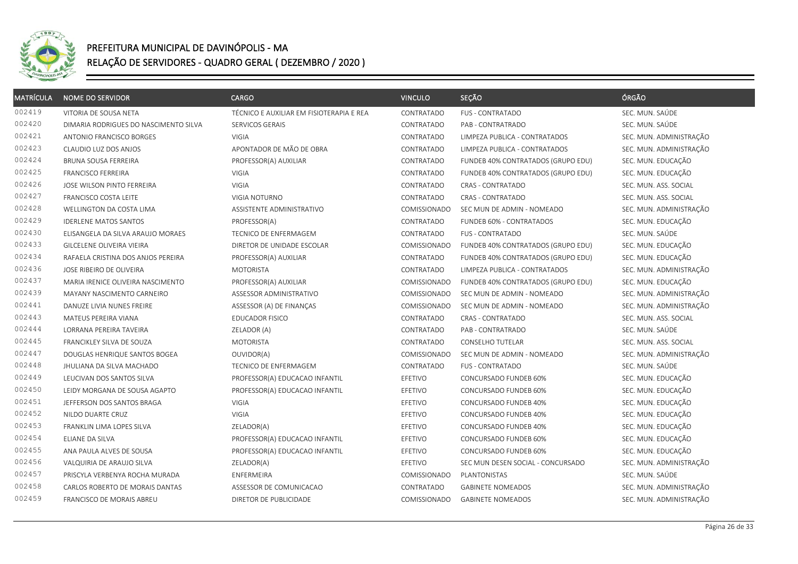

| <b>MATRÍCULA</b> | <b>NOME DO SERVIDOR</b>               | <b>CARGO</b>                             | <b>VINCULO</b> | SEÇÃO                              | ÓRGÃO                   |
|------------------|---------------------------------------|------------------------------------------|----------------|------------------------------------|-------------------------|
| 002419           | VITORIA DE SOUSA NETA                 | TÉCNICO E AUXILIAR EM FISIOTERAPIA E REA | CONTRATADO     | <b>FUS - CONTRATADO</b>            | SEC. MUN. SAÚDE         |
| 002420           | DIMARIA RODRIGUES DO NASCIMENTO SILVA | SERVICOS GERAIS                          | CONTRATADO     | PAB - CONTRATRADO                  | SEC. MUN. SAÚDE         |
| 002421           | ANTONIO FRANCISCO BORGES              | <b>VIGIA</b>                             | CONTRATADO     | LIMPEZA PUBLICA - CONTRATADOS      | SEC. MUN. ADMINISTRAÇÃO |
| 002423           | CLAUDIO LUZ DOS ANJOS                 | APONTADOR DE MÃO DE OBRA                 | CONTRATADO     | LIMPEZA PUBLICA - CONTRATADOS      | SEC. MUN. ADMINISTRAÇÃO |
| 002424           | <b>BRUNA SOUSA FERREIRA</b>           | PROFESSOR(A) AUXILIAR                    | CONTRATADO     | FUNDEB 40% CONTRATADOS (GRUPO EDU) | SEC. MUN. EDUCAÇÃO      |
| 002425           | <b>FRANCISCO FERREIRA</b>             | VIGIA                                    | CONTRATADO     | FUNDEB 40% CONTRATADOS (GRUPO EDU) | SEC. MUN. EDUCAÇÃO      |
| 002426           | JOSE WILSON PINTO FERREIRA            | <b>VIGIA</b>                             | CONTRATADO     | CRAS - CONTRATADO                  | SEC. MUN. ASS. SOCIAL   |
| 002427           | FRANCISCO COSTA LEITE                 | VIGIA NOTURNO                            | CONTRATADO     | <b>CRAS - CONTRATADO</b>           | SEC. MUN. ASS. SOCIAL   |
| 002428           | WELLINGTON DA COSTA LIMA              | ASSISTENTE ADMINISTRATIVO                | COMISSIONADO   | SEC MUN DE ADMIN - NOMEADO         | SEC. MUN. ADMINISTRAÇÃO |
| 002429           | <b>IDERLENE MATOS SANTOS</b>          | PROFESSOR(A)                             | CONTRATADO     | FUNDEB 60% - CONTRATADOS           | SEC. MUN. EDUCAÇÃO      |
| 002430           | ELISANGELA DA SILVA ARAUJO MORAES     | TECNICO DE ENFERMAGEM                    | CONTRATADO     | <b>FUS - CONTRATADO</b>            | SEC. MUN. SAÚDE         |
| 002433           | GILCELENE OLIVEIRA VIEIRA             | DIRETOR DE UNIDADE ESCOLAR               | COMISSIONADO   | FUNDEB 40% CONTRATADOS (GRUPO EDU) | SEC. MUN. EDUCAÇÃO      |
| 002434           | RAFAELA CRISTINA DOS ANJOS PEREIRA    | PROFESSOR(A) AUXILIAR                    | CONTRATADO     | FUNDEB 40% CONTRATADOS (GRUPO EDU) | SEC. MUN. EDUCAÇÃO      |
| 002436           | JOSE RIBEIRO DE OLIVEIRA              | <b>MOTORISTA</b>                         | CONTRATADO     | LIMPEZA PUBLICA - CONTRATADOS      | SEC. MUN. ADMINISTRAÇÃO |
| 002437           | MARIA IRENICE OLIVEIRA NASCIMENTO     | PROFESSOR(A) AUXILIAR                    | COMISSIONADO   | FUNDEB 40% CONTRATADOS (GRUPO EDU) | SEC. MUN. EDUCAÇÃO      |
| 002439           | MAYANY NASCIMENTO CARNEIRO            | ASSESSOR ADMINISTRATIVO                  | COMISSIONADO   | SEC MUN DE ADMIN - NOMEADO         | SEC. MUN. ADMINISTRAÇÃO |
| 002441           | DANUZE LIVIA NUNES FREIRE             | ASSESSOR (A) DE FINANÇAS                 | COMISSIONADO   | SEC MUN DE ADMIN - NOMEADO         | SEC. MUN. ADMINISTRAÇÃO |
| 002443           | MATEUS PEREIRA VIANA                  | <b>EDUCADOR FISICO</b>                   | CONTRATADO     | CRAS - CONTRATADO                  | SEC. MUN. ASS. SOCIAL   |
| 002444           | LORRANA PEREIRA TAVEIRA               | ZELADOR (A)                              | CONTRATADO     | PAB - CONTRATRADO                  | SEC. MUN. SAÚDE         |
| 002445           | FRANCIKLEY SILVA DE SOUZA             | <b>MOTORISTA</b>                         | CONTRATADO     | CONSELHO TUTELAR                   | SEC. MUN. ASS. SOCIAL   |
| 002447           | DOUGLAS HENRIQUE SANTOS BOGEA         | OUVIDOR(A)                               | COMISSIONADO   | SEC MUN DE ADMIN - NOMEADO         | SEC. MUN. ADMINISTRAÇÃO |
| 002448           | JHULIANA DA SILVA MACHADO             | TECNICO DE ENFERMAGEM                    | CONTRATADO     | <b>FUS - CONTRATADO</b>            | SEC. MUN. SAÚDE         |
| 002449           | LEUCIVAN DOS SANTOS SILVA             | PROFESSOR(A) EDUCACAO INFANTIL           | EFETIVO        | CONCURSADO FUNDEB 60%              | SEC. MUN. EDUCAÇÃO      |
| 002450           | LEIDY MORGANA DE SOUSA AGAPTO         | PROFESSOR(A) EDUCACAO INFANTIL           | EFETIVO        | CONCURSADO FUNDEB 60%              | SEC. MUN. EDUCAÇÃO      |
| 002451           | JEFFERSON DOS SANTOS BRAGA            | <b>VIGIA</b>                             | EFETIVO        | CONCURSADO FUNDEB 40%              | SEC. MUN. EDUCAÇÃO      |
| 002452           | NILDO DUARTE CRUZ                     | VIGIA                                    | EFETIVO        | CONCURSADO FUNDEB 40%              | SEC. MUN. EDUCAÇÃO      |
| 002453           | FRANKLIN LIMA LOPES SILVA             | ZELADOR(A)                               | EFETIVO        | CONCURSADO FUNDEB 40%              | SEC. MUN. EDUCAÇÃO      |
| 002454           | ELIANE DA SILVA                       | PROFESSOR(A) EDUCACAO INFANTIL           | EFETIVO        | CONCURSADO FUNDEB 60%              | SEC. MUN. EDUCAÇÃO      |
| 002455           | ANA PAULA ALVES DE SOUSA              | PROFESSOR(A) EDUCACAO INFANTIL           | EFETIVO        | CONCURSADO FUNDEB 60%              | SEC. MUN. EDUCAÇÃO      |
| 002456           | VALQUIRIA DE ARAUJO SILVA             | ZELADOR(A)                               | EFETIVO        | SEC MUN DESEN SOCIAL - CONCURSADO  | SEC. MUN. ADMINISTRAÇÃO |
| 002457           | PRISCYLA VERBENYA ROCHA MURADA        | ENFERMEIRA                               | COMISSIONADO   | PLANTONISTAS                       | SEC. MUN. SAÚDE         |
| 002458           | CARLOS ROBERTO DE MORAIS DANTAS       | ASSESSOR DE COMUNICACAO                  | CONTRATADO     | <b>GABINETE NOMEADOS</b>           | SEC. MUN. ADMINISTRAÇÃO |
| 002459           | FRANCISCO DE MORAIS ABREU             | DIRETOR DE PUBLICIDADE                   | COMISSIONADO   | <b>GABINETE NOMEADOS</b>           | SEC. MUN. ADMINISTRAÇÃO |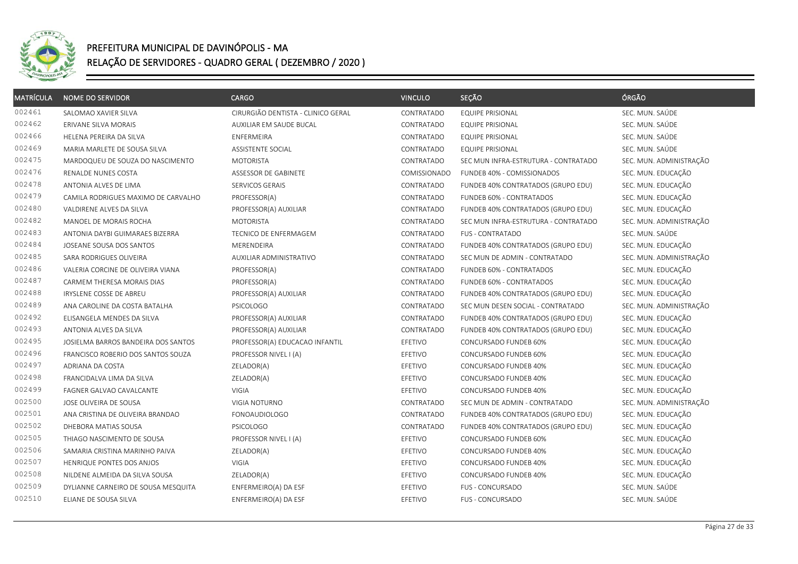

| <b>MATRÍCULA</b> | <b>NOME DO SERVIDOR</b>             | <b>CARGO</b>                       | <b>VINCULO</b> | SEÇÃO                                | ÓRGÃO                   |
|------------------|-------------------------------------|------------------------------------|----------------|--------------------------------------|-------------------------|
| 002461           | SALOMAO XAVIER SILVA                | CIRURGIÃO DENTISTA - CLINICO GERAL | CONTRATADO     | <b>EQUIPE PRISIONAL</b>              | SEC. MUN. SAÚDE         |
| 002462           | ERIVANE SILVA MORAIS                | AUXILIAR EM SAUDE BUCAL            | CONTRATADO     | EQUIPE PRISIONAL                     | SEC. MUN. SAÚDE         |
| 002466           | HELENA PEREIRA DA SILVA             | ENFERMEIRA                         | CONTRATADO     | <b>EQUIPE PRISIONAL</b>              | SEC. MUN. SAÚDE         |
| 002469           | MARIA MARLETE DE SOUSA SILVA        | ASSISTENTE SOCIAL                  | CONTRATADO     | <b>EQUIPE PRISIONAL</b>              | SEC. MUN. SAÚDE         |
| 002475           | MARDOQUEU DE SOUZA DO NASCIMENTO    | <b>MOTORISTA</b>                   | CONTRATADO     | SEC MUN INFRA-ESTRUTURA - CONTRATADO | SEC. MUN. ADMINISTRAÇÃO |
| 002476           | RENALDE NUNES COSTA                 | ASSESSOR DE GABINETE               | COMISSIONADO   | FUNDEB 40% - COMISSIONADOS           | SEC. MUN. EDUCAÇÃO      |
| 002478           | ANTONIA ALVES DE LIMA               | SERVICOS GERAIS                    | CONTRATADO     | FUNDEB 40% CONTRATADOS (GRUPO EDU)   | SEC. MUN. EDUCAÇÃO      |
| 002479           | CAMILA RODRIGUES MAXIMO DE CARVALHO | PROFESSOR(A)                       | CONTRATADO     | FUNDEB 60% - CONTRATADOS             | SEC. MUN. EDUCAÇÃO      |
| 002480           | VALDIRENE ALVES DA SILVA            | PROFESSOR(A) AUXILIAR              | CONTRATADO     | FUNDEB 40% CONTRATADOS (GRUPO EDU)   | SEC. MUN. EDUCAÇÃO      |
| 002482           | MANOEL DE MORAIS ROCHA              | <b>MOTORISTA</b>                   | CONTRATADO     | SEC MUN INFRA-ESTRUTURA - CONTRATADO | SEC. MUN. ADMINISTRAÇÃO |
| 002483           | ANTONIA DAYBI GUIMARAES BIZERRA     | TECNICO DE ENFERMAGEM              | CONTRATADO     | <b>FUS - CONTRATADO</b>              | SEC. MUN. SAÚDE         |
| 002484           | JOSEANE SOUSA DOS SANTOS            | <b>MERENDEIRA</b>                  | CONTRATADO     | FUNDEB 40% CONTRATADOS (GRUPO EDU)   | SEC. MUN. EDUCAÇÃO      |
| 002485           | SARA RODRIGUES OLIVEIRA             | AUXILIAR ADMINISTRATIVO            | CONTRATADO     | SEC MUN DE ADMIN - CONTRATADO        | SEC. MUN. ADMINISTRAÇÃO |
| 002486           | VALERIA CORCINE DE OLIVEIRA VIANA   | PROFESSOR(A)                       | CONTRATADO     | FUNDEB 60% - CONTRATADOS             | SEC. MUN. EDUCAÇÃO      |
| 002487           | CARMEM THERESA MORAIS DIAS          | PROFESSOR(A)                       | CONTRATADO     | FUNDEB 60% - CONTRATADOS             | SEC. MUN. EDUCAÇÃO      |
| 002488           | IRYSLENE COSSE DE ABREU             | PROFESSOR(A) AUXILIAR              | CONTRATADO     | FUNDEB 40% CONTRATADOS (GRUPO EDU)   | SEC. MUN. EDUCAÇÃO      |
| 002489           | ANA CAROLINE DA COSTA BATALHA       | <b>PSICOLOGO</b>                   | CONTRATADO     | SEC MUN DESEN SOCIAL - CONTRATADO    | SEC. MUN. ADMINISTRAÇÃO |
| 002492           | ELISANGELA MENDES DA SILVA          | PROFESSOR(A) AUXILIAR              | CONTRATADO     | FUNDEB 40% CONTRATADOS (GRUPO EDU)   | SEC. MUN. EDUCAÇÃO      |
| 002493           | ANTONIA ALVES DA SILVA              | PROFESSOR(A) AUXILIAR              | CONTRATADO     | FUNDEB 40% CONTRATADOS (GRUPO EDU)   | SEC. MUN. EDUCAÇÃO      |
| 002495           | JOSIELMA BARROS BANDEIRA DOS SANTOS | PROFESSOR(A) EDUCACAO INFANTIL     | EFETIVO        | CONCURSADO FUNDEB 60%                | SEC. MUN. EDUCAÇÃO      |
| 002496           | FRANCISCO ROBERIO DOS SANTOS SOUZA  | PROFESSOR NIVEL I (A)              | EFETIVO        | CONCURSADO FUNDEB 60%                | SEC. MUN. EDUCAÇÃO      |
| 002497           | ADRIANA DA COSTA                    | ZELADOR(A)                         | EFETIVO        | CONCURSADO FUNDEB 40%                | SEC. MUN. EDUCAÇÃO      |
| 002498           | FRANCIDALVA LIMA DA SILVA           | ZELADOR(A)                         | EFETIVO        | CONCURSADO FUNDEB 40%                | SEC. MUN. EDUCAÇÃO      |
| 002499           | FAGNER GALVAO CAVALCANTE            | VIGIA                              | EFETIVO        | CONCURSADO FUNDEB 40%                | SEC. MUN. EDUCAÇÃO      |
| 002500           | JOSE OLIVEIRA DE SOUSA              | VIGIA NOTURNO                      | CONTRATADO     | SEC MUN DE ADMIN - CONTRATADO        | SEC. MUN. ADMINISTRAÇÃO |
| 002501           | ANA CRISTINA DE OLIVEIRA BRANDAO    | <b>FONOAUDIOLOGO</b>               | CONTRATADO     | FUNDEB 40% CONTRATADOS (GRUPO EDU)   | SEC. MUN. EDUCAÇÃO      |
| 002502           | DHEBORA MATIAS SOUSA                | <b>PSICOLOGO</b>                   | CONTRATADO     | FUNDEB 40% CONTRATADOS (GRUPO EDU)   | SEC. MUN. EDUCAÇÃO      |
| 002505           | THIAGO NASCIMENTO DE SOUSA          | PROFESSOR NIVEL I (A)              | EFETIVO        | CONCURSADO FUNDEB 60%                | SEC. MUN. EDUCAÇÃO      |
| 002506           | SAMARIA CRISTINA MARINHO PAIVA      | ZELADOR(A)                         | EFETIVO        | CONCURSADO FUNDEB 40%                | SEC. MUN. EDUCAÇÃO      |
| 002507           | HENRIQUE PONTES DOS ANJOS           | VIGIA                              | EFETIVO        | CONCURSADO FUNDEB 40%                | SEC. MUN. EDUCAÇÃO      |
| 002508           | NILDENE ALMEIDA DA SILVA SOUSA      | ZELADOR(A)                         | EFETIVO        | CONCURSADO FUNDEB 40%                | SEC. MUN. EDUCAÇÃO      |
| 002509           | DYLIANNE CARNEIRO DE SOUSA MESQUITA | ENFERMEIRO(A) DA ESF               | EFETIVO        | FUS - CONCURSADO                     | SEC. MUN. SAÚDE         |
| 002510           | ELIANE DE SOUSA SILVA               | ENFERMEIRO(A) DA ESF               | EFETIVO        | FUS - CONCURSADO                     | SEC. MUN. SAÚDE         |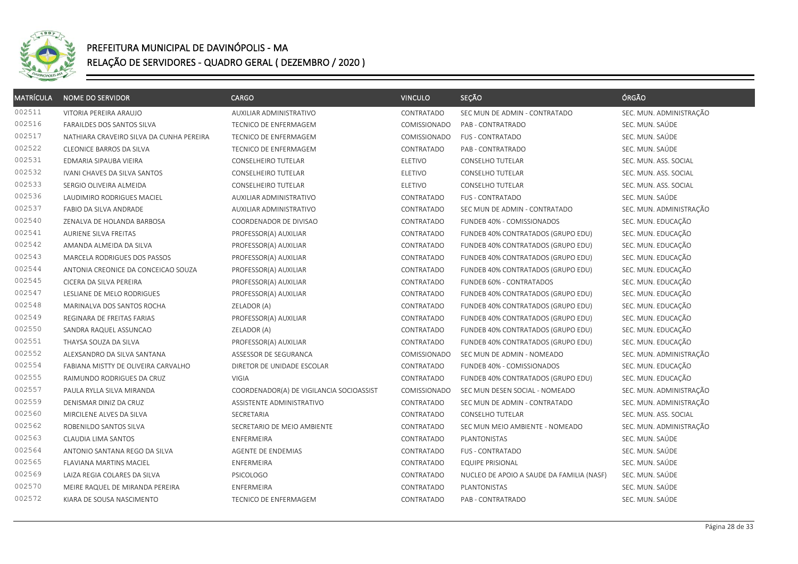

| <b>MATRÍCULA</b> | <b>NOME DO SERVIDOR</b>                  | <b>CARGO</b>                             | <b>VINCULO</b> | SEÇÃO                                     | ÓRGÃO                   |
|------------------|------------------------------------------|------------------------------------------|----------------|-------------------------------------------|-------------------------|
| 002511           | VITORIA PEREIRA ARAUJO                   | AUXILIAR ADMINISTRATIVO                  | CONTRATADO     | SEC MUN DE ADMIN - CONTRATADO             | SEC. MUN. ADMINISTRAÇÃO |
| 002516           | FARAILDES DOS SANTOS SILVA               | TECNICO DE ENFERMAGEM                    | COMISSIONADO   | PAB - CONTRATRADO                         | SEC. MUN. SAÚDE         |
| 002517           | NATHIARA CRAVEIRO SILVA DA CUNHA PEREIRA | TECNICO DE ENFERMAGEM                    | COMISSIONADO   | FUS - CONTRATADO                          | SEC. MUN. SAÚDE         |
| 002522           | <b>CLEONICE BARROS DA SILVA</b>          | TECNICO DE ENFERMAGEM                    | CONTRATADO     | PAB - CONTRATRADO                         | SEC. MUN. SAÚDE         |
| 002531           | EDMARIA SIPAUBA VIEIRA                   | CONSELHEIRO TUTELAR                      | ELETIVO        | CONSELHO TUTELAR                          | SEC. MUN. ASS. SOCIAL   |
| 002532           | IVANI CHAVES DA SILVA SANTOS             | CONSELHEIRO TUTELAR                      | ELETIVO        | CONSELHO TUTELAR                          | SEC. MUN. ASS. SOCIAL   |
| 002533           | SERGIO OLIVEIRA ALMEIDA                  | CONSELHEIRO TUTELAR                      | <b>ELETIVO</b> | CONSELHO TUTELAR                          | SEC. MUN. ASS. SOCIAL   |
| 002536           | LAUDIMIRO RODRIGUES MACIEL               | AUXILIAR ADMINISTRATIVO                  | CONTRATADO     | <b>FUS - CONTRATADO</b>                   | SEC. MUN. SAÚDE         |
| 002537           | FABIO DA SILVA ANDRADE                   | AUXILIAR ADMINISTRATIVO                  | CONTRATADO     | SEC MUN DE ADMIN - CONTRATADO             | SEC. MUN. ADMINISTRAÇÃO |
| 002540           | ZENALVA DE HOLANDA BARBOSA               | COORDENADOR DE DIVISAO                   | CONTRATADO     | FUNDEB 40% - COMISSIONADOS                | SEC. MUN. EDUCAÇÃO      |
| 002541           | AURIENE SILVA FREITAS                    | PROFESSOR(A) AUXILIAR                    | CONTRATADO     | FUNDEB 40% CONTRATADOS (GRUPO EDU)        | SEC. MUN. EDUCAÇÃO      |
| 002542           | AMANDA ALMEIDA DA SILVA                  | PROFESSOR(A) AUXILIAR                    | CONTRATADO     | FUNDEB 40% CONTRATADOS (GRUPO EDU)        | SEC. MUN. EDUCAÇÃO      |
| 002543           | <b>MARCELA RODRIGUES DOS PASSOS</b>      | PROFESSOR(A) AUXILIAR                    | CONTRATADO     | FUNDEB 40% CONTRATADOS (GRUPO EDU)        | SEC. MUN. EDUCAÇÃO      |
| 002544           | ANTONIA CREONICE DA CONCEICAO SOUZA      | PROFESSOR(A) AUXILIAR                    | CONTRATADO     | FUNDEB 40% CONTRATADOS (GRUPO EDU)        | SEC. MUN. EDUCAÇÃO      |
| 002545           | CICERA DA SILVA PEREIRA                  | PROFESSOR(A) AUXILIAR                    | CONTRATADO     | FUNDEB 60% - CONTRATADOS                  | SEC. MUN. EDUCAÇÃO      |
| 002547           | LESLIANE DE MELO RODRIGUES               | PROFESSOR(A) AUXILIAR                    | CONTRATADO     | FUNDEB 40% CONTRATADOS (GRUPO EDU)        | SEC. MUN. EDUCAÇÃO      |
| 002548           | MARINALVA DOS SANTOS ROCHA               | ZELADOR (A)                              | CONTRATADO     | FUNDEB 40% CONTRATADOS (GRUPO EDU)        | SEC. MUN. EDUCAÇÃO      |
| 002549           | REGINARA DE FREITAS FARIAS               | PROFESSOR(A) AUXILIAR                    | CONTRATADO     | FUNDEB 40% CONTRATADOS (GRUPO EDU)        | SEC. MUN. EDUCAÇÃO      |
| 002550           | SANDRA RAQUEL ASSUNCAO                   | ZELADOR (A)                              | CONTRATADO     | FUNDEB 40% CONTRATADOS (GRUPO EDU)        | SEC. MUN. EDUCAÇÃO      |
| 002551           | THAYSA SOUZA DA SILVA                    | PROFESSOR(A) AUXILIAR                    | CONTRATADO     | FUNDEB 40% CONTRATADOS (GRUPO EDU)        | SEC. MUN. EDUCAÇÃO      |
| 002552           | ALEXSANDRO DA SILVA SANTANA              | ASSESSOR DE SEGURANCA                    | COMISSIONADO   | SEC MUN DE ADMIN - NOMEADO                | SEC. MUN. ADMINISTRAÇÃO |
| 002554           | FABIANA MISTTY DE OLIVEIRA CARVALHO      | DIRETOR DE UNIDADE ESCOLAR               | CONTRATADO     | FUNDEB 40% - COMISSIONADOS                | SEC. MUN. EDUCAÇÃO      |
| 002555           | RAIMUNDO RODRIGUES DA CRUZ               | VIGIA                                    | CONTRATADO     | FUNDEB 40% CONTRATADOS (GRUPO EDU)        | SEC. MUN. EDUCAÇÃO      |
| 002557           | PAULA RYLLA SILVA MIRANDA                | COORDENADOR(A) DE VIGILANCIA SOCIOASSIST | COMISSIONADO   | SEC MUN DESEN SOCIAL - NOMEADO            | SEC. MUN. ADMINISTRAÇÃO |
| 002559           | DENISMAR DINIZ DA CRUZ                   | ASSISTENTE ADMINISTRATIVO                | CONTRATADO     | SEC MUN DE ADMIN - CONTRATADO             | SEC. MUN. ADMINISTRAÇÃO |
| 002560           | MIRCILENE ALVES DA SILVA                 | SECRETARIA                               | CONTRATADO     | <b>CONSELHO TUTELAR</b>                   | SEC. MUN. ASS. SOCIAL   |
| 002562           | ROBENILDO SANTOS SILVA                   | SECRETARIO DE MEIO AMBIENTE              | CONTRATADO     | SEC MUN MEIO AMBIENTE - NOMEADO           | SEC. MUN. ADMINISTRAÇÃO |
| 002563           | CLAUDIA LIMA SANTOS                      | ENFERMEIRA                               | CONTRATADO     | PLANTONISTAS                              | SEC. MUN. SAÚDE         |
| 002564           | ANTONIO SANTANA REGO DA SILVA            | AGENTE DE ENDEMIAS                       | CONTRATADO     | FUS - CONTRATADO                          | SEC. MUN. SAÚDE         |
| 002565           | <b>FLAVIANA MARTINS MACIEL</b>           | ENFERMEIRA                               | CONTRATADO     | <b>EQUIPE PRISIONAL</b>                   | SEC. MUN. SAÚDE         |
| 002569           | LAIZA REGIA COLARES DA SILVA             | <b>PSICOLOGO</b>                         | CONTRATADO     | NUCLEO DE APOIO A SAUDE DA FAMILIA (NASF) | SEC. MUN. SAÚDE         |
| 002570           | MEIRE RAQUEL DE MIRANDA PEREIRA          | ENFERMEIRA                               | CONTRATADO     | PLANTONISTAS                              | SEC. MUN. SAÚDE         |
| 002572           | KIARA DE SOUSA NASCIMENTO                | TECNICO DE ENFERMAGEM                    | CONTRATADO     | PAB - CONTRATRADO                         | SEC. MUN. SAÚDE         |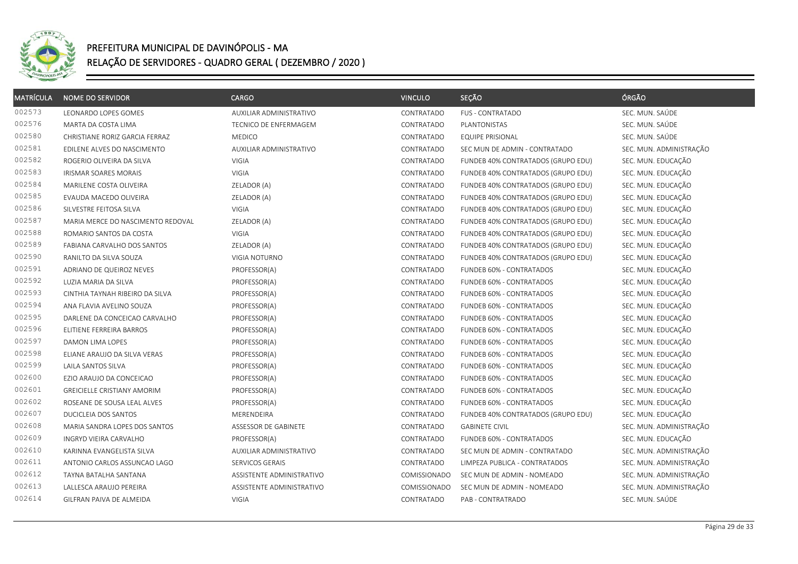

| <b>MATRÍCULA</b> | <b>NOME DO SERVIDOR</b>            | CARGO                     | <b>VINCULO</b> | SEÇÃO                              | ÓRGÃO                   |
|------------------|------------------------------------|---------------------------|----------------|------------------------------------|-------------------------|
| 002573           | LEONARDO LOPES GOMES               | AUXILIAR ADMINISTRATIVO   | CONTRATADO     | <b>FUS - CONTRATADO</b>            | SEC. MUN. SAÚDE         |
| 002576           | MARTA DA COSTA LIMA                | TECNICO DE ENFERMAGEM     | CONTRATADO     | PLANTONISTAS                       | SEC. MUN. SAÚDE         |
| 002580           | CHRISTIANE RORIZ GARCIA FERRAZ     | <b>MEDICO</b>             | CONTRATADO     | <b>EQUIPE PRISIONAL</b>            | SEC. MUN. SAÚDE         |
| 002581           | EDILENE ALVES DO NASCIMENTO        | AUXILIAR ADMINISTRATIVO   | CONTRATADO     | SEC MUN DE ADMIN - CONTRATADO      | SEC. MUN. ADMINISTRAÇÃO |
| 002582           | ROGERIO OLIVEIRA DA SILVA          | VIGIA                     | CONTRATADO     | FUNDEB 40% CONTRATADOS (GRUPO EDU) | SEC. MUN. EDUCAÇÃO      |
| 002583           | <b>IRISMAR SOARES MORAIS</b>       | VIGIA                     | CONTRATADO     | FUNDEB 40% CONTRATADOS (GRUPO EDU) | SEC. MUN. EDUCAÇÃO      |
| 002584           | MARILENE COSTA OLIVEIRA            | ZELADOR (A)               | CONTRATADO     | FUNDEB 40% CONTRATADOS (GRUPO EDU) | SEC. MUN. EDUCAÇÃO      |
| 002585           | EVAUDA MACEDO OLIVEIRA             | ZELADOR (A)               | CONTRATADO     | FUNDEB 40% CONTRATADOS (GRUPO EDU) | SEC. MUN. EDUCAÇÃO      |
| 002586           | SILVESTRE FEITOSA SILVA            | VIGIA                     | CONTRATADO     | FUNDEB 40% CONTRATADOS (GRUPO EDU) | SEC. MUN. EDUCAÇÃO      |
| 002587           | MARIA MERCE DO NASCIMENTO REDOVAL  | ZELADOR (A)               | CONTRATADO     | FUNDEB 40% CONTRATADOS (GRUPO EDU) | SEC. MUN. EDUCAÇÃO      |
| 002588           | ROMARIO SANTOS DA COSTA            | VIGIA                     | CONTRATADO     | FUNDEB 40% CONTRATADOS (GRUPO EDU) | SEC. MUN. EDUCAÇÃO      |
| 002589           | FABIANA CARVALHO DOS SANTOS        | ZELADOR (A)               | CONTRATADO     | FUNDEB 40% CONTRATADOS (GRUPO EDU) | SEC. MUN. EDUCAÇÃO      |
| 002590           | RANILTO DA SILVA SOUZA             | VIGIA NOTURNO             | CONTRATADO     | FUNDEB 40% CONTRATADOS (GRUPO EDU) | SEC. MUN. EDUCAÇÃO      |
| 002591           | ADRIANO DE QUEIROZ NEVES           | PROFESSOR(A)              | CONTRATADO     | FUNDEB 60% - CONTRATADOS           | SEC. MUN. EDUCAÇÃO      |
| 002592           | LUZIA MARIA DA SILVA               | PROFESSOR(A)              | CONTRATADO     | FUNDEB 60% - CONTRATADOS           | SEC. MUN. EDUCAÇÃO      |
| 002593           | CINTHIA TAYNAH RIBEIRO DA SILVA    | PROFESSOR(A)              | CONTRATADO     | FUNDEB 60% - CONTRATADOS           | SEC. MUN. EDUCAÇÃO      |
| 002594           | ANA FLAVIA AVELINO SOUZA           | PROFESSOR(A)              | CONTRATADO     | FUNDEB 60% - CONTRATADOS           | SEC. MUN. EDUCAÇÃO      |
| 002595           | DARLENE DA CONCEICAO CARVALHO      | PROFESSOR(A)              | CONTRATADO     | FUNDEB 60% - CONTRATADOS           | SEC. MUN. EDUCAÇÃO      |
| 002596           | ELITIENE FERREIRA BARROS           | PROFESSOR(A)              | CONTRATADO     | FUNDEB 60% - CONTRATADOS           | SEC. MUN. EDUCAÇÃO      |
| 002597           | DAMON LIMA LOPES                   | PROFESSOR(A)              | CONTRATADO     | FUNDEB 60% - CONTRATADOS           | SEC. MUN. EDUCAÇÃO      |
| 002598           | ELIANE ARAUJO DA SILVA VERAS       | PROFESSOR(A)              | CONTRATADO     | FUNDEB 60% - CONTRATADOS           | SEC. MUN. EDUCAÇÃO      |
| 002599           | LAILA SANTOS SILVA                 | PROFESSOR(A)              | CONTRATADO     | FUNDEB 60% - CONTRATADOS           | SEC. MUN. EDUCAÇÃO      |
| 002600           | EZIO ARAUJO DA CONCEICAO           | PROFESSOR(A)              | CONTRATADO     | FUNDEB 60% - CONTRATADOS           | SEC. MUN. EDUCAÇÃO      |
| 002601           | <b>GREICIELLE CRISTIANY AMORIM</b> | PROFESSOR(A)              | CONTRATADO     | FUNDEB 60% - CONTRATADOS           | SEC. MUN. EDUCAÇÃO      |
| 002602           | ROSEANE DE SOUSA LEAL ALVES        | PROFESSOR(A)              | CONTRATADO     | FUNDEB 60% - CONTRATADOS           | SEC. MUN. EDUCAÇÃO      |
| 002607           | DUCICLEIA DOS SANTOS               | MERENDEIRA                | CONTRATADO     | FUNDEB 40% CONTRATADOS (GRUPO EDU) | SEC. MUN. EDUCAÇÃO      |
| 002608           | MARIA SANDRA LOPES DOS SANTOS      | ASSESSOR DE GABINETE      | CONTRATADO     | <b>GABINETE CIVIL</b>              | SEC. MUN. ADMINISTRAÇÃO |
| 002609           | <b>INGRYD VIEIRA CARVALHO</b>      | PROFESSOR(A)              | CONTRATADO     | FUNDEB 60% - CONTRATADOS           | SEC. MUN. EDUCAÇÃO      |
| 002610           | KARINNA EVANGELISTA SILVA          | AUXILIAR ADMINISTRATIVO   | CONTRATADO     | SEC MUN DE ADMIN - CONTRATADO      | SEC. MUN. ADMINISTRAÇÃO |
| 002611           | ANTONIO CARLOS ASSUNCAO LAGO       | SERVICOS GERAIS           | CONTRATADO     | LIMPEZA PUBLICA - CONTRATADOS      | SEC. MUN. ADMINISTRAÇÃO |
| 002612           | TAYNA BATALHA SANTANA              | ASSISTENTE ADMINISTRATIVO | COMISSIONADO   | SEC MUN DE ADMIN - NOMEADO         | SEC. MUN. ADMINISTRAÇÃO |
| 002613           | LALLESCA ARAUJO PEREIRA            | ASSISTENTE ADMINISTRATIVO | COMISSIONADO   | SEC MUN DE ADMIN - NOMEADO         | SEC. MUN. ADMINISTRAÇÃO |
| 002614           | GILFRAN PAIVA DE ALMEIDA           | VIGIA                     | CONTRATADO     | PAB - CONTRATRADO                  | SEC. MUN. SAÚDE         |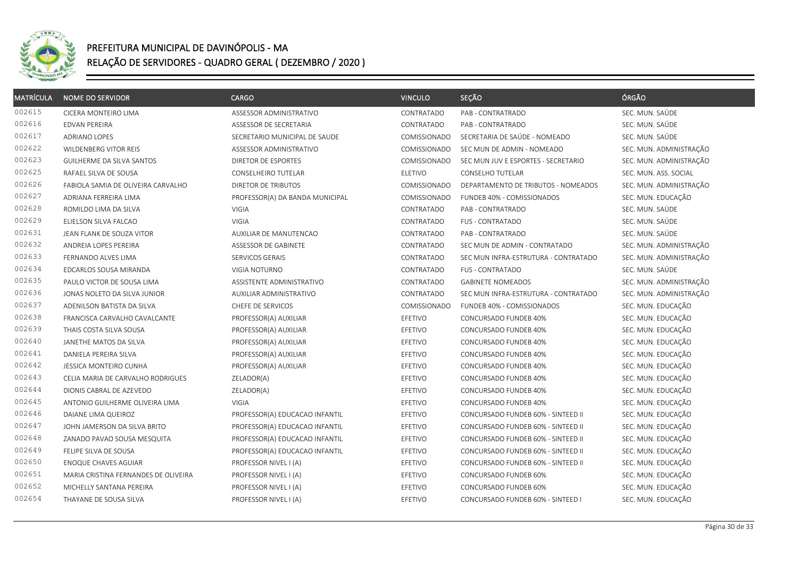

| <b>MATRÍCULA</b> | <b>NOME DO SERVIDOR</b>              | CARGO                           | <b>VINCULO</b>      | SEÇÃO                                | ÓRGÃO                   |
|------------------|--------------------------------------|---------------------------------|---------------------|--------------------------------------|-------------------------|
| 002615           | CICERA MONTEIRO LIMA                 | ASSESSOR ADMINISTRATIVO         | CONTRATADO          | PAB - CONTRATRADO                    | SEC. MUN. SAÚDE         |
| 002616           | <b>EDVAN PEREIRA</b>                 | ASSESSOR DE SECRETARIA          | CONTRATADO          | PAB - CONTRATRADO                    | SEC. MUN. SAÚDE         |
| 002617           | ADRIANO LOPES                        | SECRETARIO MUNICIPAL DE SAUDE   | COMISSIONADO        | SECRETARIA DE SAÚDE - NOMEADO        | SEC. MUN. SAÚDE         |
| 002622           | WILDENBERG VITOR REIS                | ASSESSOR ADMINISTRATIVO         | COMISSIONADO        | SEC MUN DE ADMIN - NOMEADO           | SEC. MUN. ADMINISTRAÇÃO |
| 002623           | <b>GUILHERME DA SILVA SANTOS</b>     | DIRETOR DE ESPORTES             | <b>COMISSIONADO</b> | SEC MUN JUV E ESPORTES - SECRETARIO  | SEC. MUN. ADMINISTRAÇÃO |
| 002625           | RAFAEL SILVA DE SOUSA                | CONSELHEIRO TUTELAR             | <b>ELETIVO</b>      | CONSELHO TUTELAR                     | SEC. MUN. ASS. SOCIAL   |
| 002626           | FABIOLA SAMIA DE OLIVEIRA CARVALHO   | DIRETOR DE TRIBUTOS             | COMISSIONADO        | DEPARTAMENTO DE TRIBUTOS - NOMEADOS  | SEC. MUN. ADMINISTRAÇÃO |
| 002627           | ADRIANA FERREIRA LIMA                | PROFESSOR(A) DA BANDA MUNICIPAL | COMISSIONADO        | FUNDEB 40% - COMISSIONADOS           | SEC. MUN. EDUCAÇÃO      |
| 002628           | ROMILDO LIMA DA SILVA                | VIGIA                           | CONTRATADO          | PAB - CONTRATRADO                    | SEC. MUN. SAÚDE         |
| 002629           | ELIELSON SILVA FALCAO                | VIGIA                           | CONTRATADO          | <b>FUS - CONTRATADO</b>              | SEC. MUN. SAÚDE         |
| 002631           | JEAN FLANK DE SOUZA VITOR            | AUXILIAR DE MANUTENCAO          | CONTRATADO          | PAB - CONTRATRADO                    | SEC. MUN. SAÚDE         |
| 002632           | ANDREIA LOPES PEREIRA                | ASSESSOR DE GABINETE            | CONTRATADO          | SEC MUN DE ADMIN - CONTRATADO        | SEC. MUN. ADMINISTRAÇÃO |
| 002633           | FERNANDO ALVES LIMA                  | SERVICOS GERAIS                 | CONTRATADO          | SEC MUN INFRA-ESTRUTURA - CONTRATADO | SEC. MUN. ADMINISTRAÇÃO |
| 002634           | EDCARLOS SOUSA MIRANDA               | VIGIA NOTURNO                   | CONTRATADO          | <b>FUS - CONTRATADO</b>              | SEC. MUN. SAÚDE         |
| 002635           | PAULO VICTOR DE SOUSA LIMA           | ASSISTENTE ADMINISTRATIVO       | CONTRATADO          | <b>GABINETE NOMEADOS</b>             | SEC. MUN. ADMINISTRAÇÃO |
| 002636           | JONAS NOLETO DA SILVA JUNIOR         | AUXILIAR ADMINISTRATIVO         | CONTRATADO          | SEC MUN INFRA-ESTRUTURA - CONTRATADO | SEC. MUN. ADMINISTRAÇÃO |
| 002637           | ADENILSON BATISTA DA SILVA           | CHEFE DE SERVICOS               | COMISSIONADO        | FUNDEB 40% - COMISSIONADOS           | SEC. MUN. EDUCAÇÃO      |
| 002638           | FRANCISCA CARVALHO CAVALCANTE        | PROFESSOR(A) AUXILIAR           | EFETIVO             | CONCURSADO FUNDEB 40%                | SEC. MUN. EDUCAÇÃO      |
| 002639           | THAIS COSTA SILVA SOUSA              | PROFESSOR(A) AUXILIAR           | EFETIVO             | CONCURSADO FUNDEB 40%                | SEC. MUN. EDUCAÇÃO      |
| 002640           | JANETHE MATOS DA SILVA               | PROFESSOR(A) AUXILIAR           | EFETIVO             | CONCURSADO FUNDEB 40%                | SEC. MUN. EDUCAÇÃO      |
| 002641           | DANIELA PEREIRA SILVA                | PROFESSOR(A) AUXILIAR           | EFETIVO             | CONCURSADO FUNDEB 40%                | SEC. MUN. EDUCAÇÃO      |
| 002642           | JESSICA MONTEIRO CUNHA               | PROFESSOR(A) AUXILIAR           | EFETIVO             | CONCURSADO FUNDEB 40%                | SEC. MUN. EDUCAÇÃO      |
| 002643           | CELIA MARIA DE CARVALHO RODRIGUES    | ZELADOR(A)                      | EFETIVO             | CONCURSADO FUNDEB 40%                | SEC. MUN. EDUCAÇÃO      |
| 002644           | DIONIS CABRAL DE AZEVEDO             | ZELADOR(A)                      | EFETIVO             | CONCURSADO FUNDEB 40%                | SEC. MUN. EDUCAÇÃO      |
| 002645           | ANTONIO GUILHERME OLIVEIRA LIMA      | VIGIA                           | EFETIVO             | CONCURSADO FUNDEB 40%                | SEC. MUN. EDUCAÇÃO      |
| 002646           | DAIANE LIMA QUEIROZ                  | PROFESSOR(A) EDUCACAO INFANTIL  | EFETIVO             | CONCURSADO FUNDEB 60% - SINTEED II   | SEC. MUN. EDUCAÇÃO      |
| 002647           | JOHN JAMERSON DA SILVA BRITO         | PROFESSOR(A) EDUCACAO INFANTIL  | EFETIVO             | CONCURSADO FUNDEB 60% - SINTEED II   | SEC. MUN. EDUCAÇÃO      |
| 002648           | ZANADO PAVAO SOUSA MESQUITA          | PROFESSOR(A) EDUCACAO INFANTIL  | EFETIVO             | CONCURSADO FUNDEB 60% - SINTEED II   | SEC. MUN. EDUCAÇÃO      |
| 002649           | FELIPE SILVA DE SOUSA                | PROFESSOR(A) EDUCACAO INFANTIL  | EFETIVO             | CONCURSADO FUNDEB 60% - SINTEED II   | SEC. MUN. EDUCAÇÃO      |
| 002650           | <b>ENOQUE CHAVES AGUIAR</b>          | PROFESSOR NIVEL I (A)           | EFETIVO             | CONCURSADO FUNDEB 60% - SINTEED II   | SEC. MUN. EDUCAÇÃO      |
| 002651           | MARIA CRISTINA FERNANDES DE OLIVEIRA | PROFESSOR NIVEL I (A)           | EFETIVO             | CONCURSADO FUNDEB 60%                | SEC. MUN. EDUCAÇÃO      |
| 002652           | MICHELLY SANTANA PEREIRA             | PROFESSOR NIVEL I (A)           | EFETIVO             | CONCURSADO FUNDEB 60%                | SEC. MUN. EDUCAÇÃO      |
| 002654           | THAYANE DE SOUSA SILVA               | PROFESSOR NIVEL I (A)           | EFETIVO             | CONCURSADO FUNDEB 60% - SINTEED I    | SEC. MUN. EDUCAÇÃO      |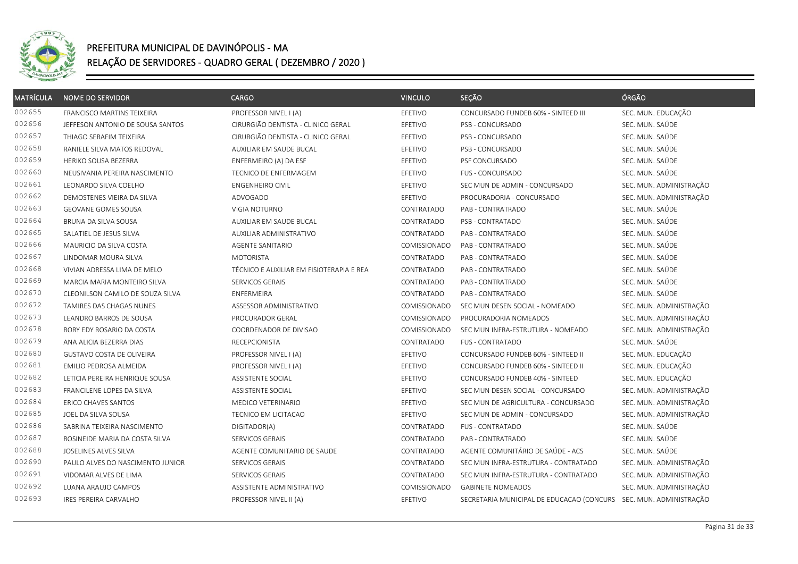

| MATRÍCULA | <b>NOME DO SERVIDOR</b>          | <b>CARGO</b>                             | <b>VINCULO</b> | SEÇÃO                                                             | ÓRGÃO                   |
|-----------|----------------------------------|------------------------------------------|----------------|-------------------------------------------------------------------|-------------------------|
| 002655    | FRANCISCO MARTINS TEIXEIRA       | PROFESSOR NIVEL I (A)                    | EFETIVO        | CONCURSADO FUNDEB 60% - SINTEED III                               | SEC. MUN. EDUCAÇÃO      |
| 002656    | JEFFESON ANTONIO DE SOUSA SANTOS | CIRURGIÃO DENTISTA - CLINICO GERAL       | EFETIVO        | PSB - CONCURSADO                                                  | SEC. MUN. SAÚDE         |
| 002657    | THIAGO SERAFIM TEIXEIRA          | CIRURGIÃO DENTISTA - CLINICO GERAL       | EFETIVO        | PSB - CONCURSADO                                                  | SEC. MUN. SAÚDE         |
| 002658    | RANIELE SILVA MATOS REDOVAL      | AUXILIAR EM SAUDE BUCAL                  | EFETIVO        | PSB - CONCURSADO                                                  | SEC. MUN. SAÚDE         |
| 002659    | <b>HERIKO SOUSA BEZERRA</b>      | ENFERMEIRO (A) DA ESF                    | EFETIVO        | PSF CONCURSADO                                                    | SEC. MUN. SAÚDE         |
| 002660    | NEUSIVANIA PEREIRA NASCIMENTO    | <b>TECNICO DE ENFERMAGEM</b>             | EFETIVO        | <b>FUS - CONCURSADO</b>                                           | SEC. MUN. SAÚDE         |
| 002661    | LEONARDO SILVA COELHO            | <b>ENGENHEIRO CIVIL</b>                  | EFETIVO        | SEC MUN DE ADMIN - CONCURSADO                                     | SEC. MUN. ADMINISTRAÇÃO |
| 002662    | DEMOSTENES VIEIRA DA SILVA       | ADVOGADO                                 | EFETIVO        | PROCURADORIA - CONCURSADO                                         | SEC. MUN. ADMINISTRAÇÃO |
| 002663    | <b>GEOVANE GOMES SOUSA</b>       | VIGIA NOTURNO                            | CONTRATADO     | PAB - CONTRATRADO                                                 | SEC. MUN. SAÚDE         |
| 002664    | BRUNA DA SILVA SOUSA             | AUXILIAR EM SAUDE BUCAL                  | CONTRATADO     | PSB - CONTRATADO                                                  | SEC. MUN. SAÚDE         |
| 002665    | SALATIEL DE JESUS SILVA          | AUXILIAR ADMINISTRATIVO                  | CONTRATADO     | PAB - CONTRATRADO                                                 | SEC. MUN. SAÚDE         |
| 002666    | MAURICIO DA SILVA COSTA          | <b>AGENTE SANITARIO</b>                  | COMISSIONADO   | PAB - CONTRATRADO                                                 | SEC. MUN. SAÚDE         |
| 002667    | LINDOMAR MOURA SILVA             | <b>MOTORISTA</b>                         | CONTRATADO     | PAB - CONTRATRADO                                                 | SEC. MUN. SAÚDE         |
| 002668    | VIVIAN ADRESSA LIMA DE MELO      | TÉCNICO E AUXILIAR EM FISIOTERAPIA E REA | CONTRATADO     | PAB - CONTRATRADO                                                 | SEC. MUN. SAÚDE         |
| 002669    | MARCIA MARIA MONTEIRO SILVA      | SERVICOS GERAIS                          | CONTRATADO     | PAB - CONTRATRADO                                                 | SEC. MUN. SAÚDE         |
| 002670    | CLEONILSON CAMILO DE SOUZA SILVA | ENFERMEIRA                               | CONTRATADO     | PAB - CONTRATRADO                                                 | SEC. MUN. SAÚDE         |
| 002672    | TAMIRES DAS CHAGAS NUNES         | ASSESSOR ADMINISTRATIVO                  | COMISSIONADO   | SEC MUN DESEN SOCIAL - NOMEADO                                    | SEC. MUN. ADMINISTRAÇÃO |
| 002673    | LEANDRO BARROS DE SOUSA          | PROCURADOR GERAL                         | COMISSIONADO   | PROCURADORIA NOMEADOS                                             | SEC. MUN. ADMINISTRAÇÃO |
| 002678    | RORY EDY ROSARIO DA COSTA        | COORDENADOR DE DIVISAO                   | COMISSIONADO   | SEC MUN INFRA-ESTRUTURA - NOMEADO                                 | SEC. MUN. ADMINISTRAÇÃO |
| 002679    | ANA ALICIA BEZERRA DIAS          | <b>RECEPCIONISTA</b>                     | CONTRATADO     | <b>FUS - CONTRATADO</b>                                           | SEC. MUN. SAÚDE         |
| 002680    | GUSTAVO COSTA DE OLIVEIRA        | PROFESSOR NIVEL I (A)                    | EFETIVO        | CONCURSADO FUNDEB 60% - SINTEED II                                | SEC. MUN. EDUCAÇÃO      |
| 002681    | EMILIO PEDROSA ALMEIDA           | PROFESSOR NIVEL I (A)                    | EFETIVO        | CONCURSADO FUNDEB 60% - SINTEED II                                | SEC. MUN. EDUCAÇÃO      |
| 002682    | LETICIA PEREIRA HENRIQUE SOUSA   | <b>ASSISTENTE SOCIAL</b>                 | EFETIVO        | CONCURSADO FUNDEB 40% - SINTEED                                   | SEC. MUN. EDUCAÇÃO      |
| 002683    | FRANCILENE LOPES DA SILVA        | <b>ASSISTENTE SOCIAL</b>                 | EFETIVO        | SEC MUN DESEN SOCIAL - CONCURSADO                                 | SEC. MUN. ADMINISTRAÇÃO |
| 002684    | ERICO CHAVES SANTOS              | MEDICO VETERINARIO                       | EFETIVO        | SEC MUN DE AGRICULTURA - CONCURSADO                               | SEC. MUN. ADMINISTRAÇÃO |
| 002685    | JOEL DA SILVA SOUSA              | TECNICO EM LICITACAO                     | EFETIVO        | SEC MUN DE ADMIN - CONCURSADO                                     | SEC. MUN. ADMINISTRAÇÃO |
| 002686    | SABRINA TEIXEIRA NASCIMENTO      | DIGITADOR(A)                             | CONTRATADO     | <b>FUS - CONTRATADO</b>                                           | SEC. MUN. SAÚDE         |
| 002687    | ROSINEIDE MARIA DA COSTA SILVA   | SERVICOS GERAIS                          | CONTRATADO     | PAB - CONTRATRADO                                                 | SEC. MUN. SAÚDE         |
| 002688    | JOSELINES ALVES SILVA            | AGENTE COMUNITARIO DE SAUDE              | CONTRATADO     | AGENTE COMUNITÁRIO DE SAÚDE - ACS                                 | SEC. MUN. SAÚDE         |
| 002690    | PAULO ALVES DO NASCIMENTO JUNIOR | SERVICOS GERAIS                          | CONTRATADO     | SEC MUN INFRA-ESTRUTURA - CONTRATADO                              | SEC. MUN. ADMINISTRAÇÃO |
| 002691    | VIDOMAR ALVES DE LIMA            | SERVICOS GERAIS                          | CONTRATADO     | SEC MUN INFRA-ESTRUTURA - CONTRATADO                              | SEC. MUN. ADMINISTRAÇÃO |
| 002692    | LUANA ARAUJO CAMPOS              | ASSISTENTE ADMINISTRATIVO                | COMISSIONADO   | <b>GABINETE NOMEADOS</b>                                          | SEC. MUN. ADMINISTRAÇÃO |
| 002693    | IRES PEREIRA CARVALHO            | PROFESSOR NIVEL II (A)                   | EFETIVO        | SECRETARIA MUNICIPAL DE EDUCACAO (CONCURS SEC. MUN. ADMINISTRAÇÃO |                         |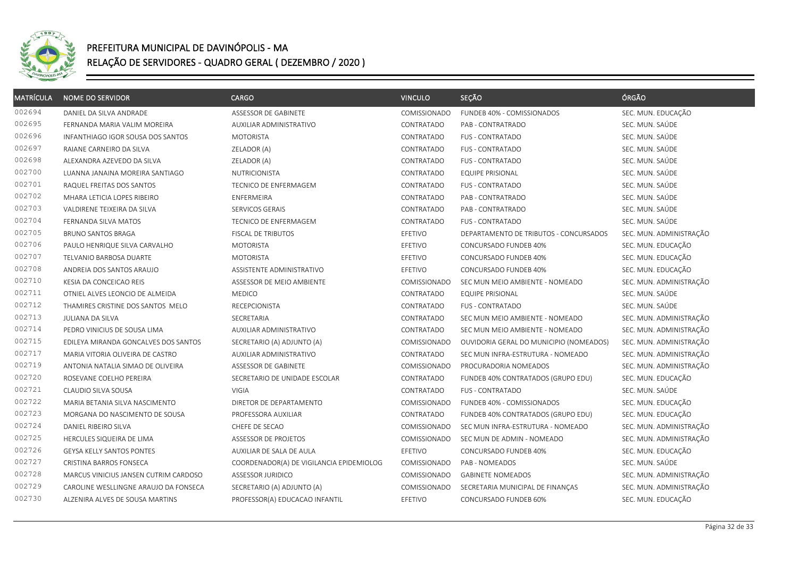

| MATRÍCULA | <b>NOME DO SERVIDOR</b>               | CARGO                                    | <b>VINCULO</b> | SEÇÃO                                   | ÓRGÃO                   |
|-----------|---------------------------------------|------------------------------------------|----------------|-----------------------------------------|-------------------------|
| 002694    | DANIEL DA SILVA ANDRADE               | ASSESSOR DE GABINETE                     | COMISSIONADO   | FUNDEB 40% - COMISSIONADOS              | SEC. MUN. EDUCAÇÃO      |
| 002695    | FERNANDA MARIA VALIM MOREIRA          | AUXILIAR ADMINISTRATIVO                  | CONTRATADO     | PAB - CONTRATRADO                       | SEC. MUN. SAÚDE         |
| 002696    | INFANTHIAGO IGOR SOUSA DOS SANTOS     | MOTORISTA                                | CONTRATADO     | <b>FUS - CONTRATADO</b>                 | SEC. MUN. SAÚDE         |
| 002697    | RAIANE CARNEIRO DA SILVA              | ZELADOR (A)                              | CONTRATADO     | FUS - CONTRATADO                        | SEC. MUN. SAÚDE         |
| 002698    | ALEXANDRA AZEVEDO DA SILVA            | ZELADOR (A)                              | CONTRATADO     | <b>FUS - CONTRATADO</b>                 | SEC. MUN. SAÚDE         |
| 002700    | LUANNA JANAINA MOREIRA SANTIAGO       | <b>NUTRICIONISTA</b>                     | CONTRATADO     | <b>EQUIPE PRISIONAL</b>                 | SEC. MUN. SAÚDE         |
| 002701    | RAQUEL FREITAS DOS SANTOS             | <b>TECNICO DE ENFERMAGEM</b>             | CONTRATADO     | <b>FUS - CONTRATADO</b>                 | SEC. MUN. SAÚDE         |
| 002702    | MHARA LETICIA LOPES RIBEIRO           | ENFERMEIRA                               | CONTRATADO     | PAB - CONTRATRADO                       | SEC. MUN. SAÚDE         |
| 002703    | VALDIRENE TEIXEIRA DA SILVA           | SERVICOS GERAIS                          | CONTRATADO     | PAB - CONTRATRADO                       | SEC. MUN. SAÚDE         |
| 002704    | FERNANDA SILVA MATOS                  | TECNICO DE ENFERMAGEM                    | CONTRATADO     | <b>FUS - CONTRATADO</b>                 | SEC. MUN. SAÚDE         |
| 002705    | <b>BRUNO SANTOS BRAGA</b>             | FISCAL DE TRIBUTOS                       | EFETIVO        | DEPARTAMENTO DE TRIBUTOS - CONCURSADOS  | SEC. MUN. ADMINISTRAÇÃO |
| 002706    | PAULO HENRIQUE SILVA CARVALHO         | <b>MOTORISTA</b>                         | EFETIVO        | CONCURSADO FUNDEB 40%                   | SEC. MUN. EDUCAÇÃO      |
| 002707    | TELVANIO BARBOSA DUARTE               | <b>MOTORISTA</b>                         | EFETIVO        | CONCURSADO FUNDEB 40%                   | SEC. MUN. EDUCAÇÃO      |
| 002708    | ANDREIA DOS SANTOS ARAUJO             | ASSISTENTE ADMINISTRATIVO                | EFETIVO        | CONCURSADO FUNDEB 40%                   | SEC. MUN. EDUCAÇÃO      |
| 002710    | KESIA DA CONCEICAO REIS               | ASSESSOR DE MEIO AMBIENTE                | COMISSIONADO   | SEC MUN MEIO AMBIENTE - NOMEADO         | SEC. MUN. ADMINISTRAÇÃO |
| 002711    | OTNIEL ALVES LEONCIO DE ALMEIDA       | <b>MEDICO</b>                            | CONTRATADO     | EQUIPE PRISIONAL                        | SEC. MUN. SAÚDE         |
| 002712    | THAMIRES CRISTINE DOS SANTOS MELO     | <b>RECEPCIONISTA</b>                     | CONTRATADO     | FUS - CONTRATADO                        | SEC. MUN. SAÚDE         |
| 002713    | JULIANA DA SILVA                      | SECRETARIA                               | CONTRATADO     | SEC MUN MEIO AMBIENTE - NOMEADO         | SEC. MUN. ADMINISTRAÇÃO |
| 002714    | PEDRO VINICIUS DE SOUSA LIMA          | AUXILIAR ADMINISTRATIVO                  | CONTRATADO     | SEC MUN MEIO AMBIENTE - NOMEADO         | SEC. MUN. ADMINISTRAÇÃO |
| 002715    | EDILEYA MIRANDA GONCALVES DOS SANTOS  | SECRETARIO (A) ADJUNTO (A)               | COMISSIONADO   | OUVIDORIA GERAL DO MUNICIPIO (NOMEADOS) | SEC. MUN. ADMINISTRAÇÃO |
| 002717    | MARIA VITORIA OLIVEIRA DE CASTRO      | AUXILIAR ADMINISTRATIVO                  | CONTRATADO     | SEC MUN INFRA-ESTRUTURA - NOMEADO       | SEC. MUN. ADMINISTRAÇÃO |
| 002719    | ANTONIA NATALIA SIMAO DE OLIVEIRA     | ASSESSOR DE GABINETE                     | COMISSIONADO   | PROCURADORIA NOMEADOS                   | SEC. MUN. ADMINISTRAÇÃO |
| 002720    | ROSEVANE COELHO PEREIRA               | SECRETARIO DE UNIDADE ESCOLAR            | CONTRATADO     | FUNDEB 40% CONTRATADOS (GRUPO EDU)      | SEC. MUN. EDUCAÇÃO      |
| 002721    | CLAUDIO SILVA SOUSA                   | VIGIA                                    | CONTRATADO     | <b>FUS - CONTRATADO</b>                 | SEC. MUN. SAÚDE         |
| 002722    | MARIA BETANIA SILVA NASCIMENTO        | DIRETOR DE DEPARTAMENTO                  | COMISSIONADO   | FUNDEB 40% - COMISSIONADOS              | SEC. MUN. EDUCAÇÃO      |
| 002723    | MORGANA DO NASCIMENTO DE SOUSA        | PROFESSORA AUXILIAR                      | CONTRATADO     | FUNDEB 40% CONTRATADOS (GRUPO EDU)      | SEC. MUN. EDUCAÇÃO      |
| 002724    | DANIEL RIBEIRO SILVA                  | CHEFE DE SECAO                           | COMISSIONADO   | SEC MUN INFRA-ESTRUTURA - NOMEADO       | SEC. MUN. ADMINISTRAÇÃO |
| 002725    | HERCULES SIQUEIRA DE LIMA             | ASSESSOR DE PROJETOS                     | COMISSIONADO   | SEC MUN DE ADMIN - NOMEADO              | SEC. MUN. ADMINISTRAÇÃO |
| 002726    | GEYSA KELLY SANTOS PONTES             | AUXILIAR DE SALA DE AULA                 | EFETIVO        | CONCURSADO FUNDEB 40%                   | SEC. MUN. EDUCAÇÃO      |
| 002727    | CRISTINA BARROS FONSECA               | COORDENADOR(A) DE VIGILANCIA EPIDEMIOLOG | COMISSIONADO   | PAB - NOMEADOS                          | SEC. MUN. SAÚDE         |
| 002728    | MARCUS VINICIUS JANSEN CUTRIM CARDOSO | ASSESSOR JURIDICO                        | COMISSIONADO   | <b>GABINETE NOMEADOS</b>                | SEC. MUN. ADMINISTRAÇÃO |
| 002729    | CAROLINE WESLLINGNE ARAUJO DA FONSECA | SECRETARIO (A) ADJUNTO (A)               | COMISSIONADO   | SECRETARIA MUNICIPAL DE FINANÇAS        | SEC. MUN. ADMINISTRAÇÃO |
| 002730    | ALZENIRA ALVES DE SOUSA MARTINS       | PROFESSOR(A) EDUCACAO INFANTIL           | EFETIVO        | CONCURSADO FUNDEB 60%                   | SEC. MUN. EDUCAÇÃO      |